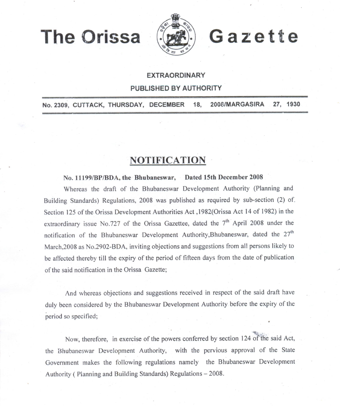**The Orissa** 



Gazette

#### **EXTRAORDINARY**

#### PUBLISHED BY AUTHORITY

2008/MARGASIRA 27, 1930 No. 2309, CUTTACK, THURSDAY, DECEMBER 18.

# **NOTIFICATION**

## No. 11199/BP/BDA, the Bhubaneswar, Dated 15th December 2008

Whereas the draft of the Bhubaneswar Development Authority (Planning and Building Standards) Regulations, 2008 was published as required by sub-section (2) of. Section 125 of the Orissa Development Authorities Act , 1982(Orissa Act 14 of 1982) in the extraordinary issue No.727 of the Orissa Gazettee, dated the 7<sup>th</sup> April 2008 under the notification of the Bhubaneswar Development Authority, Bhubaneswar, dated the 27<sup>th</sup> March, 2008 as No. 2902-BDA, inviting objections and suggestions from all persons likely to be affected thereby till the expiry of the period of fifteen days from the date of publication of the said notification in the Orissa Gazette;

And whereas objections and suggestions received in respect of the said draft have duly been considered by the Bhubaneswar Development Authority before the expiry of the period so specified;

Now, therefore, in exercise of the powers conferred by section 124 of the said Act, the Bhubaneswar Development Authority, with the pervious approval of the State Government makes the following regulations namely the Bhubaneswar Development Authority (Planning and Building Standards) Regulations - 2008.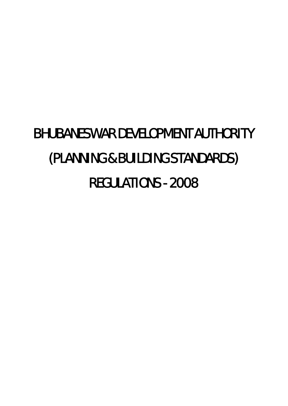# BHUBANESWAR DEVELOPMENT AUTHORITY (PLANNING & BUILDING STANDARDS) REGULATIONS - 2008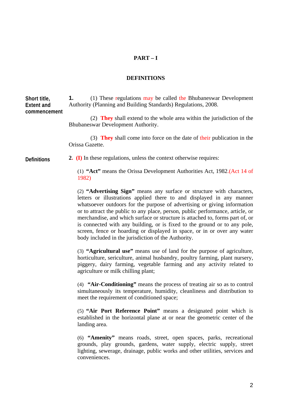#### **PART – I**

#### **DEFINITIONS**

**1.** (1) These regulations may be called the Bhubaneswar Development Authority (Planning and Building Standards) Regulations, 2008. **Short title, Extent and commencement** 

> (2) **They** shall extend to the whole area within the jurisdiction of the Bhubaneswar Development Authority.

> (3) **They** shall come into force on the date of their publication in the Orissa Gazette.

**2. (I)** In these regulations, unless the context otherwise requires: **Definitions** 

> (1) **"Act"** means the Orissa Development Authorities Act, 1982.(Act 14 of 1982)

> (2) **"Advertising Sign"** means any surface or structure with characters, letters or illustrations applied there to and displayed in any manner whatsoever outdoors for the purpose of advertising or giving information or to attract the public to any place, person, public performance, article, or merchandise, and which surface or structure is attached to, forms part of, or is connected with any building, or is fixed to the ground or to any pole, screen, fence or hoarding or displayed in space, or in or over any water body included in the jurisdiction of the Authority.

> (3) **"Agricultural use"** means use of land for the purpose of agriculture, horticulture, sericulture, animal husbandry, poultry farming, plant nursery, piggery, dairy farming, vegetable farming and any activity related to agriculture or milk chilling plant;

> (4) **"Air-Conditioning"** means the process of treating air so as to control simultaneously its temperature, humidity, cleanliness and distribution to meet the requirement of conditioned space;

> (5) **"Air Port Reference Point"** means a designated point which is established in the horizontal plane at or near the geometric center of the landing area.

> (6) **"Amenity"** means roads, street, open spaces, parks, recreational grounds, play grounds, gardens, water supply, electric supply, street lighting, sewerage, drainage, public works and other utilities, services and conveniences.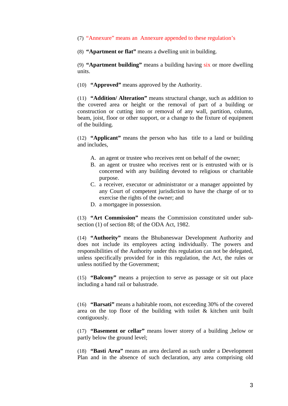#### (7) "Annexure" means an Annexure appended to these regulation's

(8) **"Apartment or flat"** means a dwelling unit in building.

(9) **"Apartment building"** means a building having six or more dwelling units.

(10) **"Approved"** means approved by the Authority.

(11) **"Addition/ Alteration"** means structural change, such as addition to the covered area or height or the removal of part of a building or construction or cutting into or removal of any wall, partition, column, beam, joist, floor or other support, or a change to the fixture of equipment of the building.

(12) **"Applicant"** means the person who has title to a land or building and includes,

- A. an agent or trustee who receives rent on behalf of the owner;
- B. an agent or trustee who receives rent or is entrusted with or is concerned with any building devoted to religious or charitable purpose.
- C. a receiver, executor or administrator or a manager appointed by any Court of competent jurisdiction to have the charge of or to exercise the rights of the owner; and
- D. a mortgagee in possession.

(13) **"Art Commission"** means the Commission constituted under subsection (1) of section 88; of the ODA Act, 1982.

(14) **"Authority"** means the Bhubaneswar Development Authority and does not include its employees acting individually. The powers and responsibilities of the Authority under this regulation can not be delegated, unless specifically provided for in this regulation, the Act, the rules or unless notified by the Government;

(15) **"Balcony"** means a projection to serve as passage or sit out place including a hand rail or balustrade.

(16) **"Barsati"** means a habitable room, not exceeding 30% of the covered area on the top floor of the building with toilet & kitchen unit built contiguously.

(17) **"Basement or cellar"** means lower storey of a building ,below or partly below the ground level;

(18) **"Basti Area"** means an area declared as such under a Development Plan and in the absence of such declaration, any area comprising old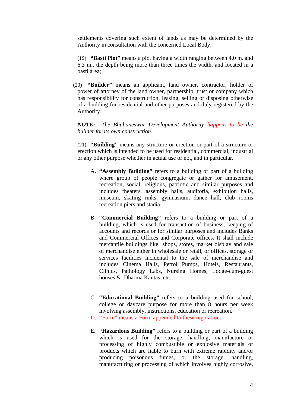settlements covering such extent of lands as may be determined by the Authority in consultation with the concerned Local Body;

(19) **"Basti Plot"** means a plot having a width ranging between 4.0 m. and 6.3 m., the depth being more than three times the width, and located in a basti area;

(20) **"Builder"** means an applicant, land owner, contractor, holder of power of attorney of the land owner, partnership, trust or company which has responsibility for construction, leasing, selling or disposing otherwise of a building for residential and other purposes and duly registered by the Authority.

*NOTE: The Bhubaneswar Development Authority happens to be the builder for its own construction.* 

(21) **"Building"** means any structure or erection or part of a structure or erection which is intended to be used for residential, commercial, industrial or any other purpose whether in actual use or not, and in particular.

- A. **"Assembly Building"** refers to a building or part of a building where group of people congregate or gather for amusement, recreation, social, religious, patriotic and similar purposes and includes theaters, assembly halls, auditoria, exhibition halls, museum, skating rinks, gymnasium, dance hall, club rooms recreation piers and stadia.
- B. **"Commercial Building"** refers to a building or part of a building, which is used for transaction of business, keeping of accounts and records or for similar purposes and includes Banks and Commercial Offices and Corporate offices. It shall include mercantile buildings like shops, stores, market display and sale of merchandise either in wholesale or retail, or offices, storage or services facilities incidental to the sale of merchandise and includes Cinema Halls, Petrol Pumps, Hotels, Restaurants, Clinics, Pathology Labs, Nursing Homes, Lodge-cum-guest houses & Dharma Kantas, etc.
- C. **"Educational Building"** refers to a building used for school, college or daycare purpose for more than 8 hours per week involving assembly, instructions, education or recreation.
- D. **"**Form" means a Form appended to these regulation.
- E. **"Hazardous Building"** refers to a building or part of a building which is used for the storage, handling, manufacture or processing of highly combustible or explosive materials or products which are liable to burn with extreme rapidity and/or producing poisonous fumes, or the storage, handling, manufacturing or processing of which involves highly corrosive,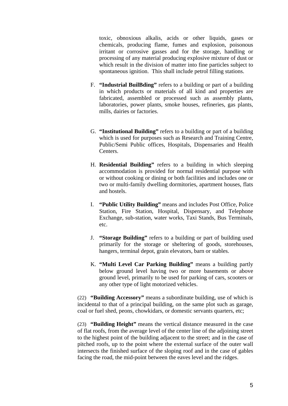toxic, obnoxious alkalis, acids or other liquids, gases or chemicals, producing flame, fumes and explosion, poisonous irritant or corrosive gasses and for the storage, handling or processing of any material producing explosive mixture of dust or which result in the division of matter into fine particles subject to spontaneous ignition. This shall include petrol filling stations.

- F. **"Industrial BuilBding"** refers to a building or part of a building in which products or materials of all kind and properties are fabricated, assembled or processed such as assembly plants, laboratories, power plants, smoke houses, refineries, gas plants, mills, dairies or factories.
- G. **"Institutional Building"** refers to a building or part of a building which is used for purposes such as Research and Training Centre, Public/Semi Public offices, Hospitals, Dispensaries and Health Centers.
- H. **Residential Building"** refers to a building in which sleeping accommodation is provided for normal residential purpose with or without cooking or dining or both facilities and includes one or two or multi-family dwelling dormitories, apartment houses, flats and hostels.
- I. **"Public Utility Building"** means and includes Post Office, Police Station, Fire Station, Hospital, Dispensary, and Telephone Exchange, sub-station, water works, Taxi Stands, Bus Terminals, etc.
- J. **"Storage Building"** refers to a building or part of building used primarily for the storage or sheltering of goods, storehouses, hangers, terminal depot, grain elevators, barn or stables.
- K. **"Multi Level Car Parking Building"** means a building partly below ground level having two or more basements or above ground level, primarily to be used for parking of cars, scooters or any other type of light motorized vehicles.

(22) **"Building Accessory"** means a subordinate building, use of which is incidental to that of a principal building, on the same plot such as garage, coal or fuel shed, peons, chowkidars, or domestic servants quarters, etc;

(23) **"Building Height"** means the vertical distance measured in the case of flat roofs, from the average level of the center line of the adjoining street to the highest point of the building adjacent to the street; and in the case of pitched roofs, up to the point where the external surface of the outer wall intersects the finished surface of the sloping roof and in the case of gables facing the road, the mid-point between the eaves level and the ridges.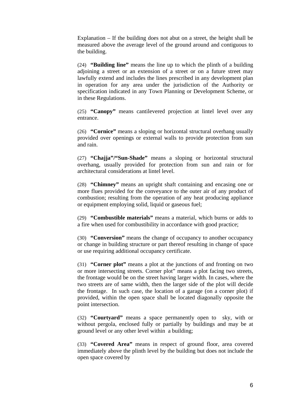Explanation – If the building does not abut on a street, the height shall be measured above the average level of the ground around and contiguous to the building.

(24) **"Building line"** means the line up to which the plinth of a building adjoining a street or an extension of a street or on a future street may lawfully extend and includes the lines prescribed in any development plan in operation for any area under the jurisdiction of the Authority or specification indicated in any Town Planning or Development Scheme, or in these Regulations.

(25) **"Canopy"** means cantilevered projection at lintel level over any entrance.

(26) **"Cornice"** means a sloping or horizontal structural overhang usually provided over openings or external walls to provide protection from sun and rain.

(27) **"Chajja"/"Sun-Shade"** means a sloping or horizontal structural overhang, usually provided for protection from sun and rain or for architectural considerations at lintel level.

(28) **"Chimney"** means an upright shaft containing and encasing one or more flues provided for the conveyance to the outer air of any product of combustion; resulting from the operation of any heat producing appliance or equipment employing solid, liquid or gaseous fuel;

(29) **"Combustible materials"** means a material, which burns or adds to a fire when used for combustibility in accordance with good practice;

(30) **"Conversion"** means the change of occupancy to another occupancy or change in building structure or part thereof resulting in change of space or use requiring additional occupancy certificate.

(31) **"Corner plot"** means a plot at the junctions of and fronting on two or more intersecting streets. Corner plot" means a plot facing two streets, the frontage would be on the street having larger width. In cases, where the two streets are of same width, then the larger side of the plot will decide the frontage. In such case, the location of a garage (on a corner plot) if provided, within the open space shall be located diagonally opposite the point intersection.

(32) **"Courtyard"** means a space permanently open to sky, with or without pergola, enclosed fully or partially by buildings and may be at ground level or any other level within a building;

(33) **"Covered Area"** means in respect of ground floor, area covered immediately above the plinth level by the building but does not include the open space covered by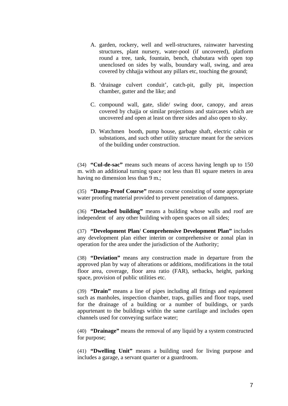- A. garden, rockery, well and well-structures, rainwater harvesting structures, plant nursery, water-pool (if uncovered), platform round a tree, tank, fountain, bench, chabutara with open top unenclosed on sides by walls, boundary wall, swing, and area covered by chhajja without any pillars etc, touching the ground;
- B. 'drainage culvert conduit', catch-pit, gully pit, inspection chamber, gutter and the like; and
- C. compound wall, gate, slide/ swing door, canopy, and areas covered by chajja or similar projections and staircases which are uncovered and open at least on three sides and also open to sky.
- D. Watchmen booth, pump house, garbage shaft, electric cabin or substations, and such other utility structure meant for the services of the building under construction.

(34) **"Cul-de-sac"** means such means of access having length up to 150 m. with an additional turning space not less than 81 square meters in area having no dimension less than 9 m.;

(35) **"Damp-Proof Course"** means course consisting of some appropriate water proofing material provided to prevent penetration of dampness.

(36) **"Detached building"** means a building whose walls and roof are independent of any other building with open spaces on all sides;

(37) **"Development Plan/ Comprehensive Development Plan"** includes any development plan either interim or comprehensive or zonal plan in operation for the area under the jurisdiction of the Authority;

(38) **"Deviation"** means any construction made in departure from the approved plan by way of alterations or additions, modifications in the total floor area, coverage, floor area ratio (FAR), setbacks, height, parking space, provision of public utilities etc.

(39) **"Drain"** means a line of pipes including all fittings and equipment such as manholes, inspection chamber, traps, gullies and floor traps, used for the drainage of a building or a number of buildings, or yards appurtenant to the buildings within the same cartilage and includes open channels used for conveying surface water;

(40) **"Drainage"** means the removal of any liquid by a system constructed for purpose;

(41) **"Dwelling Unit"** means a building used for living purpose and includes a garage, a servant quarter or a guardroom.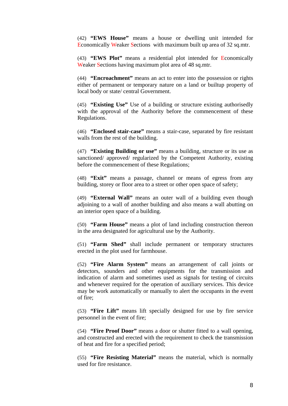(42) **"EWS House"** means a house or dwelling unit intended for Economically Weaker Sections with maximum built up area of 32 sq.mtr.

(43) **"EWS Plot"** means a residential plot intended for Economically Weaker Sections having maximum plot area of 48 sq.mtr.

(44) **"Encroachment"** means an act to enter into the possession or rights either of permanent or temporary nature on a land or builtup property of local body or state/ central Government.

(45) **"Existing Use"** Use of a building or structure existing authorisedly with the approval of the Authority before the commencement of these Regulations.

(46) **"Enclosed stair-case"** means a stair-case, separated by fire resistant walls from the rest of the building.

(47) **"Existing Building or use"** means a building, structure or its use as sanctioned/ approved/ regularized by the Competent Authority, existing before the commencement of these Regulations;

(48) **"Exit"** means a passage, channel or means of egress from any building, storey or floor area to a street or other open space of safety;

(49) **"External Wall"** means an outer wall of a building even though adjoining to a wall of another building and also means a wall abutting on an interior open space of a building.

(50) **"Farm House"** means a plot of land including construction thereon in the area designated for agricultural use by the Authority.

(51) **"Farm Shed"** shall include permanent or temporary structures erected in the plot used for farmhouse.

(52) **"Fire Alarm System"** means an arrangement of call joints or detectors, sounders and other equipments for the transmission and indication of alarm and sometimes used as signals for testing of circuits and whenever required for the operation of auxiliary services. This device may be work automatically or manually to alert the occupants in the event of fire;

(53) **"Fire Lift"** means lift specially designed for use by fire service personnel in the event of fire;

(54) **"Fire Proof Door"** means a door or shutter fitted to a wall opening, and constructed and erected with the requirement to check the transmission of heat and fire for a specified period;

(55) **"Fire Resisting Material"** means the material, which is normally used for fire resistance.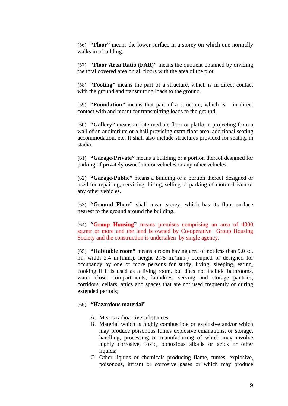(56) **"Floor"** means the lower surface in a storey on which one normally walks in a building.

(57) **"Floor Area Ratio (FAR)"** means the quotient obtained by dividing the total covered area on all floors with the area of the plot.

(58) **"Footing"** means the part of a structure, which is in direct contact with the ground and transmitting loads to the ground.

(59) **"Foundation"** means that part of a structure, which is in direct contact with and meant for transmitting loads to the ground.

(60) **"Gallery"** means an intermediate floor or platform projecting from a wall of an auditorium or a hall providing extra floor area, additional seating accommodation, etc. It shall also include structures provided for seating in stadia.

(61) **"Garage-Private"** means a building or a portion thereof designed for parking of privately owned motor vehicles or any other vehicles.

(62) **"Garage-Public"** means a building or a portion thereof designed or used for repairing, servicing, hiring, selling or parking of motor driven or any other vehicles.

(63) **"Ground Floor"** shall mean storey, which has its floor surface nearest to the ground around the building.

(64) **"Group Housing"** means premises comprising an area of 4000 sq.mtr or more and the land is owned by Co-operative Group Housing Society and the construction is undertaken by single agency.

(65) **"Habitable room"** means a room having area of not less than 9.0 sq. m., width 2.4 m.(min.), height 2.75 m.(min.) occupied or designed for occupancy by one or more persons for study, living, sleeping, eating, cooking if it is used as a living room, but does not include bathrooms, water closet compartments, laundries, serving and storage pantries, corridors, cellars, attics and spaces that are not used frequently or during extended periods;

### (66) **"Hazardous material"**

- A. Means radioactive substances;
- B. Material which is highly combustible or explosive and/or which may produce poisonous fumes explosive emanations, or storage, handling, processing or manufacturing of which may involve highly corrosive, toxic, obnoxious alkalis or acids or other liquids;
- C. Other liquids or chemicals producing flame, fumes, explosive, poisonous, irritant or corrosive gases or which may produce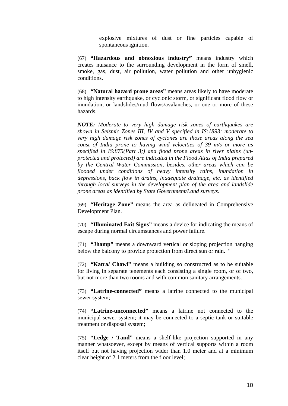explosive mixtures of dust or fine particles capable of spontaneous ignition.

(67) **"Hazardous and obnoxious industry"** means industry which creates nuisance to the surrounding development in the form of smell, smoke, gas, dust, air pollution, water pollution and other unhygienic conditions.

(68) **"Natural hazard prone areas"** means areas likely to have moderate to high intensity earthquake, or cyclonic storm, or significant flood flow or inundation, or landslides/mud flows/avalanches, or one or more of these hazards.

*NOTE: Moderate to very high damage risk zones of earthquakes are shown in Seismic Zones III, IV and V specified in IS:1893; moderate to very high damage risk zones of cyclones are those areas along the sea coast of India prone to having wind velocities of 39 m/s or more as specified in IS:875(Part 3;) and flood prone areas in river plains (unprotected and protected) are indicated in the Flood Atlas of India prepared by the Central Water Commission, besides, other areas which can be flooded under conditions of heavy intensity rains, inundation in depressions, back flow in drains, inadequate drainage, etc. as identified through local surveys in the development plan of the area and landslide prone areas as identified by State Government/Land surveys.* 

(69) **"Heritage Zone"** means the area as delineated in Comprehensive Development Plan.

(70) **"Illuminated Exit Signs"** means a device for indicating the means of escape during normal circumstances and power failure.

(71) **"Jhamp"** means a downward vertical or sloping projection hanging below the balcony to provide protection from direct sun or rain. "

(72) **"Katra/ Chawl"** means a building so constructed as to be suitable for living in separate tenements each consisting a single room, or of two, but not more than two rooms and with common sanitary arrangements.

(73) **"Latrine-connected"** means a latrine connected to the municipal sewer system;

(74) **"Latrine-unconnected"** means a latrine not connected to the municipal sewer system; it may be connected to a septic tank or suitable treatment or disposal system;

(75) **"Ledge / Tand"** means a shelf-like projection supported in any manner whatsoever, except by means of vertical supports within a room itself but not having projection wider than 1.0 meter and at a minimum clear height of 2.1 meters from the floor level;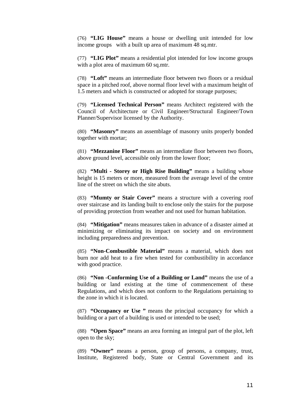(76) **"LIG House"** means a house or dwelling unit intended for low income groups with a built up area of maximum 48 sq.mtr.

(77) **"LIG Plot"** means a residential plot intended for low income groups with a plot area of maximum 60 sq.mtr.

(78) **"Loft"** means an intermediate floor between two floors or a residual space in a pitched roof, above normal floor level with a maximum height of 1.5 meters and which is constructed or adopted for storage purposes;

(79) **"Licensed Technical Person"** means Architect registered with the Council of Architecture or Civil Engineer/Structural Engineer/Town Planner/Supervisor licensed by the Authority.

(80) **"Masonry"** means an assemblage of masonry units properly bonded together with mortar;

(81) **"Mezzanine Floor"** means an intermediate floor between two floors, above ground level, accessible only from the lower floor;

(82) **"Multi - Storey or High Rise Building"** means a building whose height is 15 meters or more, measured from the average level of the centre line of the street on which the site abuts.

(83) **"Mumty or Stair Cover"** means a structure with a covering roof over staircase and its landing built to enclose only the stairs for the purpose of providing protection from weather and not used for human habitation.

(84) **"Mitigation"** means measures taken in advance of a disaster aimed at minimizing or eliminating its impact on society and on environment including preparedness and prevention.

(85) **"Non-Combustible Material"** means a material, which does not burn nor add heat to a fire when tested for combustibility in accordance with good practice.

(86) **"Non -Conforming Use of a Building or Land"** means the use of a building or land existing at the time of commencement of these Regulations, and which does not conform to the Regulations pertaining to the zone in which it is located.

(87) **"Occupancy or Use "** means the principal occupancy for which a building or a part of a building is used or intended to be used;

(88) **"Open Space"** means an area forming an integral part of the plot, left open to the sky;

(89) **"Owner"** means a person, group of persons, a company, trust, Institute, Registered body, State or Central Government and its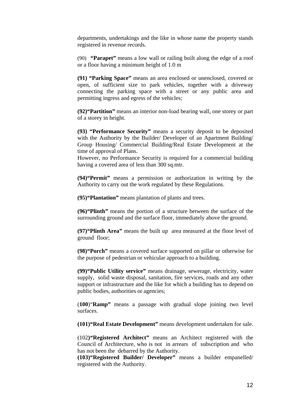departments, undertakings and the like in whose name the property stands registered in revenue records.

(90) **"Parapet"** means a low wall or railing built along the edge of a roof or a floor having a minimum height of 1.0 m

**(91) "Parking Space"** means an area enclosed or unenclosed, covered or open, of sufficient size to park vehicles, together with a driveway connecting the parking space with a street or any public area and permitting ingress and egress of the vehicles;

**(92)"Partition"** means an interior non-load bearing wall, one storey or part of a storey in height.

**(93) "Performance Security"** means a security deposit to be deposited with the Authority by the Builder/ Developer of an Apartment Building/ Group Housing/ Commercial Building/Real Estate Development at the time of approval of Plans.

However, no Performance Security is required for a commercial building having a covered area of less than 300 sq.mtr.

**(94)"Permit"** means a permission or authorization in writing by the Authority to carry out the work regulated by these Regulations.

**(95)"Plantation"** means plantation of plants and trees.

**(96)"Plinth"** means the portion of a structure between the surface of the surrounding ground and the surface floor, immediately above the ground.

**(97)"Plinth Area"** means the built up area measured at the floor level of ground floor;

**(98)"Porch"** means a covered surface supported on pillar or otherwise for the purpose of pedestrian or vehicular approach to a building.

**(99)"Public Utility service"** means drainage, sewerage, electricity, water supply, solid waste disposal, sanitation, fire services, roads and any other support or infrastructure and the like for which a building has to depend on public bodies, authorities or agencies;

(**100**)"**Ramp"** means a passage with gradual slope joining two level surfaces.

**(101)"Real Estate Development"** means development undertaken for sale.

(102**)"Registered Architect"** means an Architect registered with the Council of Architecture, who is not in arrears of subscription and who has not been the debarred by the Authority.

**(103)"Registered Builder/ Developer"** means a builder empanelled/ registered with the Authority.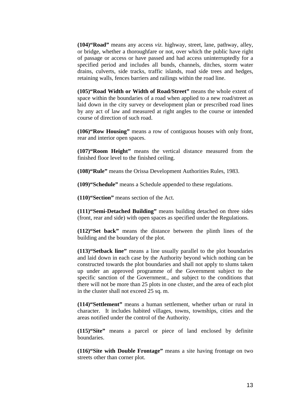**(104)"Road"** means any access *viz.* highway, street, lane, pathway, alley, or bridge, whether a thoroughfare or not, over which the public have right of passage or access or have passed and had access uninterruptedly for a specified period and includes all bunds, channels, ditches, storm water drains, culverts, side tracks, traffic islands, road side trees and hedges, retaining walls, fences barriers and railings within the road line.

**(105)"Road Width or Width of Road/Street"** means the whole extent of space within the boundaries of a road when applied to a new road/street as laid down in the city survey or development plan or prescribed road lines by any act of law and measured at right angles to the course or intended course of direction of such road.

**(106)"Row Housing"** means a row of contiguous houses with only front, rear and interior open spaces.

**(107)"Room Height"** means the vertical distance measured from the finished floor level to the finished ceiling.

**(108)"Rule"** means the Orissa Development Authorities Rules, 1983.

**(109)"Schedule"** means a Schedule appended to these regulations.

**(110)"Section"** means section of the Act.

**(111)"Semi-Detached Building"** means building detached on three sides (front, rear and side) with open spaces as specified under the Regulations.

**(112)"Set back"** means the distance between the plinth lines of the building and the boundary of the plot.

**(113)"Setback line"** means a line usually parallel to the plot boundaries and laid down in each case by the Authority beyond which nothing can be constructed towards the plot boundaries and shall not apply to slums taken up under an approved programme of the Government subject to the specific sanction of the Government., and subject to the conditions that there will not be more than 25 plots in one cluster, and the area of each plot in the cluster shall not exceed 25 sq. m.

**(114)"Settlement"** means a human settlement, whether urban or rural in character. It includes habited villages, towns, townships, cities and the areas notified under the control of the Authority.

**(115)"Site"** means a parcel or piece of land enclosed by definite boundaries.

**(116)"Site with Double Frontage"** means a site having frontage on two streets other than corner plot.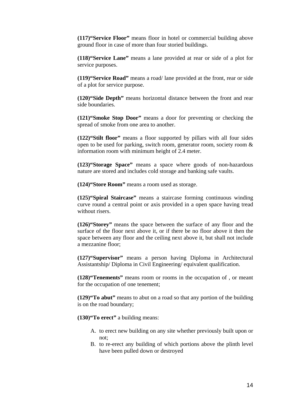**(117)"Service Floor"** means floor in hotel or commercial building above ground floor in case of more than four storied buildings.

**(118)"Service Lane"** means a lane provided at rear or side of a plot for service purposes.

**(119)"Service Road"** means a road/ lane provided at the front, rear or side of a plot for service purpose.

**(120)"Side Depth"** means horizontal distance between the front and rear side boundaries.

**(121)"Smoke Stop Door"** means a door for preventing or checking the spread of smoke from one area to another.

**(122)"Stilt floor"** means a floor supported by pillars with all four sides open to be used for parking, switch room, generator room, society room & information room with minimum height of 2.4 meter.

**(123)"Storage Space"** means a space where goods of non-hazardous nature are stored and includes cold storage and banking safe vaults.

**(124)"Store Room"** means a room used as storage.

**(125)"Spiral Staircase"** means a staircase forming continuous winding curve round a central point or axis provided in a open space having tread without risers.

**(126)"Storey"** means the space between the surface of any floor and the surface of the floor next above it, or if there be no floor above it then the space between any floor and the ceiling next above it, but shall not include a mezzanine floor;

**(127)"Supervisor"** means a person having Diploma in Architectural Assistantship/ Diploma in Civil Engineering/ equivalent qualification.

**(128)"Tenements"** means room or rooms in the occupation of , or meant for the occupation of one tenement;

**(129)"To abut"** means to abut on a road so that any portion of the building is on the road boundary;

**(130)"To erect"** a building means:

- A. to erect new building on any site whether previously built upon or not;
- B. to re-erect any building of which portions above the plinth level have been pulled down or destroyed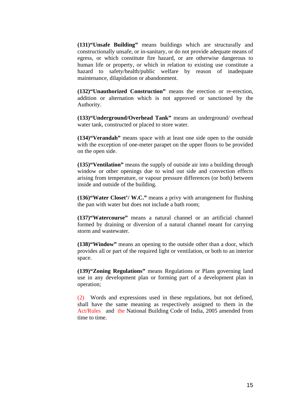**(131)"Unsafe Building"** means buildings which are structurally and constructionally unsafe, or in-sanitary, or do not provide adequate means of egress, or which constitute fire hazard, or are otherwise dangerous to human life or property, or which in relation to existing use constitute a hazard to safety/health/public welfare by reason of inadequate maintenance, dilapidation or abandonment.

**(132)"Unauthorized Construction"** means the erection or re-erection, addition or alternation which is not approved or sanctioned by the Authority.

**(133)"Underground/Overhead Tank"** means an underground/ overhead water tank, constructed or placed to store water.

**(134)"Verandah"** means space with at least one side open to the outside with the exception of one-meter parapet on the upper floors to be provided on the open side.

**(135)"Ventilation"** means the supply of outside air into a building through window or other openings due to wind out side and convection effects arising from temperature, or vapour pressure differences (or both) between inside and outside of the building.

**(136)"Water Closet'/ W.C."** means a privy with arrangement for flushing the pan with water but does not include a bath room;

**(137)"Watercourse"** means a natural channel or an artificial channel formed by draining or diversion of a natural channel meant for carrying storm and wastewater.

**(138)"Window"** means an opening to the outside other than a door, which provides all or part of the required light or ventilation, or both to an interior space.

**(139)"Zoning Regulations"** means Regulations or Plans governing land use in any development plan or forming part of a development plan in operation;

(2) Words and expressions used in these regulations, but not defined, shall have the same meaning as respectively assigned to them in the Act/Rules and the National Building Code of India, 2005 amended from time to time.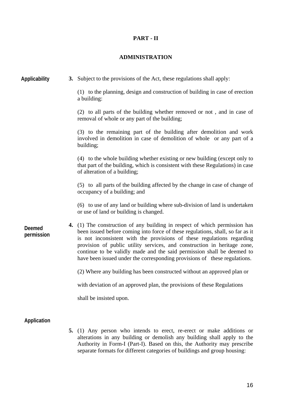## **PART - II**

## **ADMINISTRATION**

| Applicability        | 3. Subject to the provisions of the Act, these regulations shall apply:                                                                                                                                                                                                                                                                                                                                                                                                   |
|----------------------|---------------------------------------------------------------------------------------------------------------------------------------------------------------------------------------------------------------------------------------------------------------------------------------------------------------------------------------------------------------------------------------------------------------------------------------------------------------------------|
|                      | (1) to the planning, design and construction of building in case of erection<br>a building:                                                                                                                                                                                                                                                                                                                                                                               |
|                      | (2) to all parts of the building whether removed or not, and in case of<br>removal of whole or any part of the building;                                                                                                                                                                                                                                                                                                                                                  |
|                      | (3) to the remaining part of the building after demolition and work<br>involved in demolition in case of demolition of whole or any part of a<br>building;                                                                                                                                                                                                                                                                                                                |
|                      | (4) to the whole building whether existing or new building (except only to<br>that part of the building, which is consistent with these Regulations) in case<br>of alteration of a building;                                                                                                                                                                                                                                                                              |
|                      | (5) to all parts of the building affected by the change in case of change of<br>occupancy of a building; and                                                                                                                                                                                                                                                                                                                                                              |
|                      | (6) to use of any land or building where sub-division of land is undertaken<br>or use of land or building is changed.                                                                                                                                                                                                                                                                                                                                                     |
| Deemed<br>permission | 4. (1) The construction of any building in respect of which permission has<br>been issued before coming into force of these regulations, shall, so far as it<br>is not inconsistent with the provisions of these regulations regarding<br>provision of public utility services, and construction in heritage zone,<br>continue to be validly made and the said permission shall be deemed to<br>have been issued under the corresponding provisions of these regulations. |
|                      | (2) Where any building has been constructed without an approved plan or                                                                                                                                                                                                                                                                                                                                                                                                   |
|                      | with deviation of an approved plan, the provisions of these Regulations                                                                                                                                                                                                                                                                                                                                                                                                   |
|                      | shall be insisted upon.                                                                                                                                                                                                                                                                                                                                                                                                                                                   |
| Application          |                                                                                                                                                                                                                                                                                                                                                                                                                                                                           |

**5.** (1) Any person who intends to erect, re-erect or make additions or alterations in any building or demolish any building shall apply to the Authority in Form-I (Part-I). Based on this, the Authority may prescribe separate formats for different categories of buildings and group housing: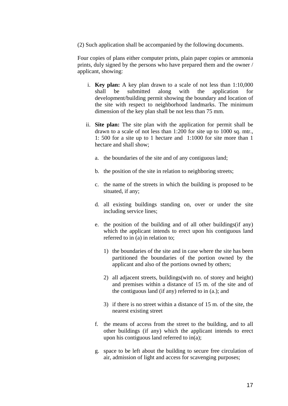(2) Such application shall be accompanied by the following documents.

Four copies of plans either computer prints, plain paper copies or ammonia prints, duly signed by the persons who have prepared them and the owner / applicant, showing:

- i. **Key plan:** A key plan drawn to a scale of not less than 1:10,000 shall be submitted along with the application for development/building permit showing the boundary and location of the site with respect to neighborhood landmarks. The minimum dimension of the key plan shall be not less than 75 mm.
- ii. **Site plan:** The site plan with the application for permit shall be drawn to a scale of not less than 1:200 for site up to 1000 sq. mtr., 1: 500 for a site up to 1 hectare and 1:1000 for site more than 1 hectare and shall show;
	- a. the boundaries of the site and of any contiguous land;
	- b. the position of the site in relation to neighboring streets;
	- c. the name of the streets in which the building is proposed to be situated, if any;
	- d. all existing buildings standing on, over or under the site including service lines;
	- e. the position of the building and of all other buildings(if any) which the applicant intends to erect upon his contiguous land referred to in (a) in relation to;
		- 1) the boundaries of the site and in case where the site has been partitioned the boundaries of the portion owned by the applicant and also of the portions owned by others;
		- 2) all adjacent streets, buildings(with no. of storey and height) and premises within a distance of 15 m. of the site and of the contiguous land (if any) referred to in (a.); and
		- 3) if there is no street within a distance of 15 m. of the site, the nearest existing street
	- f. the means of access from the street to the building, and to all other buildings (if any) which the applicant intends to erect upon his contiguous land referred to in(a);
	- g. space to be left about the building to secure free circulation of air, admission of light and access for scavenging purposes;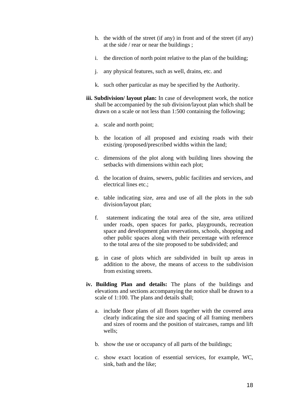- h. the width of the street (if any) in front and of the street (if any) at the side / rear or near the buildings ;
- i. the direction of north point relative to the plan of the building;
- j. any physical features, such as well, drains, etc. and
- k. such other particular as may be specified by the Authority.
- **iii. Subdivision/ layout plan:** In case of development work, the notice shall be accompanied by the sub division/layout plan which shall be drawn on a scale or not less than 1:500 containing the following;
	- a. scale and north point;
	- b. the location of all proposed and existing roads with their existing /proposed/prescribed widths within the land;
	- c. dimensions of the plot along with building lines showing the setbacks with dimensions within each plot;
	- d. the location of drains, sewers, public facilities and services, and electrical lines etc.;
	- e. table indicating size, area and use of all the plots in the sub division/layout plan;
	- f. statement indicating the total area of the site, area utilized under roads, open spaces for parks, playgrounds, recreation space and development plan reservations, schools, shopping and other public spaces along with their percentage with reference to the total area of the site proposed to be subdivided; and
	- g. in case of plots which are subdivided in built up areas in addition to the above, the means of access to the subdivision from existing streets.
- **iv. Building Plan and details:** The plans of the buildings and elevations and sections accompanying the notice shall be drawn to a scale of 1:100. The plans and details shall;
	- a. include floor plans of all floors together with the covered area clearly indicating the size and spacing of all framing members and sizes of rooms and the position of staircases, ramps and lift wells;
	- b. show the use or occupancy of all parts of the buildings;
	- c. show exact location of essential services, for example, WC, sink, bath and the like;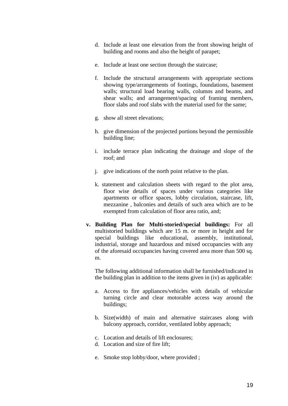- d. Include at least one elevation from the front showing height of building and rooms and also the height of parapet;
- e. Include at least one section through the staircase;
- f. Include the structural arrangements with appropriate sections showing type/arrangements of footings, foundations, basement walls; structural load bearing walls, columns and beams, and shear walls; and arrangement/spacing of framing members, floor slabs and roof slabs with the material used for the same;
- g. show all street elevations;
- h. give dimension of the projected portions beyond the permissible building line;
- i. include terrace plan indicating the drainage and slope of the roof; and
- j. give indications of the north point relative to the plan.
- k. statement and calculation sheets with regard to the plot area, floor wise details of spaces under various categories like apartments or office spaces, lobby circulation, staircase, lift, mezzanine , balconies and details of such area which are to be exempted from calculation of floor area ratio, and;
- **v. Building Plan for Multi-storied/special buildings:** For all multistoried buildings which are 15 m. or more in height and for special buildings like educational, assembly, institutional, industrial, storage and hazardous and mixed occupancies with any of the aforesaid occupancies having covered area more than 500 sq. m.

The following additional information shall be furnished/indicated in the building plan in addition to the items given in (iv) as applicable:

- a. Access to fire appliances/vehicles with details of vehicular turning circle and clear motorable access way around the buildings;
- b. Size(width) of main and alternative staircases along with balcony approach, corridor, ventilated lobby approach;
- c. Location and details of lift enclosures;
- d. Location and size of fire lift;
- e. Smoke stop lobby/door, where provided ;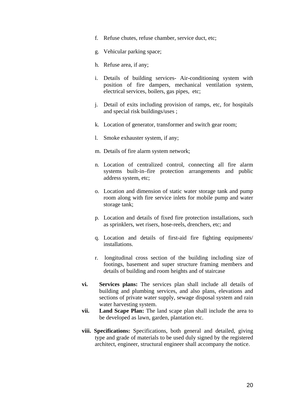- f. Refuse chutes, refuse chamber, service duct, etc;
- g. Vehicular parking space;
- h. Refuse area, if any;
- i. Details of building services- Air-conditioning system with position of fire dampers, mechanical ventilation system, electrical services, boilers, gas pipes, etc;
- j. Detail of exits including provision of ramps, etc, for hospitals and special risk buildings/uses ;
- k. Location of generator, transformer and switch gear room;
- l. Smoke exhauster system, if any;
- m. Details of fire alarm system network;
- n. Location of centralized control, connecting all fire alarm systems built-in–fire protection arrangements and public address system, etc;
- o. Location and dimension of static water storage tank and pump room along with fire service inlets for mobile pump and water storage tank;
- p. Location and details of fixed fire protection installations, such as sprinklers, wet risers, hose-reels, drenchers, etc; and
- q. Location and details of first-aid fire fighting equipments/ installations.
- r. longitudinal cross section of the building including size of footings, basement and super structure framing members and details of building and room heights and of staircase
- **vi. Services plans:** The services plan shall include all details of building and plumbing services, and also plans, elevations and sections of private water supply, sewage disposal system and rain water harvesting system.
- **vii. Land Scape Plan:** The land scape plan shall include the area to be developed as lawn, garden, plantation etc.
- **viii. Specifications:** Specifications, both general and detailed, giving type and grade of materials to be used duly signed by the registered architect, engineer, structural engineer shall accompany the notice.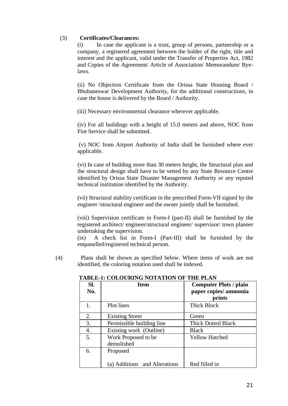#### (3) **Certificates/Clearances:**

(i) In case the applicant is a trust, group of persons, partnership or a company, a registered agreement between the holder of the right, title and interest and the applicant, valid under the Transfer of Properties Act, 1982 and Copies of the Agreement/ Article of Association/ Memorandum/ Byelaws.

(ii) No Objection Certificate from the Orissa State Housing Board / Bhubaneswar Development Authority, for the additional constructions, in case the house is delivered by the Board / Authority.

(iii) Necessary environmental clearance wherever applicable.

(iv) For all buildings with a height of 15.0 meters and above, NOC from Fire Service shall be submitted.

 (v) NOC from Airport Authority of India shall be furnished where ever applicable.

(vi) In case of building more than 30 meters height, the Structural plan and the structural design shall have to be vetted by any State Resource Centre identified by Orissa State Disaster Management Authority or any reputed technical institution identified by the Authority.

(vii) Structural stability certificate in the prescribed Form-VII signed by the engineer /structural engineer and the owner jointly shall be furnished.

(viii) Supervision certificate in Form-I (part-II) shall be furnished by the registered architect/ engineer/structural engineer/ supervisor/ town planner undertaking the supervision.

(ix) A check list in Form-I (Part-III) shall be furnished by the empanelled/registered technical person.

(4) Plans shall be shown as specified below. Where items of work are not identified, the coloring notation used shall be indexed.

| Sl.<br>No. | <b>Item</b>                       | <b>Computer Plots / plain</b><br>paper copies/ ammonia |
|------------|-----------------------------------|--------------------------------------------------------|
|            |                                   | prints                                                 |
| 1.         | Plot lines                        | <b>Thick Block</b>                                     |
| 2.         | <b>Existing Street</b>            | Green                                                  |
| 3.         | Permissible building line         | <b>Thick Dotted Black</b>                              |
| 4.         | Existing work (Outline)           | <b>Black</b>                                           |
| 5.         | Work Proposed to be<br>demolished | <b>Yellow Hatched</b>                                  |
| 6.         | Proposed                          |                                                        |
|            | (a) Additions and Alterations     | Red filled in                                          |

#### **TABLE-1: COLOURING NOTATION OF THE PLAN**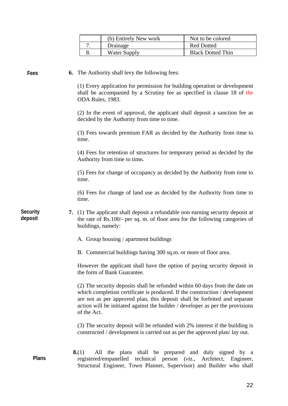| (b) Entirely New work | Not to be colored        |
|-----------------------|--------------------------|
| Drainage              | <b>Red Dotted</b>        |
| Water Supply          | <b>Black Dotted Thin</b> |

**Fees**

**6.** The Authority shall levy the following fees:

(1) Every application for permission for building operation or development shall be accompanied by a Scrutiny fee as specified in clause 18 of the ODA Rules, 1983.

(2) In the event of approval, the applicant shall deposit a sanction fee as decided by the Authority from time to time.

(3) Fees towards premium FAR as decided by the Authority from time to time.

(4) Fees for retention of structures for temporary period as decided by the Authority from time to time**.** 

(5) Fees for change of occupancy as decided by the Authority from time to time.

(6) Fees for change of land use as decided by the Authority from time to time.

**7.** (1) The applicant shall deposit a refundable non earning security deposit at the rate of Rs.100/- per sq. m. of floor area for the following categories of buildings, namely: **Security deposit** 

- A. Group housing / apartment buildings
- B. Commercial buildings having 300 sq.m. or more of floor area.

However the applicant shall have the option of paying security deposit in the form of Bank Guarantee.

(2) The security deposits shall be refunded within 60 days from the date on which completion certificate is produced. If the construction / development are not as per approved plan, this deposit shall be forfeited and separate action will be initiated against the builder / developer as per the provisions of the Act.

(3) The security deposit will be refunded with 2% interest if the building is constructed / development is carried out as per the approved plan/ lay out.

**8.**(1) All the plans shall be prepared and duly signed by a registered/empanelled technical person (*viz.*, Architect, Engineer, Structural Engineer, Town Planner, Supervisor) and Builder who shall **Plans**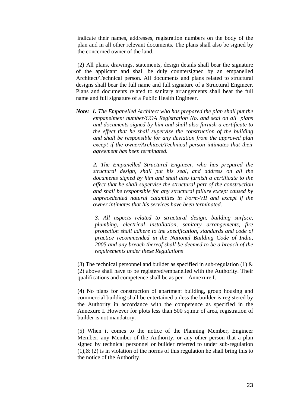indicate their names, addresses, registration numbers on the body of the plan and in all other relevant documents. The plans shall also be signed by the concerned owner of the land.

 (2) All plans, drawings, statements, design details shall bear the signature of the applicant and shall be duly countersigned by an empanelled Architect/Technical person. All documents and plans related to structural designs shall bear the full name and full signature of a Structural Engineer. Plans and documents related to sanitary arrangements shall bear the full name and full signature of a Public Health Engineer.

*Note: 1. The Empanelled Architect who has prepared the plan shall put the empanelment number/COA Registration No. and seal on all plans and documents signed by him and shall also furnish a certificate to the effect that he shall supervise the construction of the building and shall be responsible for any deviation from the approved plan except if the owner/Architect/Technical person intimates that their agreement has been terminated.* 

*2. The Empanelled Structural Engineer, who has prepared the structural design, shall put his seal, and address on all the documents signed by him and shall also furnish a certificate to the effect that he shall supervise the structural part of the construction and shall be responsible for any structural failure except caused by unprecedented natural calamities in Form-VII and except if the owner intimates that his services have been terminated.* 

*3. All aspects related to structural design, building surface, plumbing, electrical installation, sanitary arrangements, fire protection shall adhere to the specification, standards and code of practice recommended in the National Building Code of India, 2005 and any breach thereof shall be deemed to be a breach of the requirements under these Regulations*

(3) The technical personnel and builder as specified in sub-regulation (1)  $\&$ (2) above shall have to be registered/empanelled with the Authority. Their qualifications and competence shall be as per Annexure I.

(4) No plans for construction of apartment building, group housing and commercial building shall be entertained unless the builder is registered by the Authority in accordance with the competence as specified in the Annexure I. However for plots less than 500 sq.mtr of area, registration of builder is not mandatory.

(5) When it comes to the notice of the Planning Member, Engineer Member, any Member of the Authority, or any other person that a plan signed by technical personnel or builder referred to under sub-regulation  $(1)$ ,  $\&$   $(2)$  is in violation of the norms of this regulation he shall bring this to the notice of the Authority.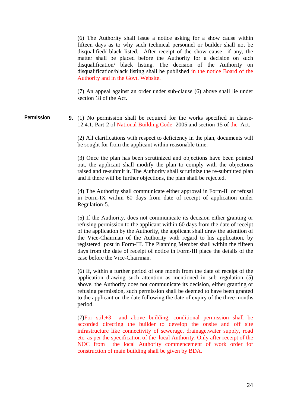(6) The Authority shall issue a notice asking for a show cause within fifteen days as to why such technical personnel or builder shall not be disqualified/ black listed. After receipt of the show cause if any, the matter shall be placed before the Authority for a decision on such disqualification/ black listing. The decision of the Authority on disqualification/black listing shall be published in the notice Board of the Authority and in the Govt. Website.

(7) An appeal against an order under sub-clause (6) above shall lie under section 18 of the Act.

**Permission** 

**9.** (1) No permission shall be required for the works specified in clause-12.4.1, Part-2 of National Building Code -2005 and section-15 of the Act.

(2) All clarifications with respect to deficiency in the plan, documents will be sought for from the applicant within reasonable time.

(3) Once the plan has been scrutinized and objections have been pointed out, the applicant shall modify the plan to comply with the objections raised and re-submit it. The Authority shall scrutinize the re-submitted plan and if there will be further objections, the plan shall be rejected.

(4) The Authority shall communicate either approval in Form-II or refusal in Form-IX within 60 days from date of receipt of application under Regulation-5.

(5) If the Authority, does not communicate its decision either granting or refusing permission to the applicant within 60 days from the date of receipt of the application by the Authority, the applicant shall draw the attention of the Vice-Chairman of the Authority with regard to his application, by registered post in Form-III. The Planning Member shall within the fifteen days from the date of receipt of notice in Form-III place the details of the case before the Vice-Chairman.

(6) If, within a further period of one month from the date of receipt of the application drawing such attention as mentioned in sub regulation (5) above, the Authority does not communicate its decision, either granting or refusing permission, such permission shall be deemed to have been granted to the applicant on the date following the date of expiry of the three months period.

(7)For stilt+3 and above building, conditional permission shall be accorded directing the builder to develop the onsite and off site infrastructure like connectivity of sewerage, drainage,water supply, road etc. as per the specification of the local Authority. Only after receipt of the NOC from the local Authority commencement of work order for construction of main building shall be given by BDA.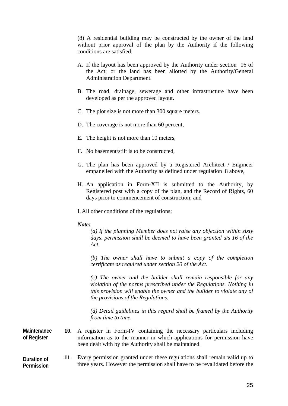(8) A residential building may be constructed by the owner of the land without prior approval of the plan by the Authority if the following conditions are satisfied:

- A. If the layout has been approved by the Authority under section 16 of the Act; or the land has been allotted by the Authority/General Administration Department.
- B. The road, drainage, sewerage and other infrastructure have been developed as per the approved layout.
- C. The plot size is not more than 300 square meters.
- D. The coverage is not more than 60 percent,
- E. The height is not more than 10 meters,
- F. No basement/stilt is to be constructed,
- G. The plan has been approved by a Registered Architect / Engineer empanelled with the Authority as defined under regulation 8 above,
- H. An application in Form-XII is submitted to the Authority, by Registered post with a copy of the plan, and the Record of Rights, 60 days prior to commencement of construction; and
- I. All other conditions of the regulations;

#### *Note:*

*(a) If the planning Member does not raise any objection within sixty days, permission shall be deemed to have been granted u/s 16 of the Act.* 

*(b) The owner shall have to submit a copy of the completion certificate as required under section 20 of the Act.* 

*(c) The owner and the builder shall remain responsible for any violation of the norms prescribed under the Regulations. Nothing in this provision will enable the owner and the builder to violate any of the provisions of the Regulations.* 

*(d) Detail guidelines in this regard shall be framed by the Authority from time to time.* 

**10.** A register in Form-IV containing the necessary particulars including information as to the manner in which applications for permission have been dealt with by the Authority shall be maintained. **Maintenance of Register** 

**11**. Every permission granted under these regulations shall remain valid up to three years. However the permission shall have to be revalidated before the **Duration of Permission**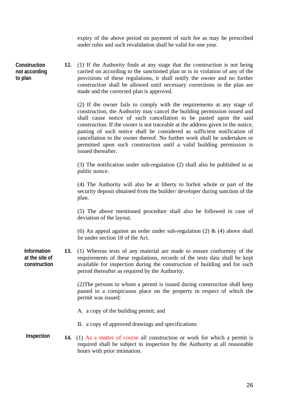expiry of the above period on payment of such fee as may be prescribed under rules and such revalidation shall be valid for one year.

**12.** (1) If the Authority finds at any stage that the construction is not being carried on according to the sanctioned plan or is in violation of any of the provisions of these regulations, it shall notify the owner and no further construction shall be allowed until necessary corrections in the plan are made and the corrected plan is approved.  $$ **not according to plan** 

> (2) If the owner fails to comply with the requirements at any stage of construction, the Authority may cancel the building permission issued and shall cause notice of such cancellation to be pasted upon the said construction. If the owner is not traceable at the address given in the notice, pasting of such notice shall be considered as sufficient notification of cancellation to the owner thereof. No further work shall be undertaken or permitted upon such construction until a valid building permission is issued thereafter.

> (3) The notification under sub-regulation (2) shall also be published in as public notice.

> (4) The Authority will also be at liberty to forfeit whole or part of the security deposit obtained from the builder/ developer during sanction of the plan.

> (5) The above mentioned procedure shall also be followed in case of deviation of the layout.

> (6) An appeal against an order under sub-regulation (2)  $\&$  (4) above shall lie under section 18 of the Act.

**13.** (1) Whereas tests of any material are made to ensure conformity of the requirements of these regulations, records of the tests data shall be kept available for inspection during the construction of building and for such period thereafter as required by the Authority. **Information at the site of construction** 

> (2)The persons to whom a permit is issued during construction shall keep pasted in a conspicuous place on the property in respect of which the permit was issued;

A. a copy of the building permit; and

- B. a copy of approved drawings and specifications
- **14.** (1) As a matter of course all construction or work for which a permit is required shall be subject to inspection by the Authority at all reasonable hours with prior intimation. **Inspection**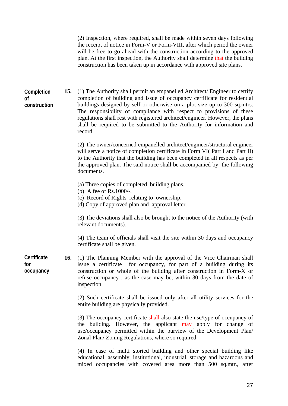(2) Inspection, where required, shall be made within seven days following the receipt of notice in Form-V or Form-VIII, after which period the owner will be free to go ahead with the construction according to the approved plan. At the first inspection, the Authority shall determine that the building construction has been taken up in accordance with approved site plans.

**Completion of construction**  **15.** (1) The Authority shall permit an empanelled Architect/ Engineer to certify completion of building and issue of occupancy certificate for residential buildings designed by self or otherwise on a plot size up to 300 sq.mtrs. The responsibility of compliance with respect to provisions of these regulations shall rest with registered architect/engineer. However, the plans shall be required to be submitted to the Authority for information and record.

(2) The owner/concerned empanelled architect/engineer/structural engineer will serve a notice of completion certificate in Form VI( Part I and Part II) to the Authority that the building has been completed in all respects as per the approved plan. The said notice shall be accompanied by the following documents.

- (a) Three copies of completed building plans.
- (b) A fee of Rs.1000/-.
- (c) Record of Rights relating to ownership.
- (d) Copy of approved plan and approval letter.

(3) The deviations shall also be brought to the notice of the Authority (with relevant documents).

(4) The team of officials shall visit the site within 30 days and occupancy certificate shall be given.

**16.** (1) The Planning Member with the approval of the Vice Chairman shall issue a certificate for occupancy, for part of a building during its construction or whole of the building after construction in Form-X or refuse occupancy , as the case may be, within 30 days from the date of inspection. **Certificate** 

> (2) Such certificate shall be issued only after all utility services for the entire building are physically provided.

> (3) The occupancy certificate shall also state the use/type of occupancy of the building. However, the applicant may apply for change of use/occupancy permitted within the purview of the Development Plan/ Zonal Plan/ Zoning Regulations, where so required.

> (4) In case of multi storied building and other special building like educational, assembly, institutional, industrial, storage and hazardous and mixed occupancies with covered area more than 500 sq.mtr., after

**for occupancy**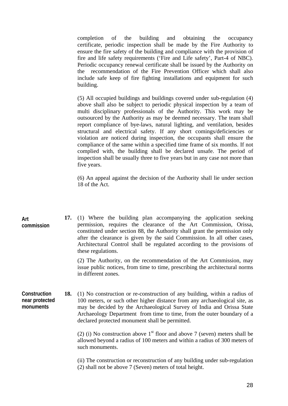completion of the building and obtaining the occupancy certificate, periodic inspection shall be made by the Fire Authority to ensure the fire safety of the building and compliance with the provision of fire and life safety requirements ('Fire and Life safety', Part-4 of NBC). Periodic occupancy renewal certificate shall be issued by the Authority on the recommendation of the Fire Prevention Officer which shall also include safe keep of fire fighting installations and equipment for such building.

(5) All occupied buildings and buildings covered under sub-regulation (4) above shall also be subject to periodic physical inspection by a team of multi disciplinary professionals of the Authority. This work may be outsourced by the Authority as may be deemed necessary. The team shall report compliance of bye-laws, natural lighting, and ventilation, besides structural and electrical safety. If any short comings/deficiencies or violation are noticed during inspection, the occupants shall ensure the compliance of the same within a specified time frame of six months. If not complied with, the building shall be declared unsafe. The period of inspection shall be usually three to five years but in any case not more than five years.

(6) An appeal against the decision of the Authority shall lie under section 18 of the Act.

| Art<br>commission                                  | 17.                                                                                           | (1) Where the building plan accompanying the application seeking<br>permission, requires the clearance of the Art Commission, Orissa,<br>constituted under section 88, the Authority shall grant the permission only<br>after the clearance is given by the said Commission. In all other cases,<br>Architectural Control shall be regulated according to the provisions of<br>these regulations.<br>(2) The Authority, on the recommendation of the Art Commission, may<br>issue public notices, from time to time, prescribing the architectural norms<br>in different zones. |  |  |
|----------------------------------------------------|-----------------------------------------------------------------------------------------------|---------------------------------------------------------------------------------------------------------------------------------------------------------------------------------------------------------------------------------------------------------------------------------------------------------------------------------------------------------------------------------------------------------------------------------------------------------------------------------------------------------------------------------------------------------------------------------|--|--|
|                                                    |                                                                                               |                                                                                                                                                                                                                                                                                                                                                                                                                                                                                                                                                                                 |  |  |
| Construction<br>18.<br>near protected<br>monuments |                                                                                               | (1) No construction or re-construction of any building, within a radius of<br>100 meters, or such other higher distance from any archaeological site, as<br>may be decided by the Archaeological Survey of India and Orissa State<br>Archaeology Department from time to time, from the outer boundary of a<br>declared protected monument shall be permitted.<br>(2) (i) No construction above $1st$ floor and above 7 (seven) meters shall be                                                                                                                                 |  |  |
|                                                    | allowed beyond a radius of 100 meters and within a radius of 300 meters of<br>such monuments. |                                                                                                                                                                                                                                                                                                                                                                                                                                                                                                                                                                                 |  |  |
|                                                    |                                                                                               | (ii) The construction or reconstruction of any building under sub-regulation<br>(2) shall not be above 7 (Seven) meters of total height.                                                                                                                                                                                                                                                                                                                                                                                                                                        |  |  |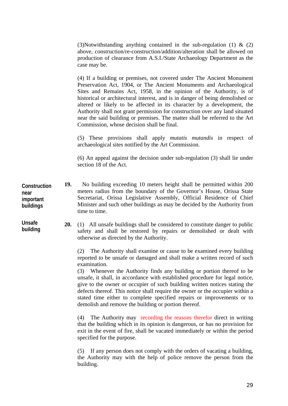(3)Notwithstanding anything contained in the sub-regulation (1) & (2) above, construction/re-construction/addition/alteration shall be allowed on production of clearance from A.S.I./State Archaeology Department as the case may be.

(4) If a building or premises, not covered under The Ancient Monument Preservation Act, 1904, or The Ancient Monuments and Archaeological Sites and Remains Act, 1958, in the opinion of the Authority, is of historical or architectural interest, and is in danger of being demolished or altered or likely to be affected in its character by a development, the Authority shall not grant permission for construction over any land situated near the said building or premises. The matter shall be referred to the Art Commission, whose decision shall be final.

(5) These provisions shall apply *mutatis mutandis* in respect of archaeological sites notified by the Art Commission.

(6) An appeal against the decision under sub-regulation (3) shall lie under section 18 of the Act.

**19.** No building exceeding 10 meters height shall be permitted within 200 meters radius from the boundary of the Governor's House, Orissa State Secretariat, Orissa Legislative Assembly, Official Residence of Chief Minister and such other buildings as may be decided by the Authority from time to time. **Construction near important buildings** 

> **20.** (1) All unsafe buildings shall be considered to constitute danger to public safety and shall be restored by repairs or demolished or dealt with otherwise as directed by the Authority.

(2) The Authority shall examine or cause to be examined every building reported to be unsafe or damaged and shall make a written record of such examination.

(3) Whenever the Authority finds any building or portion thereof to be unsafe, it shall, in accordance with established procedure for legal notice, give to the owner or occupier of such building written notices stating the defects thereof. This notice shall require the owner or the occupier within a stated time either to complete specified repairs or improvements or to demolish and remove the building or portion thereof.

(4) The Authority may recording the reasons therefor direct in writing that the building which in its opinion is dangerous, or has no provision for exit in the event of fire, shall be vacated immediately or within the period specified for the purpose.

(5) If any person does not comply with the orders of vacating a building, the Authority may with the help of police remove the person from the building.

**Unsafe building**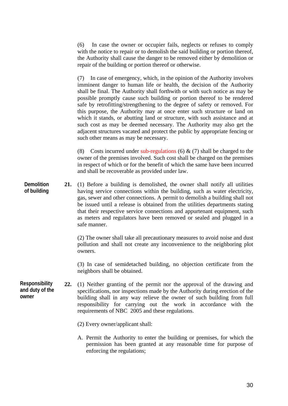(6) In case the owner or occupier fails, neglects or refuses to comply with the notice to repair or to demolish the said building or portion thereof, the Authority shall cause the danger to be removed either by demolition or repair of the building or portion thereof or otherwise.

(7) In case of emergency, which, in the opinion of the Authority involves imminent danger to human life or health, the decision of the Authority shall be final. The Authority shall forthwith or with such notice as may be possible promptly cause such building or portion thereof to be rendered safe by retrofitting/strengthening to the degree of safety or removed. For this purpose, the Authority may at once enter such structure or land on which it stands, or abutting land or structure, with such assistance and at such cost as may be deemed necessary. The Authority may also get the adjacent structures vacated and protect the public by appropriate fencing or such other means as may be necessary.

(8) Costs incurred under sub-regulations (6)  $\&$  (7) shall be charged to the owner of the premises involved. Such cost shall be charged on the premises in respect of which or for the benefit of which the same have been incurred and shall be recoverable as provided under law.

**21.** (1) Before a building is demolished, the owner shall notify all utilities having service connections within the building, such as water electricity, gas, sewer and other connections. A permit to demolish a building shall not be issued until a release is obtained from the utilities departments stating that their respective service connections and appurtenant equipment, such as meters and regulators have been removed or sealed and plugged in a safe manner. **Demolition of building** 

> (2) The owner shall take all precautionary measures to avoid noise and dust pollution and shall not create any inconvenience to the neighboring plot owners.

> (3) In case of semidetached building, no objection certificate from the neighbors shall be obtained.

- **22.** (1) Neither granting of the permit nor the approval of the drawing and specifications, nor inspections made by the Authority during erection of the building shall in any way relieve the owner of such building from full responsibility for carrying out the work in accordance with the requirements of NBC 2005 and these regulations. **Responsibility and duty of the owner** 
	- (2) Every owner/applicant shall:
	- A. Permit the Authority to enter the building or premises, for which the permission has been granted at any reasonable time for purpose of enforcing the regulations;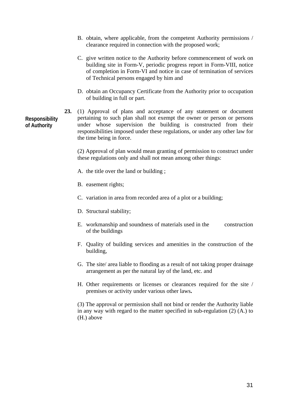- B. obtain, where applicable, from the competent Authority permissions / clearance required in connection with the proposed work;
- C. give written notice to the Authority before commencement of work on building site in Form-V, periodic progress report in Form-VIII, notice of completion in Form-VI and notice in case of termination of services of Technical persons engaged by him and
- D. obtain an Occupancy Certificate from the Authority prior to occupation of building in full or part.
- **23.** (1) Approval of plans and acceptance of any statement or document pertaining to such plan shall not exempt the owner or person or persons under whose supervision the building is constructed from their responsibilities imposed under these regulations, or under any other law for the time being in force.

(2) Approval of plan would mean granting of permission to construct under these regulations only and shall not mean among other things:

A. the title over the land or building ;

- B. easement rights;
- C. variation in area from recorded area of a plot or a building;
- D. Structural stability;
- E. workmanship and soundness of materials used in the construction of the buildings
- F. Quality of building services and amenities in the construction of the building,
- G. The site/ area liable to flooding as a result of not taking proper drainage arrangement as per the natural lay of the land, etc. and
- H. Other requirements or licenses or clearances required for the site / premises or activity under various other laws**.**

(3) The approval or permission shall not bind or render the Authority liable in any way with regard to the matter specified in sub-regulation (2) (A.) to (H.) above

# **Responsibility of Authority**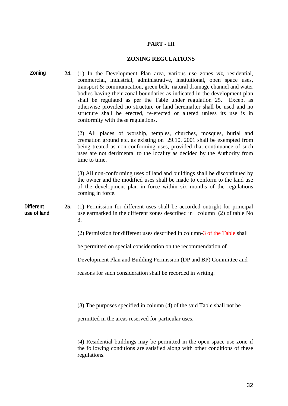## **PART - III**

# **ZONING REGULATIONS**

| Zoning                          |     | 24. (1) In the Development Plan area, various use zones <i>viz</i> , residential,<br>commercial, industrial, administrative, institutional, open space uses,<br>transport & communication, green belt, natural drainage channel and water<br>bodies having their zonal boundaries as indicated in the development plan<br>shall be regulated as per the Table under regulation 25. Except as<br>otherwise provided no structure or land hereinafter shall be used and no<br>structure shall be erected, re-erected or altered unless its use is in<br>conformity with these regulations. |
|---------------------------------|-----|------------------------------------------------------------------------------------------------------------------------------------------------------------------------------------------------------------------------------------------------------------------------------------------------------------------------------------------------------------------------------------------------------------------------------------------------------------------------------------------------------------------------------------------------------------------------------------------|
|                                 |     | (2) All places of worship, temples, churches, mosques, burial and<br>cremation ground etc. as existing on 29.10. 2001 shall be exempted from<br>being treated as non-conforming uses, provided that continuance of such<br>uses are not detrimental to the locality as decided by the Authority from<br>time to time.                                                                                                                                                                                                                                                                    |
|                                 |     | (3) All non-conforming uses of land and buildings shall be discontinued by<br>the owner and the modified uses shall be made to conform to the land use<br>of the development plan in force within six months of the regulations<br>coming in force.                                                                                                                                                                                                                                                                                                                                      |
| <b>Different</b><br>use of land | 25. | (1) Permission for different uses shall be accorded outright for principal<br>use earmarked in the different zones described in column (2) of table No<br>3.                                                                                                                                                                                                                                                                                                                                                                                                                             |
|                                 |     | (2) Permission for different uses described in column-3 of the Table shall                                                                                                                                                                                                                                                                                                                                                                                                                                                                                                               |
|                                 |     | be permitted on special consideration on the recommendation of                                                                                                                                                                                                                                                                                                                                                                                                                                                                                                                           |
|                                 |     | Development Plan and Building Permission (DP and BP) Committee and                                                                                                                                                                                                                                                                                                                                                                                                                                                                                                                       |
|                                 |     | reasons for such consideration shall be recorded in writing.                                                                                                                                                                                                                                                                                                                                                                                                                                                                                                                             |
|                                 |     | (3) The purposes specified in column (4) of the said Table shall not be                                                                                                                                                                                                                                                                                                                                                                                                                                                                                                                  |
|                                 |     | permitted in the areas reserved for particular uses.                                                                                                                                                                                                                                                                                                                                                                                                                                                                                                                                     |
|                                 |     | (4) Residential buildings may be permitted in the open space use zone if<br>the following conditions are satisfied along with other conditions of these                                                                                                                                                                                                                                                                                                                                                                                                                                  |

regulations.

32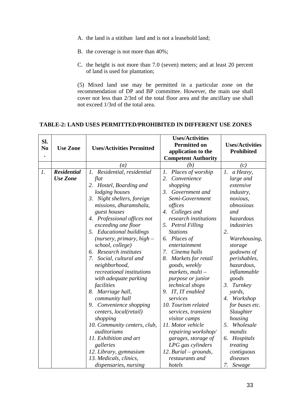- A. the land is a stitiban land and is not a leasehold land;
- B. the coverage is not more than 40%;
- C. the height is not more than 7.0 (seven) meters; and at least 20 percent of land is used for plantation;

(5) Mixed land use may be permitted in a particular zone on the recommendation of DP and BP committee. However, the main use shall cover not less than 2/3rd of the total floor area and the ancillary use shall not exceed 1/3rd of the total area.

## **TABLE-2: LAND USES PERMITTED/PROHIBITED IN DIFFERENT USE ZONES**

| Sl.<br>N <sub>0</sub> | <b>Use Zone</b>                       | <b>Uses/Activities Permitted</b>                                                                                                                                                                                                                                                                                                                                                                                                                                                                                                                                                                                                                                                            | <b>Uses/Activities</b><br><b>Permitted on</b><br>application to the<br><b>Competent Authority</b>                                                                                                                                                                                                                                                                                                                                                                                                                                                                                              | <b>Uses/Activities</b><br>Prohibited                                                                                                                                                                                                                                                                                                                                                       |
|-----------------------|---------------------------------------|---------------------------------------------------------------------------------------------------------------------------------------------------------------------------------------------------------------------------------------------------------------------------------------------------------------------------------------------------------------------------------------------------------------------------------------------------------------------------------------------------------------------------------------------------------------------------------------------------------------------------------------------------------------------------------------------|------------------------------------------------------------------------------------------------------------------------------------------------------------------------------------------------------------------------------------------------------------------------------------------------------------------------------------------------------------------------------------------------------------------------------------------------------------------------------------------------------------------------------------------------------------------------------------------------|--------------------------------------------------------------------------------------------------------------------------------------------------------------------------------------------------------------------------------------------------------------------------------------------------------------------------------------------------------------------------------------------|
|                       |                                       | (a)                                                                                                                                                                                                                                                                                                                                                                                                                                                                                                                                                                                                                                                                                         | (b)                                                                                                                                                                                                                                                                                                                                                                                                                                                                                                                                                                                            | (c)                                                                                                                                                                                                                                                                                                                                                                                        |
| $\mathfrak{1}.$       | <b>Residential</b><br><b>Use Zone</b> | 1. Residential, residential<br>flat<br>2. Hostel, Boarding and<br>lodging houses<br>3. Night shelters, foreign<br>missions, dharamshala,<br>guest houses<br>4. Professional offices not<br>exceeding one floor<br>5. Educational buildings<br>(nursery, primary, $high-$<br>school, college)<br>6. Research institutes<br>Social, cultural and<br>7.<br>neighborhood,<br>recreational institutions<br>with adequate parking<br>facilities<br>8. Marriage hall,<br>community hall<br>9. Convenience shopping<br>centers, local(retail)<br>shopping<br>10. Community centers, club,<br>auditoriums<br>11. Exhibition and art<br>galleries<br>12. Library, gymnasium<br>13. Medicals, clinics, | 1. Places of worship<br>2.<br>Convenience<br>shopping<br>3. Government and<br>Semi-Government<br>offices<br>4. Colleges and<br>research institutions<br>5. Petrol Filling<br><b>Stations</b><br>6. Places of<br>entertainment<br>7. Cinema halls<br>8.<br>Markets for retail<br>goods, weekly<br>$markets, multi-$<br>purpose or junior<br>technical shops<br>9. IT, IT enabled<br>services<br>10. Tourism related<br>services, transient<br>visitor camps<br>11. Motor vehicle<br>repairing workshop/<br>garages, storage of<br>LPG gas cylinders<br>12. Burial – grounds,<br>restaurants and | 1. a Heavy,<br>large and<br>extensive<br><i>industry,</i><br>noxious,<br>obnoxious<br>and<br>hazardous<br>industries<br>2.<br>Warehousing,<br>storage<br>godowns of<br>perishables,<br>hazardous,<br>inflammable<br>goods<br>3. Turnkey<br>yards,<br>4. Workshop<br>for buses etc.<br>Slaughter<br>housing<br>5. Wholesale<br>mandis<br>6. Hospitals<br>treating<br>contiguous<br>diseases |
|                       |                                       | dispensaries, nursing                                                                                                                                                                                                                                                                                                                                                                                                                                                                                                                                                                                                                                                                       | hotels                                                                                                                                                                                                                                                                                                                                                                                                                                                                                                                                                                                         | 7.<br>Sewage                                                                                                                                                                                                                                                                                                                                                                               |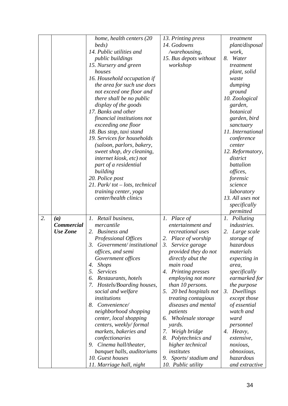|    |                   | home, health centers (20                        | 13. Printing press                         | treatment                 |
|----|-------------------|-------------------------------------------------|--------------------------------------------|---------------------------|
|    |                   | beds)                                           | 14. Godowns                                | plant/disposal            |
|    |                   | 14. Public utilities and                        | /warehousing,                              | work,                     |
|    |                   | public buildings                                | 15. Bus depots without                     | 8. Water                  |
|    |                   | 15. Nursery and green                           | workshop                                   | treatment                 |
|    |                   | houses                                          |                                            | plant, solid              |
|    |                   | 16. Household occupation if                     |                                            | waste                     |
|    |                   | the area for such use does                      |                                            | dumping                   |
|    |                   | not exceed one floor and                        |                                            | ground                    |
|    |                   | there shall be no public                        |                                            | 10. Zoological            |
|    |                   | display of the goods                            |                                            | garden,                   |
|    |                   | 17. Banks and other                             |                                            | botanical                 |
|    |                   | financial institutions not                      |                                            | garden, bird              |
|    |                   | exceeding one floor                             |                                            | sanctuary                 |
|    |                   | 18. Bus stop, taxi stand                        |                                            | 11. International         |
|    |                   | 19. Services for households                     |                                            | conference                |
|    |                   | (saloon, parlors, bakery,                       |                                            | center                    |
|    |                   | sweet shop, dry cleaning,                       |                                            | 12. Reformatory,          |
|    |                   | internet kiosk, etc) not                        |                                            | district                  |
|    |                   | part of a residential                           |                                            | battalion                 |
|    |                   | building                                        |                                            | offices,                  |
|    |                   | 20. Police post                                 |                                            | forensic                  |
|    |                   | 21. Park/tot $-$ lots, technical                |                                            | science                   |
|    |                   | training center, yoga                           |                                            | laboratory                |
|    |                   | center/health clinics                           |                                            | 13. All uses not          |
|    |                   |                                                 |                                            | specifically              |
|    |                   |                                                 |                                            | permitted                 |
| 2. | (a)               | 1. Retail business,                             | 1. Place of                                | 1.<br>Polluting           |
|    | <b>Commercial</b> | mercantile                                      | entertainment and                          | industries.               |
|    | <b>Use Zone</b>   | 2. Business and                                 | recreational uses                          | 2. Large scale            |
|    |                   | Professional Offices                            | 2. Place of worship                        | storage of                |
|    |                   | 3. Government/institutional                     | 3.<br>Service garage                       | hazardous                 |
|    |                   | <i>offices, and semi</i>                        | provided they do not                       | materials                 |
|    |                   | Government offices                              | directly abut the                          | expecting in              |
|    |                   | <b>Shops</b><br>4.                              | main road                                  | area,                     |
|    |                   |                                                 |                                            |                           |
|    |                   |                                                 |                                            |                           |
|    |                   | <b>Services</b><br>5.<br>6.                     | 4. Printing presses                        | specifically              |
|    |                   | Restaurants, hotels                             | employing not more                         | earmarked for             |
|    |                   | Hostels/Boarding houses,<br>7.                  | than 10 persons.                           | the purpose               |
|    |                   | social and welfare<br>institutions              | 5. 20 bed hospitals not                    | 3. Dwellings              |
|    |                   | 8. Convenience/                                 | treating contagious<br>diseases and mental | except those              |
|    |                   |                                                 | patients                                   | of essential<br>watch and |
|    |                   | neighborhood shopping                           |                                            | ward                      |
|    |                   | center, local shopping                          | 6. Wholesale storage                       |                           |
|    |                   | centers, weekly/formal<br>markets, bakeries and | yards.<br>7.                               | personnel<br>4. Heavy,    |
|    |                   |                                                 | Weigh bridge<br>8.                         | extensive,                |
|    |                   | confectionaries<br>9. Cinema hall/theater,      | Polytechnics and<br>higher technical       | noxious,                  |
|    |                   | banquet halls, auditoriums                      | institutes                                 | <i>obnoxious,</i>         |
|    |                   | 10. Guest houses                                | Sports/stadium and<br>9.                   | hazardous                 |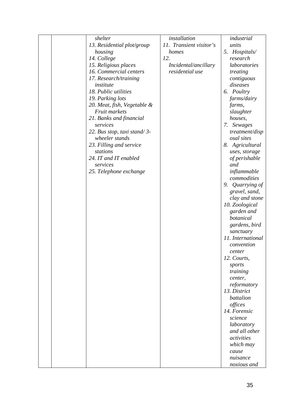|  | shelter                                      | installation            | industrial                     |
|--|----------------------------------------------|-------------------------|--------------------------------|
|  | 13. Residential plot/group                   | 11. Transient visitor's | units                          |
|  | housing                                      | homes                   | 5. Hospitals/                  |
|  | 14. College                                  | 12.                     | research                       |
|  | 15. Religious places                         | Incidental/ancillary    | laboratories                   |
|  | 16. Commercial centers                       | residential use         | treating                       |
|  | 17. Research/training                        |                         | contiguous                     |
|  | institute                                    |                         | diseases                       |
|  | 18. Public utilities                         |                         | 6. Poultry                     |
|  | 19. Parking lots                             |                         | farms/dairy                    |
|  |                                              |                         |                                |
|  | 20. Meat, fish, Vegetable &<br>Fruit markets |                         | farms,                         |
|  |                                              |                         | slaughter                      |
|  | 21. Banks and financial                      |                         | houses,                        |
|  | services                                     |                         | 7. Sewages                     |
|  | 22. Bus stop, taxi stand/3-                  |                         | treatment/disp                 |
|  | wheeler stands                               |                         | osal sites                     |
|  | 23. Filling and service                      |                         | 8. Agricultural                |
|  | stations                                     |                         | uses, storage                  |
|  | 24. IT and IT enabled                        |                         | of perishable                  |
|  | services                                     |                         | and                            |
|  | 25. Telephone exchange                       |                         | inflammable                    |
|  |                                              |                         | commodities                    |
|  |                                              |                         | Quarrying of<br>9.             |
|  |                                              |                         | gravel, sand,                  |
|  |                                              |                         | clay and stone                 |
|  |                                              |                         | 10. Zoological                 |
|  |                                              |                         | garden and                     |
|  |                                              |                         | botanical                      |
|  |                                              |                         | gardens, bird                  |
|  |                                              |                         |                                |
|  |                                              |                         | sanctuary<br>11. International |
|  |                                              |                         |                                |
|  |                                              |                         | convention                     |
|  |                                              |                         | center                         |
|  |                                              |                         | 12. Courts,                    |
|  |                                              |                         | sports                         |
|  |                                              |                         | training                       |
|  |                                              |                         | center,                        |
|  |                                              |                         | reformatory                    |
|  |                                              |                         | 13. District                   |
|  |                                              |                         | <i>battalion</i>               |
|  |                                              |                         | offices                        |
|  |                                              |                         | 14. Forensic                   |
|  |                                              |                         | science                        |
|  |                                              |                         | laboratory                     |
|  |                                              |                         | and all other                  |
|  |                                              |                         | activities                     |
|  |                                              |                         | which may                      |
|  |                                              |                         | cause                          |
|  |                                              |                         | nuisance                       |
|  |                                              |                         |                                |
|  |                                              |                         | noxious and                    |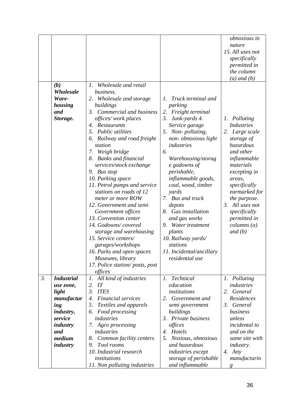|                  | (b)<br>Wholesale<br>Ware-<br>housing<br>and<br>Storage.                                                                              | Wholesale and retail<br>$\mathfrak{1}.$<br>business.<br>2. Wholesale and storage<br>buildings<br>Commercial and business<br>3.<br>offices/work places<br>4. Restaurants<br>5.<br>Public utilities<br>Railway and road freight<br>6.<br>station<br>Weigh bridge<br>7.<br><b>Banks and financial</b><br>8.<br>services/stock exchange<br>9. Bus stop<br>10. Parking space<br>11. Petrol pumps and service<br>stations on roads of 12<br>meter or more ROW<br>12. Government and semi | Truck terminal and<br>Ι.<br>parking<br>2.<br>Freight terminal<br>3.<br>Junk-yards 4.<br>Service garage<br>5. Non-polluting,<br>non-obnoxious light<br>industries<br>6.<br>Warehousing/storag<br>e godowns of<br>perishable,<br>inflammable goods,<br>coal, wood, timber<br>yards<br>7. Bus and truck<br>depots | obnoxious in<br>nature<br>15. All uses not<br>specifically<br><i>permitted in</i><br>the column<br>$(a)$ and $(b)$<br>Polluting<br>1.<br><b>Industries</b><br>Large scale<br>2.<br>storage of<br>hazardous<br>and other<br>inflammable<br>materials<br>excepting in<br>areas,<br>specifically<br>earmarked for<br>the purpose.<br>3. All uses not |
|------------------|--------------------------------------------------------------------------------------------------------------------------------------|------------------------------------------------------------------------------------------------------------------------------------------------------------------------------------------------------------------------------------------------------------------------------------------------------------------------------------------------------------------------------------------------------------------------------------------------------------------------------------|----------------------------------------------------------------------------------------------------------------------------------------------------------------------------------------------------------------------------------------------------------------------------------------------------------------|---------------------------------------------------------------------------------------------------------------------------------------------------------------------------------------------------------------------------------------------------------------------------------------------------------------------------------------------------|
|                  |                                                                                                                                      | 15. Service centers/<br>garages/workshops<br>16. Parks and open spaces<br>Museums, library<br>17. Police station/posts, post                                                                                                                                                                                                                                                                                                                                                       | 10. Railway yards/<br>stations<br>11. Incidental/ancillary<br>residential use                                                                                                                                                                                                                                  |                                                                                                                                                                                                                                                                                                                                                   |
| $\mathfrak{Z}$ . | <b>Industrial</b><br>use zone,<br>light<br>manufactur<br>ing<br><i>industry,</i><br>service<br>industry<br>and<br>medium<br>industry | offices<br>1. All kind of industries<br>2.<br>IT<br><b>ITES</b><br>3.<br>Financial services<br>4.<br>5.<br>Textiles and apparels<br>Food processing<br>6.<br>industries<br>7. Agro processing<br>industries<br>8.<br>Common facility centers<br>Tool rooms<br>9.<br>10. Industrial research<br>institutions                                                                                                                                                                        | <b>Technical</b><br>$l_{\cdot}$<br>education<br><i>institutions</i><br>2. Government and<br>semi government<br>buildings<br>3. Private business<br>offices<br>Hotels<br>4.<br>Noxious, obnoxious<br>5.<br>and hazardous<br><i>industries</i> except<br>storage of perishable                                   | 1. Polluting<br>industries<br>General<br>2.<br>Residences<br>3. General<br>business<br>unless<br><i>incidental to</i><br>and on the<br>same site with<br><i>industry.</i><br>4. $Any$<br>manufacturin                                                                                                                                             |
|                  |                                                                                                                                      | 11. Non polluting industries                                                                                                                                                                                                                                                                                                                                                                                                                                                       | and inflammable                                                                                                                                                                                                                                                                                                | $\mathbf{g}$                                                                                                                                                                                                                                                                                                                                      |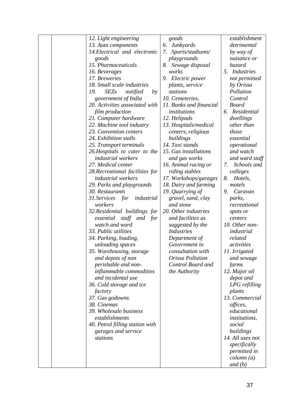|  | 12. Light engineering                | goods                   | establishment              |
|--|--------------------------------------|-------------------------|----------------------------|
|  | 13. Auto components                  | 6. Junkyards            | detrimental                |
|  | 14. Electrical and electronic        | 7.<br>Sports/stadiums/  | by way of                  |
|  | goods                                | playgrounds             | nuisance or                |
|  | 15. Pharmaceuticals                  | 8. Sewage disposal      | hazard                     |
|  | 16. Beverages                        | works                   | 5. Industries              |
|  | 17. Breweries                        | 9. Electric power       | not permitted              |
|  | 18. Small scale industries           | plants, service         | by Orissa                  |
|  | <b>SEZs</b><br>19.<br>notified<br>by | stations                | Pollution                  |
|  | government of India                  | 10. Cemeteries,         | Control                    |
|  | 20. Activities associated with       | 11. Banks and financial | <b>Board</b>               |
|  | film production                      | institutions            | 6. Residential             |
|  | 21. Computer hardware                | 12. Helipads            | dwellings                  |
|  | 22. Machine tool industry            | 13. Hospitals/medical   | other than                 |
|  | 23. Convention centers               | centers, religious      | those                      |
|  | 24. Exhibition stalls                | buildings               | essential                  |
|  | 25. Transport terminals              | 14. Taxi stands         | operational                |
|  | 26. Hospitals to cater to the        | 15. Gas installations   | and watch                  |
|  | <i>industrial</i> workers            | and gas works           | and ward staff             |
|  | 27. Medical center                   | 16. Animal racing or    | Schools and<br>7.          |
|  | 28. Recreational facilities for      | riding stables          | colleges                   |
|  | <i>industrial</i> workers            | 17. Workshops/garages   | 8.<br>Hotels,              |
|  | 29. Parks and playgrounds            | 18. Dairy and farming   | motels                     |
|  | 30. Restaurants                      | 19. Quarrying of        | Caravan<br>9.              |
|  | 31. Services for<br>industrial       | gravel, sand, clay      | parks,                     |
|  | workers                              | and stone               | recreational               |
|  | 32. Residential buildings for        | 20. Other industries    | spots or                   |
|  | essential staff and<br>for           | and facilities as       | centers                    |
|  | watch and ward                       | suggested by the        | 10. Other non-             |
|  | 33. Public utilities                 | <b>Industries</b>       | industrial                 |
|  | 34. Parking, loading,                | Department of           | related                    |
|  | unloading spaces                     | Government in           | activities                 |
|  | 35. Warehousing, storage             | consultation with       | 11. Irrigated              |
|  | and depots of non                    | Orissa Pollution        | and sewage                 |
|  | perishable and non-                  | Control Board and       | farms                      |
|  | inflammable commodities              | the Authority           | 12. Major oil              |
|  | and incidental use                   |                         | depot and                  |
|  | 36. Cold storage and ice             |                         | LPG refilling              |
|  | factory                              |                         | plants                     |
|  | 37. Gas godowns                      |                         | 13. Commercial             |
|  | 38. Cinemas                          |                         | offices,                   |
|  | 39. Wholesale business               |                         | educational                |
|  | establishments                       |                         | <i>institutions,</i>       |
|  | 40. Petrol filling station with      |                         | social                     |
|  | garages and service                  |                         | buildings                  |
|  | stations                             |                         | 14. All uses not           |
|  |                                      |                         | specifically               |
|  |                                      |                         |                            |
|  |                                      |                         | permitted in<br>column (a) |
|  |                                      |                         |                            |
|  |                                      |                         | and $(b)$                  |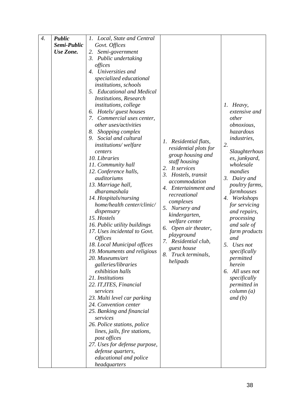| $\boldsymbol{4}$ . | <b>Public</b> | Local, State and Central<br>Ι. |                         |                    |
|--------------------|---------------|--------------------------------|-------------------------|--------------------|
|                    | Semi-Public   | Govt. Offices                  |                         |                    |
|                    | Use Zone.     | Semi-government<br>2.          |                         |                    |
|                    |               | 3.<br>Public undertaking       |                         |                    |
|                    |               | offices                        |                         |                    |
|                    |               | 4. Universities and            |                         |                    |
|                    |               | specialized educational        |                         |                    |
|                    |               | <i>institutions, schools</i>   |                         |                    |
|                    |               | 5. Educational and Medical     |                         |                    |
|                    |               | <b>Institutions, Research</b>  |                         |                    |
|                    |               | institutions, college          |                         | 1. Heavy,          |
|                    |               | 6. Hotels/ guest houses        |                         | extensive and      |
|                    |               | Commercial uses center,<br>7.  |                         | other              |
|                    |               | other uses/activities          |                         | obnoxious,         |
|                    |               | Shopping complex<br>8.         |                         | hazardous          |
|                    |               | Social and cultural<br>9.      |                         | <i>industries,</i> |
|                    |               | institutions/welfare           | 1. Residential flats,   | 2.                 |
|                    |               | centers                        | residential plots for   | Slaughterhous      |
|                    |               | 10. Libraries                  | group housing and       | es, junkyard,      |
|                    |               | 11. Community hall             | staff housing           | wholesale          |
|                    |               | 12. Conference halls,          | It services<br>2.       | mandies            |
|                    |               | auditoriums                    | 3. Hostels, transit     | 3. Dairy and       |
|                    |               | 13. Marriage hall,             | accommodation           | poultry farms,     |
|                    |               | dharamashala                   | 4. Entertainment and    | farmhouses         |
|                    |               | 14. Hospitals/nursing          | recreational            | 4. Workshops       |
|                    |               | home/health center/clinic/     | complexes               | for servicing      |
|                    |               | dispensary                     | Nursery and<br>5.       | and repairs,       |
|                    |               | 15. Hostels                    | kindergarten,           | processing         |
|                    |               | 16. Public utility buildings   | welfare center          | and sale of        |
|                    |               | 17. Uses incidental to Govt.   | Open air theater,<br>6. | farm products      |
|                    |               | <i><b>Offices</b></i>          | playground              | and                |
|                    |               | 18. Local Municipal offices    | 7. Residential club,    | 5. Uses not        |
|                    |               | 19. Monuments and religious    | guest house             | specifically       |
|                    |               | 20. Museums/art                | 8.<br>Truck terminals,  | permitted          |
|                    |               | galleries/libraries            | helipads                | herein             |
|                    |               | exhibition halls               |                         | All uses not<br>6. |
|                    |               | 21. Institutions               |                         | specifically       |
|                    |               | 22. IT, ITES, Financial        |                         | permitted in       |
|                    |               | services                       |                         | column (a)         |
|                    |               | 23. Multi level car parking    |                         | and $(b)$          |
|                    |               | 24. Convention center          |                         |                    |
|                    |               | 25. Banking and financial      |                         |                    |
|                    |               | services                       |                         |                    |
|                    |               | 26. Police stations, police    |                         |                    |
|                    |               | lines, jails, fire stations,   |                         |                    |
|                    |               | post offices                   |                         |                    |
|                    |               | 27. Uses for defense purpose,  |                         |                    |
|                    |               | defense quarters,              |                         |                    |
|                    |               | educational and police         |                         |                    |
|                    |               | headquarters                   |                         |                    |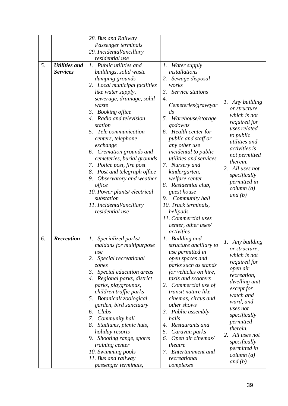|    |                      | 28. Bus and Railway                                     |                                                |                     |
|----|----------------------|---------------------------------------------------------|------------------------------------------------|---------------------|
|    |                      | Passenger terminals                                     |                                                |                     |
|    |                      | 29. Incidental/ancillary                                |                                                |                     |
|    |                      | residential use                                         |                                                |                     |
| 5. | <b>Utilities and</b> | 1. Public utilities and                                 | $\mathfrak{1}.$<br>Water supply                |                     |
|    | <b>Services</b>      | buildings, solid waste                                  | installations                                  |                     |
|    |                      | dumping grounds                                         | 2. Sewage disposal                             |                     |
|    |                      | 2. Local municipal facilities                           | works                                          |                     |
|    |                      | like water supply,                                      | 3. Service stations                            |                     |
|    |                      | sewerage, drainage, solid                               | $\overline{4}$ .                               | Any building<br>1.  |
|    |                      | waste                                                   | Cemeteries/graveyar                            | or structure        |
|    |                      | 3. Booking office                                       | $\frac{ds}{g}$                                 | which is not        |
|    |                      | 4. Radio and television                                 | 5. Warehouse/storage                           | required for        |
|    |                      | station                                                 | godowns                                        | uses related        |
|    |                      | 5. Tele communication                                   | 6. Health center for                           | to public           |
|    |                      | centers, telephone                                      | public and staff or                            | utilities and       |
|    |                      | exchange                                                | any other use                                  | activities is       |
|    |                      | 6. Cremation grounds and                                | incidental to public<br>utilities and services | not permitted       |
|    |                      | cemeteries, burial grounds<br>7. Police post, fire post | 7. Nursery and                                 | therein.            |
|    |                      | 8. Post and telegraph office                            | kindergarten,                                  | 2. All uses not     |
|    |                      | 9. Observatory and weather                              | welfare center                                 | specifically        |
|    |                      | office                                                  | Residential club,<br>8.                        | permitted in        |
|    |                      | 10. Power plants/electrical                             | guest house                                    | column (a)          |
|    |                      | substation                                              | 9.<br>Community hall                           | and $(b)$           |
|    |                      | 11. Incidental/ancillary                                | 10. Truck terminals,                           |                     |
|    |                      | residential use                                         | helipads                                       |                     |
|    |                      |                                                         | 11. Commercial uses                            |                     |
|    |                      |                                                         | center, other uses/                            |                     |
|    |                      |                                                         | activities                                     |                     |
| 6. | Recreation           | Specialized parks/<br>1.                                | 1. Building and                                | 1. Any building     |
|    |                      | maidans for multipurpose                                | structure ancillary to                         | or structure,       |
|    |                      | use                                                     | use permitted in                               | which is not        |
|    |                      | 2. Special recreational                                 | open spaces and                                | required for        |
|    |                      | zones                                                   | parks such as stands                           | open air            |
|    |                      | Special education areas<br>3.                           | for vehicles on hire,                          | recreation,         |
|    |                      | 4. Regional parks, district                             | taxis and scooters                             | dwelling unit       |
|    |                      | parks, playgrounds,                                     | 2. Commercial use of<br>transit nature like    | except for          |
|    |                      | children traffic parks                                  | cinemas, circus and                            | watch and           |
|    |                      | 5. Botanical/zoological<br>garden, bird sanctuary       | other shows                                    | ward, and           |
|    |                      | Clubs<br>6.                                             | 3. Public assembly                             | uses not            |
|    |                      | 7. Community hall                                       | halls                                          | specifically        |
|    |                      | Stadiums, picnic huts,<br>8.                            | 4. Restaurants and                             | permitted           |
|    |                      | holiday resorts                                         | 5.<br>Caravan parks                            | therein.            |
|    |                      | 9. Shooting range, sports                               | Open air cinemas/<br>6.                        | 2. All uses not     |
|    |                      | training center                                         | theatre                                        | specifically        |
|    |                      | 10. Swimming pools                                      | Entertainment and<br>7.                        | <i>permitted in</i> |
|    |                      | 11. Bus and railway                                     | recreational                                   | column (a)          |
|    |                      | passenger terminals,                                    | complexes                                      | and (b)             |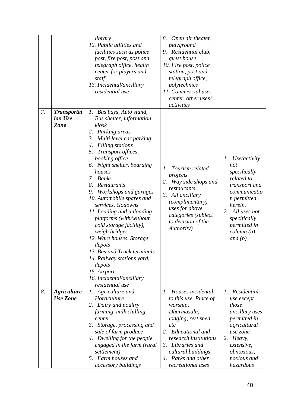|    |                                              | library<br>12. Public utilities and<br>facilities such as police<br>post, fire post, post and<br>telegraph office, health<br>center for players and<br>staff<br>13. Incidental/ancillary<br>residential use                                                                                                                                                                                                                                                                                                                                                                                                                                          | 8.<br>Open air theater,<br>playground<br>9. Residential club,<br>guest house<br>10. Fire post, police<br>station, post and<br>telegraph office,<br>polytechnics<br>11. Commercial uses<br>center, other uses/<br>activities |                                                                                                                                                                                                          |
|----|----------------------------------------------|------------------------------------------------------------------------------------------------------------------------------------------------------------------------------------------------------------------------------------------------------------------------------------------------------------------------------------------------------------------------------------------------------------------------------------------------------------------------------------------------------------------------------------------------------------------------------------------------------------------------------------------------------|-----------------------------------------------------------------------------------------------------------------------------------------------------------------------------------------------------------------------------|----------------------------------------------------------------------------------------------------------------------------------------------------------------------------------------------------------|
| 7. | <b>Transportat</b><br>ion Use<br><b>Zone</b> | 1. Bus bays, Auto stand,<br>Bus shelter, information<br>kiosk<br>2. Parking areas<br>3.<br>Multi level car parking<br><b>Filling</b> stations<br>4.<br>Transport offices,<br>5.<br>booking office<br>6. Night shelter, boarding<br>houses<br><b>Banks</b><br>7.<br>8.<br>Restaurants<br>Workshops and garages<br>9.<br>10. Automobile spares and<br>services, Godowns<br>11. Loading and unloading<br>platforms (with/without<br>cold storage facility),<br>weigh bridges<br>12. Ware houses, Storage<br>depots<br>13. Bus and Truck terminals<br>14. Railway stations yard,<br>depots<br>15. Airport<br>16. Incidental/ancillary<br>residential use | Tourism related<br>1.<br>projects<br>Way side shops and<br>2.<br>restaurants<br>3. All ancillary<br>(complimentary)<br>uses for above<br>categories (subject<br>to decision of the<br>Authority)                            | Use/activity<br>$\Gamma$ .<br>not<br>specifically<br>related to<br>transport and<br>communicatio<br>n permitted<br>herein.<br>2. All uses not<br>specifically<br>permitted in<br>column (a)<br>and $(b)$ |
| 8. | <b>Agriculture</b><br><b>Use Zone</b>        | 1. Agriculture and<br>Horticulture<br>2. Dairy and poultry                                                                                                                                                                                                                                                                                                                                                                                                                                                                                                                                                                                           | 1. Houses incidental<br>to this use. Place of<br>worship,                                                                                                                                                                   | 1. Residential<br>use except<br>those                                                                                                                                                                    |
|    |                                              | farming, milk chilling<br>center                                                                                                                                                                                                                                                                                                                                                                                                                                                                                                                                                                                                                     | Dharmasala,<br>lodging, rest shed                                                                                                                                                                                           | ancillary uses<br>permitted in                                                                                                                                                                           |
|    |                                              | 3. Storage, processing and                                                                                                                                                                                                                                                                                                                                                                                                                                                                                                                                                                                                                           | etc                                                                                                                                                                                                                         | agricultural                                                                                                                                                                                             |
|    |                                              | sale of farm produce                                                                                                                                                                                                                                                                                                                                                                                                                                                                                                                                                                                                                                 | 2. Educational and                                                                                                                                                                                                          | use zone                                                                                                                                                                                                 |
|    |                                              | 4. Dwelling for the people                                                                                                                                                                                                                                                                                                                                                                                                                                                                                                                                                                                                                           | research institutions                                                                                                                                                                                                       | 2. Heavy,                                                                                                                                                                                                |
|    |                                              | engaged in the farm (rural                                                                                                                                                                                                                                                                                                                                                                                                                                                                                                                                                                                                                           | 3. Libraries and                                                                                                                                                                                                            | extensive,                                                                                                                                                                                               |
|    |                                              | settlement)<br>5. Farm houses and                                                                                                                                                                                                                                                                                                                                                                                                                                                                                                                                                                                                                    | cultural buildings<br>4. Parks and other                                                                                                                                                                                    | <i>obnoxious,</i><br>noxious and                                                                                                                                                                         |
|    |                                              |                                                                                                                                                                                                                                                                                                                                                                                                                                                                                                                                                                                                                                                      |                                                                                                                                                                                                                             |                                                                                                                                                                                                          |
|    |                                              | accessory buildings                                                                                                                                                                                                                                                                                                                                                                                                                                                                                                                                                                                                                                  | recreational uses                                                                                                                                                                                                           | hazardous                                                                                                                                                                                                |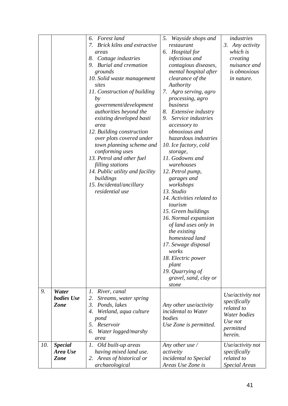|     |                   | Forest land<br>6.                       | Wayside shops and<br>5.                       | industries           |
|-----|-------------------|-----------------------------------------|-----------------------------------------------|----------------------|
|     |                   | <b>Brick kilns and extractive</b><br>7. | restaurant                                    | 3. Any activity      |
|     |                   | Hospital for<br>6.<br>areas             |                                               | which is             |
|     |                   | 8. Cottage industries                   | infectious and                                | creating             |
|     |                   | 9. Burial and cremation                 | contagious diseases,                          | nuisance and         |
|     |                   | grounds                                 | mental hospital after                         | <i>is obnoxious</i>  |
|     |                   | 10. Solid waste management              | clearance of the                              | in nature.           |
|     |                   | sites                                   | Authority                                     |                      |
|     |                   | 11. Construction of building            | 7. Agro serving, agro                         |                      |
|     |                   | by                                      | processing, agro                              |                      |
|     |                   | government/development                  | business                                      |                      |
|     |                   | authorities beyond the                  | Extensive industry<br>8.                      |                      |
|     |                   | existing developed basti                | Service industries<br>9.                      |                      |
|     |                   | area                                    | accessory to                                  |                      |
|     |                   | 12. Building construction               | <i>obnoxious</i> and                          |                      |
|     |                   | over plots covered under                | hazardous industries                          |                      |
|     |                   | town planning scheme and                | 10. Ice factory, cold                         |                      |
|     |                   | conforming uses                         | storage,                                      |                      |
|     |                   | 13. Petrol and other fuel               | 11. Godowns and                               |                      |
|     |                   | filling stations                        | warehouses                                    |                      |
|     |                   | 14. Public utility and facility         | 12. Petrol pump,                              |                      |
|     |                   | buildings                               | garages and                                   |                      |
|     |                   | 15. Incidental/ancillary                | workshops                                     |                      |
|     |                   | residential use                         | 13. Studio                                    |                      |
|     |                   |                                         | 14. Activities related to                     |                      |
|     |                   |                                         | tourism                                       |                      |
|     |                   |                                         | 15. Green buildings                           |                      |
|     |                   |                                         | 16. Normal expansion                          |                      |
|     |                   |                                         | of land uses only in                          |                      |
|     |                   |                                         | the existing                                  |                      |
|     |                   |                                         | homestead land                                |                      |
|     |                   |                                         | 17. Sewage disposal                           |                      |
|     |                   |                                         | works                                         |                      |
|     |                   |                                         | 18. Electric power                            |                      |
|     |                   |                                         | plant                                         |                      |
|     |                   |                                         | 19. Quarrying of                              |                      |
|     |                   |                                         | gravel, sand, clay or                         |                      |
|     |                   |                                         | stone                                         |                      |
| 9.  | Water             | River, canal<br>1.                      |                                               | Use/activity not     |
|     | <b>bodies</b> Use | Streams, water spring<br>2.             |                                               | specifically         |
|     | <b>Zone</b>       | $\mathfrak{Z}$ .<br>Ponds, lakes        | Any other use/activity<br>incidental to Water | related to           |
|     |                   | Wetland, aqua culture<br>4.             | bodies                                        | Water bodies         |
|     |                   | pond<br>5. Reservoir                    |                                               | Use not              |
|     |                   | Water logged/marshy<br>6.               | Use Zone is permitted.                        | permitted            |
|     |                   | area                                    |                                               | herein.              |
| 10. | <b>Special</b>    | 1.<br>Old built-up areas                | Any other use $\angle$                        | Use/activity not     |
|     | Area Use          | having mixed land use.                  | activeity                                     | specifically         |
|     | <b>Zone</b>       | 2. Areas of historical or               | incidental to Special                         | related to           |
|     |                   | archaeological                          | Areas Use Zone is                             | <b>Special Areas</b> |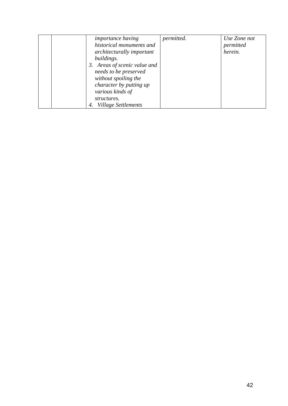| <i>importance having</i><br>historical monuments and<br>architecturally important<br>buildings.<br>3. Areas of scenic value and<br>needs to be preserved<br>without spoiling the<br>character by putting up<br>various kinds of<br>structures. | permitted. | Use Zone not<br>permitted<br>herein. |
|------------------------------------------------------------------------------------------------------------------------------------------------------------------------------------------------------------------------------------------------|------------|--------------------------------------|
| <b>Village Settlements</b><br>4.                                                                                                                                                                                                               |            |                                      |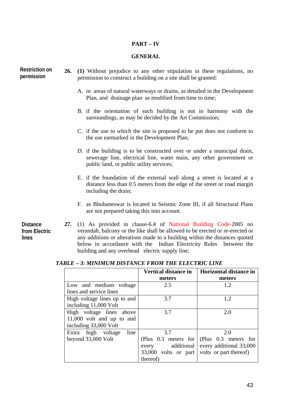# **PART – IV**

#### **GENERAL**

**26. (1)** Without prejudice to any other stipulation in these regulations, no permission to construct a building on a site shall be granted: A. in areas of natural waterways or drains, as detailed in the Development Plan, and drainage plan as modified from time to time; B. if the orientation of such building is not in harmony with the surroundings, as may be decided by the Art Commission; C. if the use to which the site is proposed to be put does not conform to the use earmarked in the Development Plan; D. if the building is to be constructed over or under a municipal drain, sewerage line, electrical line, water main, any other government or public land, or public utility services; E. if the foundation of the external wall along a street is located at a distance less than 0.5 meters from the edge of the street or road margin including the drain; F. as Bhubaneswar is located in Seismic Zone III, if all Structural Plans are not prepared taking this into account. **Restriction on permission Distance** 

**from Electric lines** 

**27.** (1) As provided in clause-6.4 of National Building Code-2005 no verandah, balcony or the like shall be allowed to be erected or re-erected or any additions or alterations made to a building within the distances quoted below in accordance with the Indian Electricity Rules between the building and any overhead electric supply line;

*TABLE – 3: MINIMUM DISTANCE FROM THE ELECTRIC LINE* 

|                              | <b>Vertical distance in</b>                 | <b>Horizontal distance in</b>                 |
|------------------------------|---------------------------------------------|-----------------------------------------------|
|                              | meters                                      | meters                                        |
| Low and medium voltage       | 2.5                                         | 1.2                                           |
| lines and service lines      |                                             |                                               |
| High voltage lines up to and | 3.7                                         | 1.2                                           |
| including 11,000 Volt        |                                             |                                               |
| High voltage lines above     | 3.7                                         | 2.0                                           |
| $11,000$ volt and up to and  |                                             |                                               |
| including 33,000 Volt        |                                             |                                               |
| Extra high voltage<br>line   | 3.7                                         | 2.0                                           |
| beyond 33,000 Volt           |                                             | (Plus $0.3$ meters for (Plus $0.3$ meters for |
|                              | every                                       | additional   every additional 33,000          |
|                              | 33,000 volts or part volts or part thereof) |                                               |
|                              | thereof)                                    |                                               |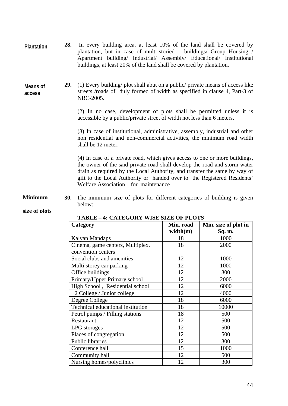| <b>Plantation</b> | 28. In every building area, at least 10% of the land shall be covered by |
|-------------------|--------------------------------------------------------------------------|
|                   | plantation, but in case of multi-storied buildings/ Group Housing /      |
|                   | Apartment building/ Industrial/ Assembly/ Educational/ Institutional     |
|                   | buildings, at least 20% of the land shall be covered by plantation.      |

#### **Means of access**

**29.** (1) Every building/ plot shall abut on a public/ private means of access like streets /roads of duly formed of width as specified in clause 4, Part-3 of NBC-2005.

(2) In no case, development of plots shall be permitted unless it is accessible by a public/private street of width not less than 6 meters.

(3) In case of institutional, administrative, assembly, industrial and other non residential and non-commercial activities, the minimum road width shall be 12 meter.

(4) In case of a private road, which gives access to one or more buildings, the owner of the said private road shall develop the road and storm water drain as required by the Local Authority, and transfer the same by way of gift to the Local Authority or handed over to the Registered Residents' Welfare Association for maintenance.

**30.** The minimum size of plots for different categories of building is given below: **Minimum** 

## **size of plots**

| Category                          | Min. road | Min. size of plot in |
|-----------------------------------|-----------|----------------------|
|                                   | width(m)  | Sq. m.               |
| Kalyan Mandaps                    | 18        | 1000                 |
| Cinema, game centers, Multiplex,  | 18        | 2000                 |
| convention centers                |           |                      |
| Social clubs and amenities        | 12        | 1000                 |
| Multi storey car parking          | 12        | 1000                 |
| Office buildings                  | 12        | 300                  |
| Primary/Upper Primary school      | 12        | 2000                 |
| High School, Residential school   | 12        | 6000                 |
| $+2$ College / Junior college     | 12        | 4000                 |
| Degree College                    | 18        | 6000                 |
| Technical educational institution | 18        | 10000                |
| Petrol pumps / Filling stations   | 18        | 500                  |
| Restaurant                        | 12        | 500                  |
| LPG storages                      | 12        | 500                  |
| Places of congregation            | 12        | 500                  |
| <b>Public libraries</b>           | 12        | 300                  |
| Conference hall                   | 15        | 1000                 |
| Community hall                    | 12        | 500                  |
| Nursing homes/polyclinics         | 12        | 300                  |

#### **TABLE – 4: CATEGORY WISE SIZE OF PLOTS**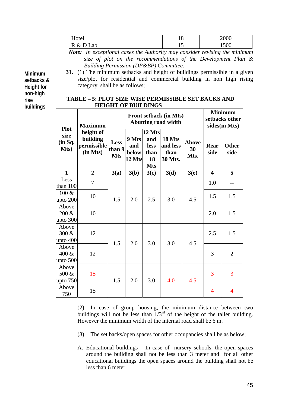| Hotel        | $\Omega$<br>10 | 2000 |
|--------------|----------------|------|
| R & D<br>Lab | -              | 1500 |

*Note: In exceptional cases the Authority may consider revising the minimum size of plot on the recommendations of the Development Plan & Building Permission (DP&BP) Committee.* 

**Minimum setbacks & Height for non-high rise buildings**

**31.** (1) The minimum setbacks and height of buildings permissible in a given size/plot for residential and commercial building in non high rising category shall be as follows;

| TABLE – 5: PLOT SIZE WISE PERMISSIBLE SET BACKS AND |
|-----------------------------------------------------|
| <b>HEIGHT OF BUILDINGS</b>                          |

| <b>Plot</b>                  | <b>Maximum</b>                                   | <b>Front setback (in Mts)</b><br><b>Abutting road width</b> |                                 |                                                   |                                       |                            | <b>Minimum</b><br>setbacks other<br>sides(in Mts) |                      |
|------------------------------|--------------------------------------------------|-------------------------------------------------------------|---------------------------------|---------------------------------------------------|---------------------------------------|----------------------------|---------------------------------------------------|----------------------|
| size<br>(in Sq.<br>Mts)      | height of<br>building<br>permissible<br>(in Mts) | <b>Less</b><br>than 9<br><b>Mts</b>                         | 9 Mts<br>and<br>below<br>12 Mts | 12 Mts<br>and<br>less<br>than<br>18<br><b>Mts</b> | 18 Mts<br>and less<br>than<br>30 Mts. | <b>Above</b><br>30<br>Mts. | Rear<br>side                                      | <b>Other</b><br>side |
| $\mathbf{1}$                 | $\overline{2}$                                   | 3(a)                                                        | 3(b)                            | 3(c)                                              | 3(d)                                  | 3(e)                       | $\overline{\mathbf{4}}$                           | 5                    |
| Less<br>than 100             | 7                                                |                                                             |                                 |                                                   |                                       |                            | 1.0                                               |                      |
| $100 \&$<br>upto 200         | 10                                               | 1.5                                                         | 2.0                             | 2.5                                               | 3.0                                   | 4.5                        | 1.5                                               | 1.5                  |
| Above<br>200 &<br>upto $300$ | 10                                               |                                                             |                                 |                                                   |                                       |                            | 2.0                                               | 1.5                  |
| Above<br>300 &<br>upto $400$ | 12                                               | 1.5                                                         | 2.0                             | 3.0                                               | 3.0                                   | 4.5                        | 2.5                                               | 1.5                  |
| Above<br>400 &<br>upto $500$ | 12                                               |                                                             |                                 |                                                   |                                       |                            | 3                                                 | $\overline{2}$       |
| Above<br>500 &<br>upto $750$ | 15                                               | 1.5                                                         | 2.0                             | 3.0                                               | 4.0                                   | 4.5                        | 3                                                 | 3                    |
| Above<br>750                 | 15                                               |                                                             |                                 |                                                   |                                       |                            | 4                                                 | $\overline{4}$       |

(2) In case of group housing, the minimum distance between two buildings will not be less than  $1/3^{rd}$  of the height of the taller building. However the minimum width of the internal road shall be 6 m.

- (3) The set backs/open spaces for other occupancies shall be as below;
- A. Educational buildings In case of nursery schools, the open spaces around the building shall not be less than 3 meter and for all other educational buildings the open spaces around the building shall not be less than 6 meter.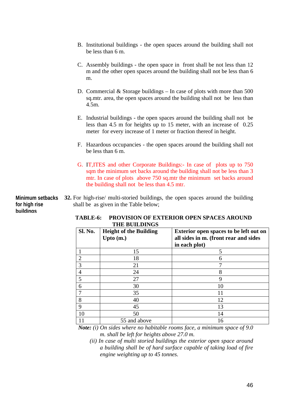- B. Institutional buildings the open spaces around the building shall not be less than 6 m.
- C. Assembly buildings the open space in front shall be not less than 12 m and the other open spaces around the building shall not be less than 6 m.
- D. Commercial & Storage buildings In case of plots with more than 500 sq.mtr. area, the open spaces around the building shall not be less than 4.5m.
- E. Industrial buildings the open spaces around the building shall not be less than 4.5 m for heights up to 15 meter, with an increase of 0.25 meter for every increase of 1 meter or fraction thereof in height.
- F. Hazardous occupancies the open spaces around the building shall not be less than 6 m.
- G. IT,ITES and other Corporate Buildings:- In case of plots up to 750 sqm the minimum set backs around the building shall not be less than 3 mtr. In case of plots above 750 sq.mtr the minimum set backs around the building shall not be less than 4.5 mtr.

**32.** For high-rise/ multi-storied buildings, the open spaces around the building shall be as given in the Table below; **Minimum setbacks for high rise buildings**

| Sl. No.        | <b>Height of the Building</b><br>Upto $(m.)$ | <b>Exterior open spaces to be left out on</b><br>all sides in m. (front rear and sides<br>in each plot) |
|----------------|----------------------------------------------|---------------------------------------------------------------------------------------------------------|
|                | 15                                           | 5                                                                                                       |
| $\overline{2}$ | 18                                           | 6                                                                                                       |
| 3              | 21                                           |                                                                                                         |
| $\overline{4}$ | 24                                           | 8                                                                                                       |
| 5              | 27                                           | 9                                                                                                       |
| 6              | 30                                           | 10                                                                                                      |
| 7              | 35                                           | 11                                                                                                      |
| 8              | 40                                           | 12                                                                                                      |
| 9              | 45                                           | 13                                                                                                      |
| 10             | 50                                           | 14                                                                                                      |
|                | 55 and above                                 | 16                                                                                                      |

**TABLE-6: PROVISION OF EXTERIOR OPEN SPACES AROUND THE BUILDINGS** 

*Note: (i) On sides where no habitable rooms face, a minimum space of 9.0 m. shall be left for heights above 27.0 m.* 

*(ii) In case of multi storied buildings the exterior open space around a building shall be of hard surface capable of taking load of fire engine weighting up to 45 tonnes.*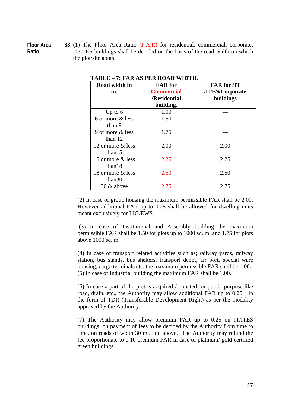**Floor Area Ratio** 

**33.** (1) The Floor Area Ratio (F.A.R) for residential, commercial, corporate, IT/ITES buildings shall be decided on the basis of the road width on which the plot/site abuts.

| Road width in     | <b>FAR</b> for    | <b>FAR for <i>IT</i></b> |  |
|-------------------|-------------------|--------------------------|--|
| m.                | <b>Commercial</b> | /ITES/Corporate          |  |
|                   | /Residential      | buildings                |  |
|                   | building.         |                          |  |
| Up to $6$         | 1.00              |                          |  |
| 6 or more & less  | 1.50              |                          |  |
| than 9            |                   |                          |  |
| 9 or more & less  | 1.75              |                          |  |
| than $12$         |                   |                          |  |
| 12 or more & less | 2.00              | 2.00                     |  |
| than $15$         |                   |                          |  |
| 15 or more & less | 2.25              | 2.25                     |  |
| than 18           |                   |                          |  |
| 18 or more & less | 2.50              | 2.50                     |  |
| than 30           |                   |                          |  |
| $30 \&$ above     | 2.75              | 2.75                     |  |

**TABLE – 7: FAR AS PER ROAD WIDTH.**

(2) In case of group housing the maximum permissible FAR shall be 2.00. However additional FAR up to 0.25 shall be allowed for dwelling units meant exclusively for LIG/EWS.

 (3) In case of Institutional and Assembly building the maximum permissible FAR shall be 1.50 for plots up to 1000 sq. m. and 1.75 for plots above 1000 sq. m.

(4) In case of transport related activities such as; railway yards, railway station, bus stands, bus shelters, transport depot, air port, special ware housing, cargo terminals etc. the maximum permissible FAR shall be 1.00. (5) In case of Industrial building the maximum FAR shall be 1.00.

(6) In case a part of the plot is acquired / donated for public purpose like road, drain, etc., the Authority may allow additional FAR up to 0.25 in the form of TDR (Transferable Development Right) as per the modality approved by the Authority.

(7) The Authority may allow premium FAR up to 0.25 on IT/ITES buildings on payment of fees to be decided by the Authority from time to time, on roads of width 30 mt. and above. The Authority may refund the fee proportionate to 0.10 premium FAR in case of platinum/ gold certified green buildings.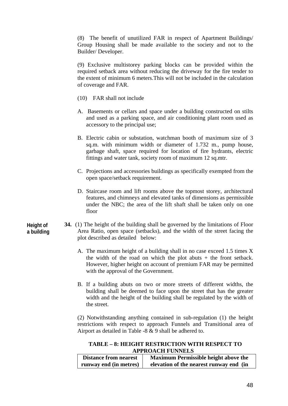(8) The benefit of unutilized FAR in respect of Apartment Buildings/ Group Housing shall be made available to the society and not to the Builder/ Developer.

(9) Exclusive multistorey parking blocks can be provided within the required setback area without reducing the driveway for the fire tender to the extent of minimum 6 meters.This will not be included in the calculation of coverage and FAR.

- (10) FAR shall not include
- A. Basements or cellars and space under a building constructed on stilts and used as a parking space, and air conditioning plant room used as accessory to the principal use;
- B. Electric cabin or substation, watchman booth of maximum size of 3 sq.m. with minimum width or diameter of 1.732 m., pump house, garbage shaft, space required for location of fire hydrants, electric fittings and water tank, society room of maximum 12 sq.mtr.
- C. Projections and accessories buildings as specifically exempted from the open space/setback requirement.
- D. Staircase room and lift rooms above the topmost storey, architectural features, and chimneys and elevated tanks of dimensions as permissible under the NBC; the area of the lift shaft shall be taken only on one floor
- **34.** (1) The height of the building shall be governed by the limitations of Floor Area Ratio, open space (setbacks), and the width of the street facing the plot described as detailed below:
	- A. The maximum height of a building shall in no case exceed 1.5 times X the width of the road on which the plot abuts  $+$  the front setback. However, higher height on account of premium FAR may be permitted with the approval of the Government.
	- B. If a building abuts on two or more streets of different widths, the building shall be deemed to face upon the street that has the greater width and the height of the building shall be regulated by the width of the street.

(2) Notwithstanding anything contained in sub-regulation (1) the height restrictions with respect to approach Funnels and Transitional area of Airport as detailed in Table -8 & 9 shall be adhered to.

**TABLE – 8: HEIGHT RESTRICTION WITH RESPECT TO APPROACH FUNNELS** 

| <b>Distance from nearest</b> | <b>Maximum Permissible height above the</b> |
|------------------------------|---------------------------------------------|
| runway end (in metres)       | elevation of the nearest runway end (in     |

**Height of a building**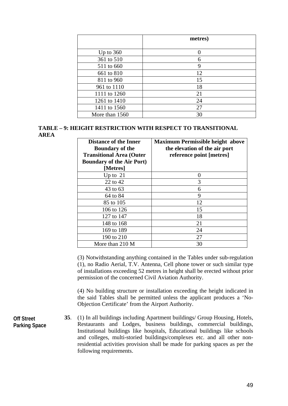|                | metres) |
|----------------|---------|
|                |         |
| Up to $360$    |         |
| 361 to 510     | 6       |
| 511 to 660     | 9       |
| 661 to 810     | 12      |
| 811 to 960     | 15      |
| 961 to 1110    | 18      |
| 1111 to 1260   | 21      |
| 1261 to 1410   | 24      |
| 1411 to 1560   | 27      |
| More than 1560 | 30      |

## **TABLE – 9: HEIGHT RESTRICTION WITH RESPECT TO TRANSITIONAL AREA**

| <b>Distance of the Inner</b><br><b>Boundary of the</b> | <b>Maximum Permissible height above</b><br>the elevation of the air port |
|--------------------------------------------------------|--------------------------------------------------------------------------|
| <b>Transitional Area (Outer</b>                        | reference point [metres]                                                 |
| <b>Boundary of the Air Port)</b>                       |                                                                          |
| [Metres]                                               |                                                                          |
| Up to $21$                                             | $\mathbf{\Omega}$                                                        |
| 22 to 42                                               | 3                                                                        |
| 43 to 63                                               | 6                                                                        |
| 64 to 84                                               | 9                                                                        |
| 85 to 105                                              | 12                                                                       |
| 106 to 126                                             | 15                                                                       |
| 127 to 147                                             | 18                                                                       |
| 148 to 168                                             | 21                                                                       |
| 169 to 189                                             | 24                                                                       |
| 190 to 210                                             | 27                                                                       |
| More than 210 M                                        | 30                                                                       |

(3) Notwithstanding anything contained in the Tables under sub-regulation (1), no Radio Aerial, T.V. Antenna, Cell phone tower or such similar type of installations exceeding 52 metres in height shall be erected without prior permission of the concerned Civil Aviation Authority.

(4) No building structure or installation exceeding the height indicated in the said Tables shall be permitted unless the applicant produces a 'No-Objection Certificate' from the Airport Authority.

- **Off Street Parking Space**
- **35**. (1) In all buildings including Apartment buildings/ Group Housing, Hotels, Restaurants and Lodges, business buildings, commercial buildings, Institutional buildings like hospitals, Educational buildings like schools and colleges, multi-storied buildings/complexes etc. and all other nonresidential activities provision shall be made for parking spaces as per the following requirements.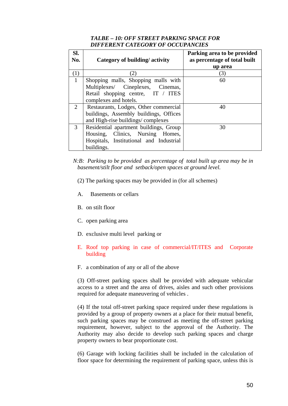## *TALBE – 10: OFF STREET PARKING SPACE FOR DIFFERENT CATEGORY OF OCCUPANCIES*

| SI.<br>No.     | Category of building/activity           | Parking area to be provided<br>as percentage of total built<br>up area |
|----------------|-----------------------------------------|------------------------------------------------------------------------|
| (1)            |                                         | 3)                                                                     |
| $\vert$ 1      | Shopping malls, Shopping malls with     | 60                                                                     |
|                | Multiplexes/ Cineplexes, Cinemas,       |                                                                        |
|                | Retail shopping centre, IT / ITES       |                                                                        |
|                | complexes and hotels.                   |                                                                        |
| $\overline{2}$ | Restaurants, Lodges, Other commercial   | 40                                                                     |
|                | buildings, Assembly buildings, Offices  |                                                                        |
|                | and High-rise buildings/complexes       |                                                                        |
| 3              | Residential apartment buildings, Group  | 30                                                                     |
|                | Housing, Clinics, Nursing Homes,        |                                                                        |
|                | Hospitals, Institutional and Industrial |                                                                        |
|                | buildings.                              |                                                                        |

*N:B: Parking to be provided as percentage of total built up area may be in basement/stilt floor and setback/open spaces at ground level.* 

- (2) The parking spaces may be provided in (for all schemes)
- A. Basements or cellars
- B. on stilt floor
- C. open parking area
- D. exclusive multi level parking or
- E. Roof top parking in case of commercial/IT/ITES and Corporate building
- F. a combination of any or all of the above

(3) Off-street parking spaces shall be provided with adequate vehicular access to a street and the area of drives, aisles and such other provisions required for adequate maneuvering of vehicles .

(4) If the total off-street parking space required under these regulations is provided by a group of property owners at a place for their mutual benefit, such parking spaces may be construed as meeting the off-street parking requirement, however, subject to the approval of the Authority. The Authority may also decide to develop such parking spaces and charge property owners to bear proportionate cost.

(6) Garage with locking facilities shall be included in the calculation of floor space for determining the requirement of parking space, unless this is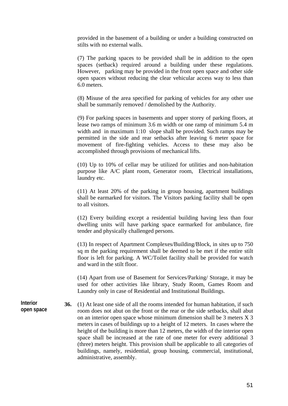provided in the basement of a building or under a building constructed on stilts with no external walls.

(7) The parking spaces to be provided shall be in addition to the open spaces (setback) required around a building under these regulations. However, parking may be provided in the front open space and other side open spaces without reducing the clear vehicular access way to less than 6.0 meters.

(8) Misuse of the area specified for parking of vehicles for any other use shall be summarily removed / demolished by the Authority.

(9) For parking spaces in basements and upper storey of parking floors, at lease two ramps of minimum 3.6 m width or one ramp of minimum 5.4 m width and in maximum 1:10 slope shall be provided. Such ramps may be permitted in the side and rear setbacks after leaving 6 meter space for movement of fire-fighting vehicles. Access to these may also be accomplished through provisions of mechanical lifts.

(10) Up to 10% of cellar may be utilized for utilities and non-habitation purpose like A/C plant room, Generator room, Electrical installations, laundry etc.

(11) At least 20% of the parking in group housing, apartment buildings shall be earmarked for visitors. The Visitors parking facility shall be open to all visitors.

(12) Every building except a residential building having less than four dwelling units will have parking space earmarked for ambulance, fire tender and physically challenged persons.

(13) In respect of Apartment Complexes/Building/Block, in sites up to 750 sq m the parking requirement shall be deemed to be met if the entire stilt floor is left for parking. A WC/Toilet facility shall be provided for watch and ward in the stilt floor.

(14) Apart from use of Basement for Services/Parking/ Storage, it may be used for other activities like library, Study Room, Games Room and Laundry only in case of Residential and Institutional Buildings.

**36.** (1) At least one side of all the rooms intended for human habitation, if such room does not abut on the front or the rear or the side setbacks, shall abut on an interior open space whose minimum dimension shall be 3 meters X 3 meters in cases of buildings up to a height of 12 meters. In cases where the height of the building is more than 12 meters, the width of the interior open space shall be increased at the rate of one meter for every additional 3 (three) meters height. This provision shall be applicable to all categories of buildings, namely, residential, group housing, commercial, institutional, administrative, assembly.

**Interior open space**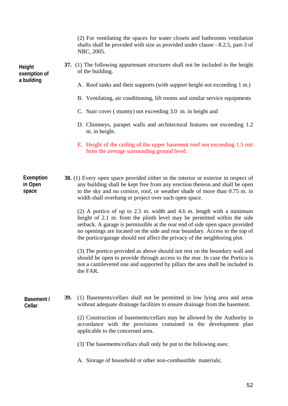(2) For ventilating the spaces for water closets and bathrooms ventilation shafts shall be provided with size as provided under clause - 8.2.5, part-3 of NBC, 2005.

- **37.** (1) The following appurtenant structures shall not be included in the height of the building.
	- A. Roof tanks and their supports (with support height not exceeding 1 m.)
	- B. Ventilating, air conditioning, lift rooms and similar service equipments
	- C. Stair cover ( mumty) not exceeding 3.0 m. in height and
	- D. Chimneys, parapet walls and architectural features not exceeding 1.2 m. in height.
	- E. Height of the ceiling of the upper basement roof not exceeding 1.5 mtr from the average surrounding ground level.

**38.** (1) Every open space provided either in the interior or exterior in respect of any building shall be kept free from any erection thereon and shall be open to the sky and no cornice, roof, or weather shade of more than 0.75 m. in width shall overhang or project over such open space. **Exemption in Open space**

> (2) A portico of up to 2.5 m. width and 4.6 m. length with a minimum height of 2.1 m. from the plinth level may be permitted within the side setback. A garage is permissible at the rear end of side open space provided no openings are located on the side and rear boundary. Access to the top of the portico/garage should not affect the privacy of the neighboring plot.

> (3) The portico provided as above should not rest on the boundary wall and should be open to provide through access to the rear. In case the Portico is not a cantilevered one and supported by pillars the area shall be included in the FAR.

**Basement / Cellar** 

**39.** (1) Basements/cellars shall not be permitted in low lying area and areas without adequate drainage facilities to ensure drainage from the basement.

(2) Construction of basements/cellars may be allowed by the Authority in accordance with the provisions contained in the development plan applicable to the concerned area.

(3) The basements/cellars shall only be put to the following uses:

A. Storage of household or other non-combustible materials;

**Height exemption of a building**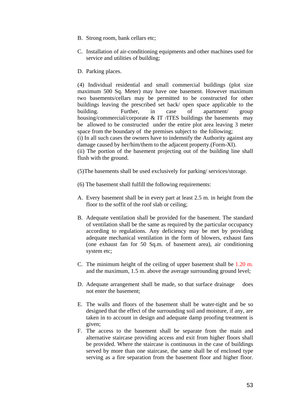- B. Strong room, bank cellars etc;
- C. Installation of air-conditioning equipments and other machines used for service and utilities of building;
- D. Parking places.

(4) Individual residential and small commercial buildings (plot size maximum 500 Sq. Meter) may have one basement. However maximum two basements/cellars may be permitted to be constructed for other buildings leaving the prescribed set back/ open space applicable to the building. Further, in case of apartment/ group housing/commercial/corporate & IT /ITES buildings the basements may be allowed to be constructed under the entire plot area leaving 3 meter space from the boundary of the premises subject to the following;

(i) In all such cases the owners have to indemnify the Authority against any damage caused by her/him/them to the adjacent property.(Form-XI).

(ii) The portion of the basement projecting out of the building line shall flush with the ground.

- (5)The basements shall be used exclusively for parking/ services/storage.
- (6) The basement shall fulfill the following requirements:
- A. Every basement shall be in every part at least 2.5 m. in height from the floor to the soffit of the roof slab or ceiling;
- B. Adequate ventilation shall be provided for the basement. The standard of ventilation shall be the same as required by the particular occupancy according to regulations. Any deficiency may be met by providing adequate mechanical ventilation in the form of blowers, exhaust fans (one exhaust fan for 50 Sq.m. of basement area), air conditioning system etc;
- C. The minimum height of the ceiling of upper basement shall be 1.20 m. and the maximum, 1.5 m. above the average surrounding ground level;
- D. Adequate arrangement shall be made, so that surface drainage does not enter the basement;
- E. The walls and floors of the basement shall be water-tight and be so designed that the effect of the surrounding soil and moisture, if any, are taken in to account in design and adequate damp proofing treatment is given;
- F. The access to the basement shall be separate from the main and alternative staircase providing access and exit from higher floors shall be provided. Where the staircase is continuous in the case of buildings served by more than one staircase, the same shall be of enclosed type serving as a fire separation from the basement floor and higher floor.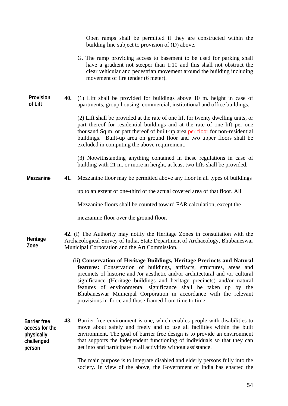|                                                                             |     | Open ramps shall be permitted if they are constructed within the<br>building line subject to provision of (D) above.                                                                                                                                                                                                                                                                                                                                                                                            |
|-----------------------------------------------------------------------------|-----|-----------------------------------------------------------------------------------------------------------------------------------------------------------------------------------------------------------------------------------------------------------------------------------------------------------------------------------------------------------------------------------------------------------------------------------------------------------------------------------------------------------------|
|                                                                             |     | G. The ramp providing access to basement to be used for parking shall<br>have a gradient not steeper than 1:10 and this shall not obstruct the<br>clear vehicular and pedestrian movement around the building including<br>movement of fire tender (6 meter).                                                                                                                                                                                                                                                   |
| Provision<br>of Lift                                                        | 40. | (1) Lift shall be provided for buildings above 10 m. height in case of<br>apartments, group housing, commercial, institutional and office buildings.                                                                                                                                                                                                                                                                                                                                                            |
|                                                                             |     | (2) Lift shall be provided at the rate of one lift for twenty dwelling units, or<br>part thereof for residential buildings and at the rate of one lift per one<br>thousand Sq.m. or part thereof of built-up area per floor for non-residential<br>buildings. Built-up area on ground floor and two upper floors shall be<br>excluded in computing the above requirement.                                                                                                                                       |
|                                                                             |     | (3) Notwithstanding anything contained in these regulations in case of<br>building with 21 m. or more in height, at least two lifts shall be provided.                                                                                                                                                                                                                                                                                                                                                          |
| Mezzanine                                                                   | 41. | Mezzanine floor may be permitted above any floor in all types of buildings                                                                                                                                                                                                                                                                                                                                                                                                                                      |
|                                                                             |     | up to an extent of one-third of the actual covered area of that floor. All                                                                                                                                                                                                                                                                                                                                                                                                                                      |
|                                                                             |     | Mezzanine floors shall be counted toward FAR calculation, except the                                                                                                                                                                                                                                                                                                                                                                                                                                            |
|                                                                             |     | mezzanine floor over the ground floor.                                                                                                                                                                                                                                                                                                                                                                                                                                                                          |
| Heritage<br>Zone                                                            |     | 42. (i) The Authority may notify the Heritage Zones in consultation with the<br>Archaeological Survey of India, State Department of Archaeology, Bhubaneswar<br>Municipal Corporation and the Art Commission.                                                                                                                                                                                                                                                                                                   |
|                                                                             |     | (ii) Conservation of Heritage Buildings, Heritage Precincts and Natural<br>features: Conservation of buildings, artifacts, structures, areas and<br>precincts of historic and /or aesthetic and/or architectural and /or cultural<br>significance (Heritage buildings and heritage precincts) and/or natural<br>features of environmental significance shall be taken up by the<br>Bhubaneswar Municipal Corporation in accordance with the relevant<br>provisions in-force and those framed from time to time. |
| <b>Barrier free</b><br>access for the<br>physically<br>challenged<br>person | 43. | Barrier free environment is one, which enables people with disabilities to<br>move about safely and freely and to use all facilities within the built<br>environment. The goal of barrier free design is to provide an environment<br>that supports the independent functioning of individuals so that they can<br>get into and participate in all activities without assistance.                                                                                                                               |
|                                                                             |     | The main purpose is to integrate disabled and elderly persons fully into the                                                                                                                                                                                                                                                                                                                                                                                                                                    |

society. In view of the above, the Government of India has enacted the

54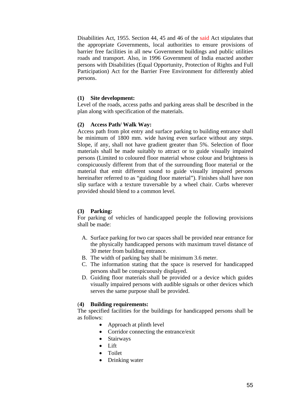Disabilities Act, 1955. Section 44, 45 and 46 of the said Act stipulates that the appropriate Governments, local authorities to ensure provisions of barrier free facilities in all new Government buildings and public utilities roads and transport. Also, in 1996 Government of India enacted another persons with Disabilities (Equal Opportunity, Protection of Rights and Full Participation) Act for the Barrier Free Environment for differently abled persons.

#### **(1) Site development:**

Level of the roads, access paths and parking areas shall be described in the plan along with specification of the materials.

#### **(2) Access Path/ Walk Way:**

Access path from plot entry and surface parking to building entrance shall be minimum of 1800 mm. wide having even surface without any steps. Slope, if any, shall not have gradient greater than 5%. Selection of floor materials shall be made suitably to attract or to guide visually impaired persons (Limited to coloured floor material whose colour and brightness is conspicuously different from that of the surrounding floor material or the material that emit different sound to guide visually impaired persons hereinafter referred to as "guiding floor material"). Finishes shall have non slip surface with a texture traversable by a wheel chair. Curbs wherever provided should blend to a common level.

#### **(3) Parking:**

For parking of vehicles of handicapped people the following provisions shall be made:

- A. Surface parking for two car spaces shall be provided near entrance for the physically handicapped persons with maximum travel distance of 30 meter from building entrance.
- B. The width of parking bay shall be minimum 3.6 meter.
- C. The information stating that the space is reserved for handicapped persons shall be conspicuously displayed.
- D. Guiding floor materials shall be provided or a device which guides visually impaired persons with audible signals or other devices which serves the same purpose shall be provided.

#### (**4) Building requirements:**

The specified facilities for the buildings for handicapped persons shall be as follows:

- Approach at plinth level
- Corridor connecting the entrance/exit
- Stairways
- Lift
- Toilet
- Drinking water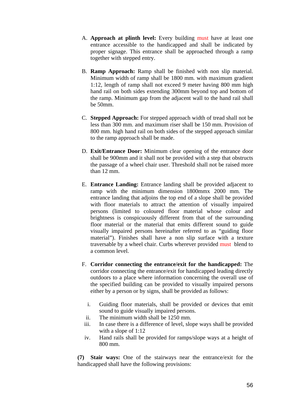- A. **Approach at plinth level:** Every building must have at least one entrance accessible to the handicapped and shall be indicated by proper signage. This entrance shall be approached through a ramp together with stepped entry.
- B. **Ramp Approach:** Ramp shall be finished with non slip material. Minimum width of ramp shall be 1800 mm. with maximum gradient 1:12, length of ramp shall not exceed 9 meter having 800 mm high hand rail on both sides extending 300mm beyond top and bottom of the ramp. Minimum gap from the adjacent wall to the hand rail shall be 50mm.
- C. **Stepped Approach:** For stepped approach width of tread shall not be less than 300 mm. and maximum riser shall be 150 mm. Provision of 800 mm. high hand rail on both sides of the stepped approach similar to the ramp approach shall be made.
- D. **Exit/Entrance Door:** Minimum clear opening of the entrance door shall be 900mm and it shall not be provided with a step that obstructs the passage of a wheel chair user. Threshold shall not be raised more than 12 mm.
- E. **Entrance Landing:** Entrance landing shall be provided adjacent to ramp with the minimum dimension 1800mmx 2000 mm. The entrance landing that adjoins the top end of a slope shall be provided with floor materials to attract the attention of visually impaired persons (limited to coloured floor material whose colour and brightness is conspicuously different from that of the surrounding floor material or the material that emits different sound to guide visually impaired persons hereinafter referred to as "guiding floor material"). Finishes shall have a non slip surface with a texture traversable by a wheel chair. Curbs wherever provided must blend to a common level.
- F. **Corridor connecting the entrance/exit for the handicapped:** The corridor connecting the entrance/exit for handicapped leading directly outdoors to a place where information concerning the overall use of the specified building can be provided to visually impaired persons either by a person or by signs, shall be provided as follows:
	- i. Guiding floor materials, shall be provided or devices that emit sound to guide visually impaired persons.
	- ii. The minimum width shall be 1250 mm.
- iii. In case there is a difference of level, slope ways shall be provided with a slope of 1:12
- iv. Hand rails shall be provided for ramps/slope ways at a height of 800 mm.

**(7) Stair ways:** One of the stairways near the entrance/exit for the handicapped shall have the following provisions: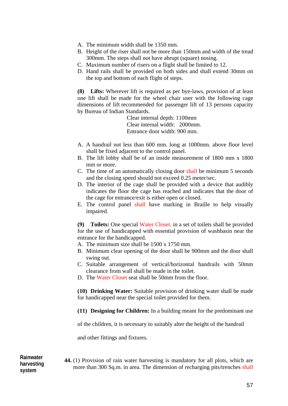- A. The minimum width shall be 1350 mm.
- B. Height of the riser shall not be more than 150mm and width of the tread 300mm. The steps shall not have abrupt (square) nosing.
- C. Maximum number of risers on a flight shall be limited to 12.
- D. Hand rails shall be provided on both sides and shall extend 30mm on the top and bottom of each flight of steps.

**(8) Lifts:** Wherever lift is required as per bye-laws, provision of at least one lift shall be made for the wheel chair user with the following cage dimensions of lift recommended for passenger lift of 13 persons capacity by Bureau of Indian Standards.

> Clear internal depth: 1100mm Clear internal width: 2000mm. Entrance door width: 900 mm.

- A. A handrail not less than 600 mm. long at 1000mm. above floor level shall be fixed adjacent to the control panel.
- B. The lift lobby shall be of an inside measurement of 1800 mm x 1800 mm or more.
- C. The time of an automatically closing door shall be minimum 5 seconds and the closing speed should not exceed 0.25 meter/sec.
- D. The interior of the cage shall be provided with a device that audibly indicates the floor the cage has reached and indicates that the door of the cage for entrance/exit is either open or closed.
- E. The control panel shall have marking in Braille to help visually impaired.

**(9) Toilets:** One special Water Closet. in a set of toilets shall be provided for the use of handicapped with essential provision of washbasin near the entrance for the handicapped.

- A. The minimum size shall be 1500 x 1750 mm.
- B. Minimum clear opening of the door shall be 900mm and the door shall swing out.
- C. Suitable arrangement of vertical/horizontal handrails with 50mm clearance from wall shall be made in the toilet.
- D. The Water Closet seat shall be 50mm from the floor.

**(10) Drinking Water:** Suitable provision of drinking water shall be made for handicapped near the special toilet provided for them.

**(11) Designing for Children:** In a building meant for the predominant use

of the children, it is necessary to suitably alter the height of the handrail

and other fittings and fixtures.

#### **44.** (1) Provision of rain water harvesting is mandatory for all plots, which are more than 300 Sq.m. in area. The dimension of recharging pits/trenches shall **Rainwater harvesting system**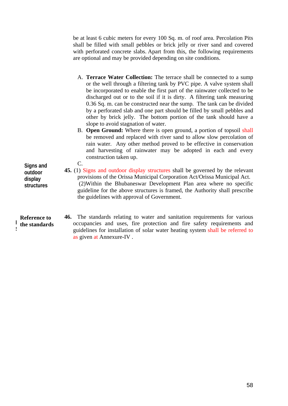be at least 6 cubic meters for every 100 Sq. m. of roof area. Percolation Pits shall be filled with small pebbles or brick jelly or river sand and covered with perforated concrete slabs. Apart from this, the following requirements are optional and may be provided depending on site conditions.

- A. **Terrace Water Collection:** The terrace shall be connected to a sump or the well through a filtering tank by PVC pipe. A valve system shall be incorporated to enable the first part of the rainwater collected to be discharged out or to the soil if it is dirty. A filtering tank measuring 0.36 Sq. m. can be constructed near the sump. The tank can be divided by a perforated slab and one part should be filled by small pebbles and other by brick jelly. The bottom portion of the tank should have a slope to avoid stagnation of water.
- B. **Open Ground:** Where there is open ground, a portion of topsoil shall be removed and replaced with river sand to allow slow percolation of rain water. Any other method proved to be effective in conservation and harvesting of rainwater may be adopted in each and every construction taken up.

**Signs and outdoor display structures**  C.

 $\frac{1}{2}$  the standards  $\mathbf{S}$ **Reference to** 

provisions of the Orissa Municipal Corporation Act/Orissa Municipal Act. (2)Within the Bhubaneswar Development Plan area where no specific guideline for the above structures is framed, the Authority shall prescribe the guidelines with approval of Government.

**45.** (1) Signs and outdoor display structures shall be governed by the relevant

**46.** The standards relating to water and sanitation requirements for various occupancies and uses, fire protection and fire safety requirements and guidelines for installation of solar water heating system shall be referred to as given at Annexure-IV .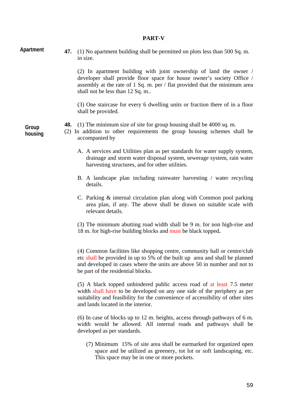#### **PART-V**

**Apartment** 

**47.** (1) No apartment building shall be permitted on plots less than 500 Sq. m. in size.

> (2) In apartment building with joint ownership of land the owner / developer shall provide floor space for house owner's society Office / assembly at the rate of 1 Sq. m. per / flat provided that the minimum area shall not be less than 12 Sq. m..

> (3) One staircase for every 6 dwelling units or fraction there of in a floor shall be provided.

**Group housing** 

- **48.** (1) The minimum size of site for group housing shall be 4000 sq. m.
- (2) In addition to other requirements the group housing schemes shall be accompanied by
	- A. A services and Utilities plan as per standards for water supply system, drainage and storm water disposal system, sewerage system, rain water harvesting structures, and for other utilities.
	- B. A landscape plan including rainwater harvesting / water recycling details.
	- C. Parking & internal circulation plan along with Common pool parking area plan, if any. The above shall be drawn on suitable scale with relevant details.

(3) The minimum abutting road width shall be 9 m. for non high-rise and 18 m. for high-rise building blocks and must be black topped**.** 

(4) Common facilities like shopping centre, community hall or centre/club etc shall be provided in up to 5% of the built up area and shall be planned and developed in cases where the units are above 50 in number and not to be part of the residential blocks.

(5) A black topped unhindered public access road of at least 7.5 meter width shall have to be developed on any one side of the periphery as per suitability and feasibility for the convenience of accessibility of other sites and lands located in the interior.

(6) In case of blocks up to 12 m. heights, access through pathways of 6 m. width would be allowed. All internal roads and pathways shall be developed as per standards.

(7) Minimum 15% of site area shall be earmarked for organized open space and be utilized as greenery, tot lot or soft landscaping, etc. This space may be in one or more pockets.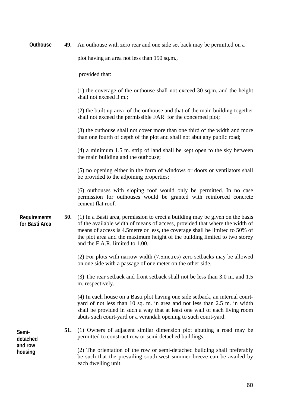| Outhouse                              | 49. | An outhouse with zero rear and one side set back may be permitted on a                                                                                                                                                                                                                                                                                         |
|---------------------------------------|-----|----------------------------------------------------------------------------------------------------------------------------------------------------------------------------------------------------------------------------------------------------------------------------------------------------------------------------------------------------------------|
|                                       |     | plot having an area not less than 150 sq.m.,                                                                                                                                                                                                                                                                                                                   |
|                                       |     | provided that:                                                                                                                                                                                                                                                                                                                                                 |
|                                       |     | (1) the coverage of the outhouse shall not exceed 30 sq.m. and the height<br>shall not exceed 3 m.;                                                                                                                                                                                                                                                            |
|                                       |     | (2) the built up area of the outhouse and that of the main building together<br>shall not exceed the permissible FAR for the concerned plot;                                                                                                                                                                                                                   |
|                                       |     | (3) the outhouse shall not cover more than one third of the width and more<br>than one fourth of depth of the plot and shall not abut any public road;                                                                                                                                                                                                         |
|                                       |     | $(4)$ a minimum 1.5 m. strip of land shall be kept open to the sky between<br>the main building and the outhouse;                                                                                                                                                                                                                                              |
|                                       |     | (5) no opening either in the form of windows or doors or ventilators shall<br>be provided to the adjoining properties;                                                                                                                                                                                                                                         |
|                                       |     | (6) outhouses with sloping roof would only be permitted. In no case<br>permission for outhouses would be granted with reinforced concrete<br>cement flat roof.                                                                                                                                                                                                 |
| <b>Requirements</b><br>for Basti Area | 50. | (1) In a Basti area, permission to erect a building may be given on the basis<br>of the available width of means of access, provided that where the width of<br>means of access is 4.5 metre or less, the coverage shall be limited to 50% of<br>the plot area and the maximum height of the building limited to two storey<br>and the F.A.R. limited to 1.00. |
|                                       |     | (2) For plots with narrow width (7.5 metres) zero setbacks may be allowed<br>on one side with a passage of one meter on the other side.                                                                                                                                                                                                                        |
|                                       |     | (3) The rear setback and front setback shall not be less than 3.0 m. and 1.5<br>m. respectively.                                                                                                                                                                                                                                                               |
|                                       |     | (4) In each house on a Basti plot having one side setback, an internal court-<br>yard of not less than 10 sq. m. in area and not less than 2.5 m. in width<br>shall be provided in such a way that at least one wall of each living room<br>abuts such court-yard or a verandah opening to such court-yard.                                                    |
| Semi-<br>detached                     | 51. | (1) Owners of adjacent similar dimension plot abutting a road may be<br>permitted to construct row or semi-detached buildings.                                                                                                                                                                                                                                 |
| and row<br>housing                    |     | (2) The orientation of the row or semi-detached building shall preferably<br>be such that the prevailing south-west summer breeze can be availed by<br>each dwelling unit.                                                                                                                                                                                     |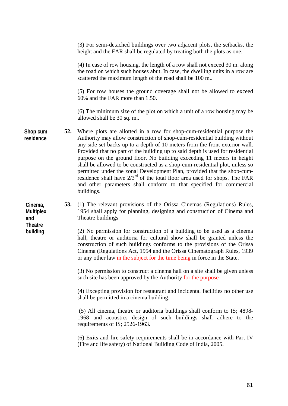|                                    |     | (3) For semi-detached buildings over two adjacent plots, the setbacks, the<br>height and the FAR shall be regulated by treating both the plots as one.                                                                                                                                                                                                                                                                                                                                                                                                                                                                                                                                                                            |
|------------------------------------|-----|-----------------------------------------------------------------------------------------------------------------------------------------------------------------------------------------------------------------------------------------------------------------------------------------------------------------------------------------------------------------------------------------------------------------------------------------------------------------------------------------------------------------------------------------------------------------------------------------------------------------------------------------------------------------------------------------------------------------------------------|
|                                    |     | (4) In case of row housing, the length of a row shall not exceed 30 m. along<br>the road on which such houses abut. In case, the dwelling units in a row are<br>scattered the maximum length of the road shall be 100 m                                                                                                                                                                                                                                                                                                                                                                                                                                                                                                           |
|                                    |     | (5) For row houses the ground coverage shall not be allowed to exceed<br>60% and the FAR more than 1.50.                                                                                                                                                                                                                                                                                                                                                                                                                                                                                                                                                                                                                          |
|                                    |     | (6) The minimum size of the plot on which a unit of a row housing may be<br>allowed shall be 30 sq. m                                                                                                                                                                                                                                                                                                                                                                                                                                                                                                                                                                                                                             |
| Shop cum<br>residence              | 52. | Where plots are allotted in a row for shop-cum-residential purpose the<br>Authority may allow construction of shop-cum-residential building without<br>any side set backs up to a depth of 10 meters from the front exterior wall.<br>Provided that no part of the building up to said depth is used for residential<br>purpose on the ground floor. No building exceeding 11 meters in height<br>shall be allowed to be constructed as a shop-cum-residential plot, unless so<br>permitted under the zonal Development Plan, provided that the shop-cum-<br>residence shall have $2/3^{rd}$ of the total floor area used for shops. The FAR<br>and other parameters shall conform to that specified for commercial<br>buildings. |
| Cinema,<br><b>Multiplex</b><br>and | 53. | (1) The relevant provisions of the Orissa Cinemas (Regulations) Rules,<br>1954 shall apply for planning, designing and construction of Cinema and<br>Theatre buildings                                                                                                                                                                                                                                                                                                                                                                                                                                                                                                                                                            |
| <b>Theatre</b><br>building         |     | (2) No permission for construction of a building to be used as a cinema<br>hall, theatre or auditoria for cultural show shall be granted unless the<br>construction of such buildings conforms to the provisions of the Orissa<br>Cinema (Regulations Act, 1954 and the Orissa Cinematograph Rules, 1939<br>or any other law in the subject for the time being in force in the State.                                                                                                                                                                                                                                                                                                                                             |
|                                    |     | (3) No permission to construct a cinema hall on a site shall be given unless<br>such site has been approved by the Authority for the purpose                                                                                                                                                                                                                                                                                                                                                                                                                                                                                                                                                                                      |
|                                    |     | (4) Excepting provision for restaurant and incidental facilities no other use<br>shall be permitted in a cinema building.                                                                                                                                                                                                                                                                                                                                                                                                                                                                                                                                                                                                         |
|                                    |     | (5) All cinema, theatre or auditoria buildings shall conform to IS; 4898-<br>1968 and acoustics design of such buildings shall adhere to the<br>requirements of IS; 2526-1963.                                                                                                                                                                                                                                                                                                                                                                                                                                                                                                                                                    |
|                                    |     | (6) Exits and fire safety requirements shall be in accordance with Part IV<br>(Fire and life safety) of National Building Code of India, 2005.                                                                                                                                                                                                                                                                                                                                                                                                                                                                                                                                                                                    |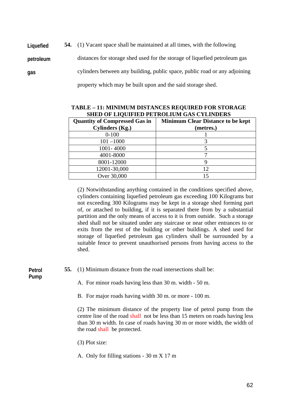| Liquefied | <b>54.</b> (1) Vacant space shall be maintained at all times, with the following |
|-----------|----------------------------------------------------------------------------------|
| petroleum | distances for storage shed used for the storage of liquefied petroleum gas       |
| gas       | cylinders between any building, public space, public road or any adjoining       |
|           | property which may be built upon and the said storage shed.                      |

| SHED OF LIQUIFIED PETROLIUM GAS CYLINDERS |                                          |  |  |  |  |  |
|-------------------------------------------|------------------------------------------|--|--|--|--|--|
| <b>Quantity of Compressed Gas in</b>      | <b>Minimum Clear Distance to be kept</b> |  |  |  |  |  |
| <b>Cylinders (Kg.)</b>                    | (metres.)                                |  |  |  |  |  |
| $0 - 100$                                 |                                          |  |  |  |  |  |
| $101 - 1000$                              |                                          |  |  |  |  |  |
| 1001-4000                                 |                                          |  |  |  |  |  |
| 4001-8000                                 |                                          |  |  |  |  |  |
| 8001-12000                                |                                          |  |  |  |  |  |
| 12001-30,000                              | 12                                       |  |  |  |  |  |
| Over 30,000                               |                                          |  |  |  |  |  |

| <b>TABLE - 11: MINIMUM DISTANCES REQUIRED FOR STORAGE</b> |  |
|-----------------------------------------------------------|--|
| SHED OF LIQUIFIED PETROLIUM GAS CYLINDERS                 |  |

(2) Notwithstanding anything contained in the conditions specified above, cylinders containing liquefied petroleum gas exceeding 100 Kilograms but not exceeding 300 Kilograms may be kept in a storage shed forming part of, or attached to building, if it is separated there from by a substantial partition and the only means of access to it is from outside. Such a storage shed shall not be situated under any staircase or near other entrances to or exits from the rest of the building or other buildings. A shed used for storage of liquefied petroleum gas cylinders shall be surrounded by a suitable fence to prevent unauthorised persons from having access to the shed.

**Petrol Pump** 

**55.** (1) Minimum distance from the road intersections shall be:

A. For minor roads having less than 30 m. width - 50 m.

B. For major roads having width 30 m. or more - 100 m.

(2) The minimum distance of the property line of petrol pump from the centre line of the road shall not be less than 15 meters on roads having less than 30 m width. In case of roads having 30 m or more width, the width of the road shall be protected.

(3) Plot size:

A. Only for filling stations - 30 m X 17 m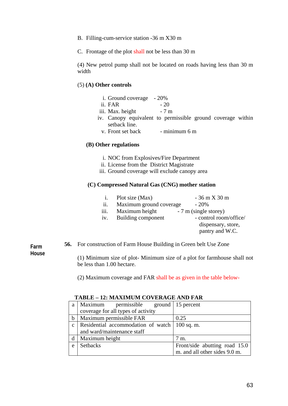- B. Filling-cum-service station -36 m X30 m
- C. Frontage of the plot shall not be less than 30 m

(4) New petrol pump shall not be located on roads having less than 30 m width

## (5) **(A) Other controls**

- i. Ground coverage 20%
- ii. FAR  $-20$
- iii. Max. height 7 m
- iv. Canopy equivalent to permissible ground coverage within setback line.
	- v. Front set back  $\blacksquare$  minimum 6 m

#### **(B) Other regulations**

- i. NOC from Explosives/Fire Department
- ii. License from the District Magistrate
- iii. Ground coverage will exclude canopy area

#### **(C) Compressed Natural Gas (CNG) mother station**

- i. Plot size  $(Max)$  36 m X 30 m
- ii. Maximum ground coverage  $-20\%$ iii. Maximum height  $-7 \text{ m (single store)}$
- 
- iv. Building component control room/office/ dispensary, store,
	- pantry and W.C.

**Farm House**  **56.** For construction of Farm House Building in Green belt Use Zone

(1) Minimum size of plot- Minimum size of a plot for farmhouse shall not be less than 1.00 hectare.

(2) Maximum coverage and FAR shall be as given in the table below-

| a            | Maximum<br>permissible ground   15 percent |                               |
|--------------|--------------------------------------------|-------------------------------|
|              | coverage for all types of activity         |                               |
| b            | Maximum permissible FAR                    | 0.25                          |
| $\mathbf{c}$ | Residential accommodation of watch         | $100$ sq. m.                  |
|              | and ward/maintenance staff                 |                               |
| d            | Maximum height                             | 7 m.                          |
| e            | <b>Setbacks</b>                            | Front/side abutting road 15.0 |
|              |                                            | m. and all other sides 9.0 m. |

## **TABLE – 12: MAXIMUM COVERAGE AND FAR**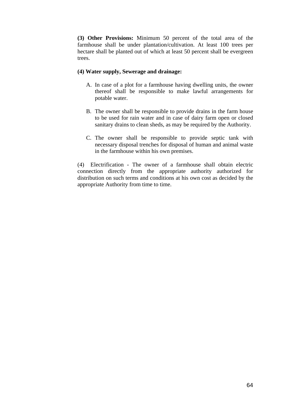**(3) Other Provisions:** Minimum 50 percent of the total area of the farmhouse shall be under plantation/cultivation. At least 100 trees per hectare shall be planted out of which at least 50 percent shall be evergreen trees.

## **(4) Water supply, Sewerage and drainage:**

- A. In case of a plot for a farmhouse having dwelling units, the owner thereof shall be responsible to make lawful arrangements for potable water.
- B. The owner shall be responsible to provide drains in the farm house to be used for rain water and in case of dairy farm open or closed sanitary drains to clean sheds, as may be required by the Authority.
- C. The owner shall be responsible to provide septic tank with necessary disposal trenches for disposal of human and animal waste in the farmhouse within his own premises.

(4) Electrification - The owner of a farmhouse shall obtain electric connection directly from the appropriate authority authorized for distribution on such terms and conditions at his own cost as decided by the appropriate Authority from time to time.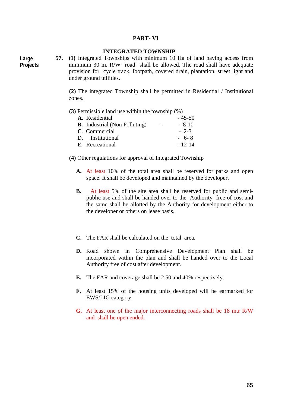#### **PART- VI**

## **INTEGRATED TOWNSHIP**

**Large Projects** **57. (1)** Integrated Townships with minimum 10 Ha of land having access from minimum 30 m. R/W road shall be allowed. The road shall have adequate provision for cycle track, footpath, covered drain, plantation, street light and under ground utilities.

**(2)** The integrated Township shall be permitted in Residential / Institutional zones.

|  |  |  |  | (3) Permissible land use within the township $(\%)$ |  |
|--|--|--|--|-----------------------------------------------------|--|
|  |  |  |  |                                                     |  |

| A. Residential                       | $-45-50$ |
|--------------------------------------|----------|
| <b>B.</b> Industrial (Non Polluting) | $-8-10$  |
| C. Commercial                        | $-2-3$   |
| D. Institutional                     | $-6-8$   |
| E. Recreational                      | $-12-14$ |

**(4)** Other regulations for approval of Integrated Township

- **A.** At least 10% of the total area shall be reserved for parks and open space. It shall be developed and maintained by the developer.
- **B.** At least 5% of the site area shall be reserved for public and semipublic use and shall be handed over to the Authority free of cost and the same shall be allotted by the Authority for development either to the developer or others on lease basis.
- **C.** The FAR shall be calculated on the total area.
- **D.** Road shown in Comprehensive Development Plan shall be incorporated within the plan and shall be handed over to the Local Authority free of cost after development.
- **E.** The FAR and coverage shall be 2.50 and 40% respectively.
- **F.** At least 15% of the housing units developed will be earmarked for EWS/LIG category.
- **G.** At least one of the major interconnecting roads shall be 18 mtr R/W and shall be open ended.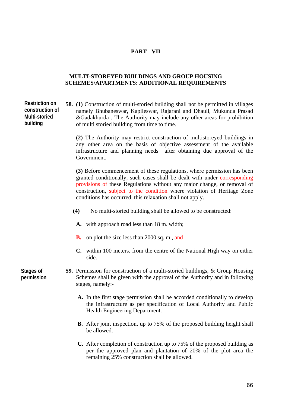# **PART - VII**

## **MULTI-STOREYED BUILDINGS AND GROUP HOUSING SCHEMES/APARTMENTS: ADDITIONAL REQUIREMENTS**

| <b>Restriction on</b><br>construction of<br>Multi-storied<br>building | <b>58.</b> (1) Construction of multi-storied building shall not be permitted in villages<br>namely Bhubaneswar, Kapileswar, Rajarani and Dhauli, Mukunda Prasad<br>&Gadakhurda. The Authority may include any other areas for prohibition<br>of multi storied building from time to time.                                                                               |
|-----------------------------------------------------------------------|-------------------------------------------------------------------------------------------------------------------------------------------------------------------------------------------------------------------------------------------------------------------------------------------------------------------------------------------------------------------------|
|                                                                       | (2) The Authority may restrict construction of multistoreyed buildings in<br>any other area on the basis of objective assessment of the available<br>infrastructure and planning needs after obtaining due approval of the<br>Government.                                                                                                                               |
|                                                                       | (3) Before commencement of these regulations, where permission has been<br>granted conditionally, such cases shall be dealt with under corresponding<br>provisions of these Regulations without any major change, or removal of<br>construction, subject to the condition where violation of Heritage Zone<br>conditions has occurred, this relaxation shall not apply. |
|                                                                       | (4)<br>No multi-storied building shall be allowed to be constructed:                                                                                                                                                                                                                                                                                                    |
|                                                                       | A. with approach road less than 18 m. width;                                                                                                                                                                                                                                                                                                                            |
|                                                                       | on plot the size less than 2000 sq. m., and<br>В.                                                                                                                                                                                                                                                                                                                       |
|                                                                       | C. within 100 meters. from the centre of the National High way on either<br>side.                                                                                                                                                                                                                                                                                       |
| Stages of<br>permission                                               | <b>59.</b> Permission for construction of a multi-storied buildings, & Group Housing<br>Schemes shall be given with the approval of the Authority and in following<br>stages, namely:-                                                                                                                                                                                  |
|                                                                       | A. In the first stage permission shall be accorded conditionally to develop<br>the infrastructure as per specification of Local Authority and Public<br>Health Engineering Department.                                                                                                                                                                                  |
|                                                                       | <b>B.</b> After joint inspection, up to 75% of the proposed building height shall<br>be allowed.                                                                                                                                                                                                                                                                        |
|                                                                       |                                                                                                                                                                                                                                                                                                                                                                         |

**C.** After completion of construction up to 75% of the proposed building as per the approved plan and plantation of 20% of the plot area the remaining 25% construction shall be allowed.

66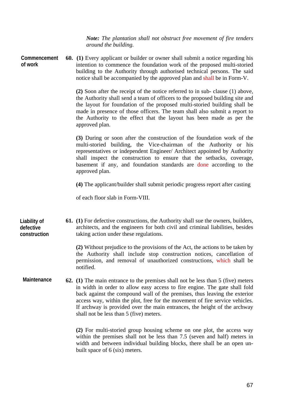*Note: The plantation shall not obstruct free movement of fire tenders around the building.* 

**60. (1)** Every applicant or builder or owner shall submit a notice regarding his intention to commence the foundation work of the proposed multi-storied building to the Authority through authorised technical persons. The said notice shall be accompanied by the approved plan and shall be in Form-V. **Commencement of work** 

> **(2)** Soon after the receipt of the notice referred to in sub- clause (1) above, the Authority shall send a team of officers to the proposed building site and the layout for foundation of the proposed multi-storied building shall be made in presence of those officers. The team shall also submit a report to the Authority to the effect that the layout has been made as per the approved plan.

> **(3)** During or soon after the construction of the foundation work of the multi-storied building, the Vice-chairman of the Authority or his representatives or independent Engineer/ Architect appointed by Authority shall inspect the construction to ensure that the setbacks, coverage, basement if any, and foundation standards are done according to the approved plan.

**(4)** The applicant/builder shall submit periodic progress report after casting

of each floor slab in Form-VIII.

**61. (1)** For defective constructions, the Authority shall sue the owners, builders, architects, and the engineers for both civil and criminal liabilities, besides taking action under these regulations. **Liability of defective construction** 

> **(2)** Without prejudice to the provisions of the Act, the actions to be taken by the Authority shall include stop construction notices, cancellation of permission, and removal of unauthorized constructions, which shall be notified.

**62. (1)** The main entrance to the premises shall not be less than 5 (five) meters in width in order to allow easy access to fire engine. The gate shall fold back against the compound wall of the premises, thus leaving the exterior access way, within the plot, free for the movement of fire service vehicles. If archway is provided over the main entrances, the height of the archway shall not be less than 5 (five) meters. **Maintenance** 

> **(2)** For multi-storied group housing scheme on one plot, the access way within the premises shall not be less than 7.5 (seven and half) meters in width and between individual building blocks, there shall be an open unbuilt space of 6 (six) meters.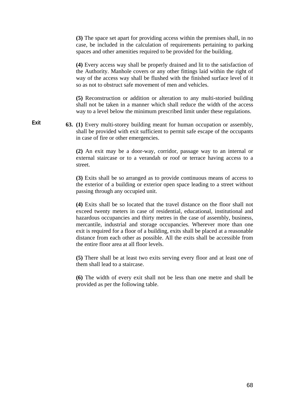**(3)** The space set apart for providing access within the premises shall, in no case, be included in the calculation of requirements pertaining to parking spaces and other amenities required to be provided for the building.

**(4)** Every access way shall be properly drained and lit to the satisfaction of the Authority. Manhole covers or any other fittings laid within the right of way of the access way shall be flushed with the finished surface level of it so as not to obstruct safe movement of men and vehicles.

**(5)** Reconstruction or addition or alteration to any multi-storied building shall not be taken in a manner which shall reduce the width of the access way to a level below the minimum prescribed limit under these regulations.

**63. (1)** Every multi-storey building meant for human occupation or assembly, shall be provided with exit sufficient to permit safe escape of the occupants in case of fire or other emergencies. **Exit** 

> **(2)** An exit may be a door-way, corridor, passage way to an internal or external staircase or to a verandah or roof or terrace having access to a street.

> **(3)** Exits shall be so arranged as to provide continuous means of access to the exterior of a building or exterior open space leading to a street without passing through any occupied unit.

> **(4)** Exits shall be so located that the travel distance on the floor shall not exceed twenty meters in case of residential, educational, institutional and hazardous occupancies and thirty metres in the case of assembly, business, mercantile, industrial and storage occupancies. Wherever more than one exit is required for a floor of a building, exits shall be placed at a reasonable distance from each other as possible. All the exits shall be accessible from the entire floor area at all floor levels.

> **(5)** There shall be at least two exits serving every floor and at least one of them shall lead to a staircase.

> **(6)** The width of every exit shall not be less than one metre and shall be provided as per the following table.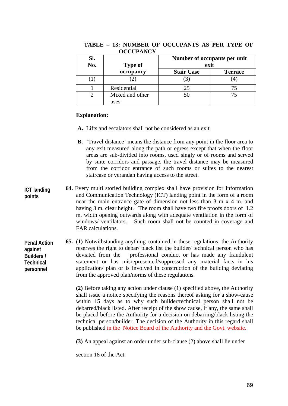| SI.<br>No. | <b>Type of</b>  | Number of occupants per unit<br>exit |                |  |
|------------|-----------------|--------------------------------------|----------------|--|
|            | occupancy       | <b>Stair Case</b>                    | <b>Terrace</b> |  |
|            |                 |                                      |                |  |
|            | Residential     | 25                                   |                |  |
|            | Mixed and other | 50                                   | 75             |  |
|            | uses            |                                      |                |  |

#### **TABLE – 13: NUMBER OF OCCUPANTS AS PER TYPE OF OCCUPANCY**

# **Explanation:**

- **A.** Lifts and escalators shall not be considered as an exit.
- **B.** 'Travel distance' means the distance from any point in the floor area to any exit measured along the path or egress except that when the floor areas are sub-divided into rooms, used singly or of rooms and served by suite corridors and passage, the travel distance may be measured from the corridor entrance of such rooms or suites to the nearest staircase or verandah having access to the street.
- **64.** Every multi storied building complex shall have provision for Information and Communication Technology (ICT) landing point in the form of a room near the main entrance gate of dimension not less than 3 m x 4 m. and having 3 m. clear height. The room shall have two fire proofs doors of 1.2 m. width opening outwards along with adequate ventilation in the form of windows/ ventilators. Such room shall not be counted in coverage and FAR calculations. **ICT landing points**

**65. (1)** Notwithstanding anything contained in these regulations, the Authority reserves the right to debar/ black list the builder/ technical person who has deviated from the professional conduct or has made any fraudulent statement or has misrepresented/suppressed any material facts in his application/ plan or is involved in construction of the building deviating from the approved plan/norms of these regulations. **Penal Action against Builders / Technical personnel** 

> **(2)** Before taking any action under clause (1) specified above, the Authority shall issue a notice specifying the reasons thereof asking for a show-cause within 15 days as to why such builder/technical person shall not be debarred/black listed. After receipt of the show cause, if any, the same shall be placed before the Authority for a decision on debarring/black listing the technical person/builder. The decision of the Authority in this regard shall be published in the Notice Board of the Authority and the Govt. website.

**(3)** An appeal against an order under sub-clause (2) above shall lie under

section 18 of the Act.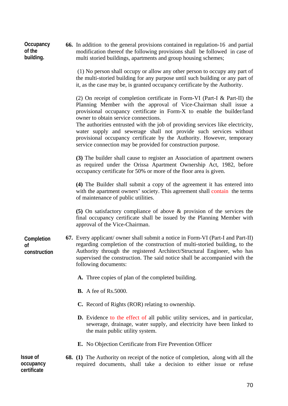| Occupancy<br>of the<br>building.            | <b>66.</b> In addition to the general provisions contained in regulation-16 and partial<br>modification thereof the following provisions shall be followed in case of<br>multi storied buildings, apartments and group housing schemes;                                                                                                                                                                                                                                                                                                                              |
|---------------------------------------------|----------------------------------------------------------------------------------------------------------------------------------------------------------------------------------------------------------------------------------------------------------------------------------------------------------------------------------------------------------------------------------------------------------------------------------------------------------------------------------------------------------------------------------------------------------------------|
|                                             | (1) No person shall occupy or allow any other person to occupy any part of<br>the multi-storied building for any purpose until such building or any part of<br>it, as the case may be, is granted occupancy certificate by the Authority.                                                                                                                                                                                                                                                                                                                            |
|                                             | (2) On receipt of completion certificate in Form-VI (Part-I $\&$ Part-II) the<br>Planning Member with the approval of Vice-Chairman shall issue a<br>provisional occupancy certificate in Form-X to enable the builder/land<br>owner to obtain service connections.<br>The authorities entrusted with the job of providing services like electricity,<br>water supply and sewerage shall not provide such services without<br>provisional occupancy certificate by the Authority. However, temporary<br>service connection may be provided for construction purpose. |
|                                             | (3) The builder shall cause to register an Association of apartment owners<br>as required under the Orissa Apartment Ownership Act, 1982, before<br>occupancy certificate for 50% or more of the floor area is given.                                                                                                                                                                                                                                                                                                                                                |
|                                             | (4) The Builder shall submit a copy of the agreement it has entered into<br>with the apartment owners' society. This agreement shall contain the terms<br>of maintenance of public utilities.                                                                                                                                                                                                                                                                                                                                                                        |
|                                             | (5) On satisfactory compliance of above $\&$ provision of the services the<br>final occupancy certificate shall be issued by the Planning Member with<br>approval of the Vice-Chairman.                                                                                                                                                                                                                                                                                                                                                                              |
| Completion<br>0f<br>construction            | 67. Every applicant/ owner shall submit a notice in Form-VI (Part-I and Part-II)<br>regarding completion of the construction of multi-storied building, to the<br>Authority through the registered Architect/Structural Engineer, who has<br>supervised the construction. The said notice shall be accompanied with the<br>following documents:                                                                                                                                                                                                                      |
|                                             | A. Three copies of plan of the completed building.                                                                                                                                                                                                                                                                                                                                                                                                                                                                                                                   |
|                                             | <b>B.</b> A fee of Rs.5000.                                                                                                                                                                                                                                                                                                                                                                                                                                                                                                                                          |
|                                             | C. Record of Rights (ROR) relating to ownership.                                                                                                                                                                                                                                                                                                                                                                                                                                                                                                                     |
|                                             | <b>D.</b> Evidence to the effect of all public utility services, and in particular,<br>sewerage, drainage, water supply, and electricity have been linked to<br>the main public utility system.                                                                                                                                                                                                                                                                                                                                                                      |
|                                             | E. No Objection Certificate from Fire Prevention Officer                                                                                                                                                                                                                                                                                                                                                                                                                                                                                                             |
| <b>Issue of</b><br>occupancy<br>certificate | 68. (1) The Authority on receipt of the notice of completion, along with all the<br>required documents, shall take a decision to either issue or refuse                                                                                                                                                                                                                                                                                                                                                                                                              |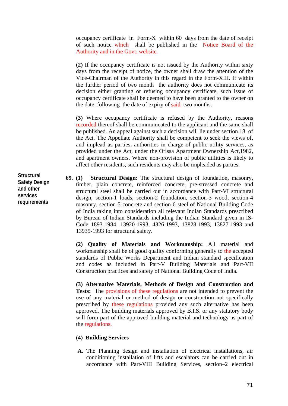occupancy certificate in Form-X within 60 days from the date of receipt of such notice which shall be published in the Notice Board of the Authority and in the Govt. website.

**(2)** If the occupancy certificate is not issued by the Authority within sixty days from the receipt of notice, the owner shall draw the attention of the Vice-Chairman of the Authority in this regard in the Form-XIII. If within the further period of two month the authority does not communicate its decision either granting or refusing occupancy certificate, such issue of occupancy certificate shall be deemed to have been granted to the owner on the date following the date of expiry of said two months.

**(3)** Where occupancy certificate is refused by the Authority, reasons recorded thereof shall be communicated to the applicant and the same shall be published. An appeal against such a decision will lie under section 18 of the Act. The Appellate Authority shall be competent to seek the views of, and implead as parties, authorities in charge of public utility services, as provided under the Act, under the Orissa Apartment Ownership Act,1982, and apartment owners. Where non-provision of public utilities is likely to affect other residents, such residents may also be impleaded as parties.

**69. (1) Structural Design:** The structural design of foundation, masonry, timber, plain concrete, reinforced concrete, pre-stressed concrete and structural steel shall be carried out in accordance with Part-VI structural design, section-1 loads, section-2 foundation, section-3 wood, section-4 masonry, section-5 concrete and section-6 steel of National Building Code of India taking into consideration all relevant Indian Standards prescribed by Bureau of Indian Standards including the Indian Standard given in IS-Code 1893-1984, 13920-1993, 4326-1993, 13828-1993, 13827-1993 and 13935-1993 for structural safety.

**(2) Quality of Materials and Workmanship:** All material and workmanship shall be of good quality conforming generally to the accepted standards of Public Works Department and Indian standard specification and codes as included in Part-V Building Materials and Part-VII Construction practices and safety of National Building Code of India.

**(3) Alternative Materials, Methods of Design and Construction and Tests:** The provisions of these regulations are not intended to prevent the use of any material or method of design or construction not specifically prescribed by these regulations provided any such alternative has been approved. The building materials approved by B.I.S. or any statutory body will form part of the approved building material and technology as part of the regulations.

# **(4) Building Services**

**A.** The Planning design and installation of electrical installations, air conditioning installation of lifts and escalators can be carried out in accordance with Part-VIII Building Services, section–2 electrical

**Structural Safety Design and other services requirements**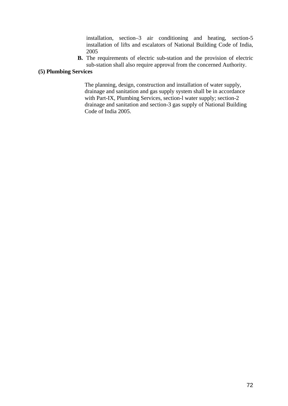installation, section–3 air conditioning and heating, section-5 installation of lifts and escalators of National Building Code of India, 2005

**B.** The requirements of electric sub-station and the provision of electric sub-station shall also require approval from the concerned Authority.

# **(5) Plumbing Services**

The planning, design, construction and installation of water supply, drainage and sanitation and gas supply system shall be in accordance with Part-IX, Plumbing Services, section-l water supply; section-2 drainage and sanitation and section-3 gas supply of National Building Code of India 2005.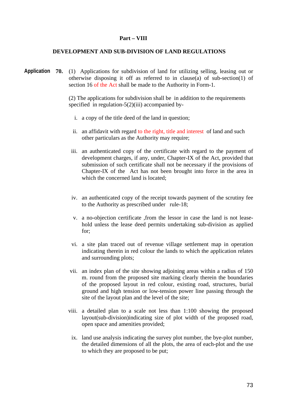#### **Part – VIII**

#### **DEVELOPMENT AND SUB-DIVISION OF LAND REGULATIONS**

Application 70. (1) Applications for subdivision of land for utilizing selling, leasing out or otherwise disposing it off as referred to in clause(a) of sub-section(1) of section 16 of the Act shall be made to the Authority in Form-1.

> (2) The applications for subdivision shall be in addition to the requirements specified in regulation-5(2)(iii) accompanied by-

- i. a copy of the title deed of the land in question;
- ii. an affidavit with regard to the right, title and interest of land and such other particulars as the Authority may require;
- iii. an authenticated copy of the certificate with regard to the payment of development charges, if any, under, Chapter-IX of the Act, provided that submission of such certificate shall not be necessary if the provisions of Chapter-IX of the Act has not been brought into force in the area in which the concerned land is located:
- iv. an authenticated copy of the receipt towards payment of the scrutiny fee to the Authority as prescribed under rule-18;
- v. a no-objection certificate ,from the lessor in case the land is not leasehold unless the lease deed permits undertaking sub-division as applied for;
- vi. a site plan traced out of revenue village settlement map in operation indicating therein in red colour the lands to which the application relates and surrounding plots;
- vii. an index plan of the site showing adjoining areas within a radius of 150 m. round from the proposed site marking clearly therein the boundaries of the proposed layout in red colour, existing road, structures, burial ground and high tension or low-tension power line passing through the site of the layout plan and the level of the site;
- viii. a detailed plan to a scale not less than 1:100 showing the proposed layout(sub-division)indicating size of plot width of the proposed road, open space and amenities provided;
	- ix. land use analysis indicating the survey plot number, the bye-plot number, the detailed dimensions of all the plots, the area of each-plot and the use to which they are proposed to be put;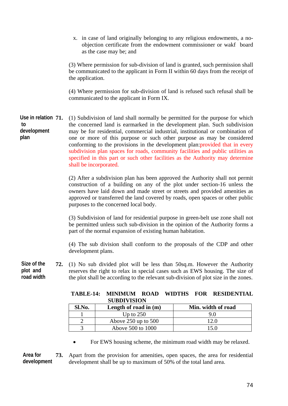x. in case of land originally belonging to any religious endowments, a noobjection certificate from the endowment commissioner or wakf board as the case may be; and

(3) Where permission for sub-division of land is granted, such permission shall be communicated to the applicant in Form II within 60 days from the receipt of the application.

(4) Where permission for sub-division of land is refused such refusal shall be communicated to the applicant in Form IX.

**71.** (1) Subdivision of land shall normally be permitted for the purpose for which the concerned land is earmarked in the development plan. Such subdivision may be for residential, commercial industrial, institutional or combination of one or more of this purpose or such other purpose as may be considered conforming to the provisions in the development plan: provided that in every subdivision plan spaces for roads, community facilities and public utilities as specified in this part or such other facilities as the Authority may determine shall be incorporated. **Use in relation to development plan** 

> (2) After a subdivision plan has been approved the Authority shall not permit construction of a building on any of the plot under section-16 unless the owners have laid down and made street or streets and provided amenities as approved or transferred the land covered by roads, open spaces or other public purposes to the concerned local body.

> (3) Subdivision of land for residential purpose in green-belt use zone shall not be permitted unless such sub-division in the opinion of the Authority forms a part of the normal expansion of existing human habitation.

> (4) The sub division shall conform to the proposals of the CDP and other development plans.

**72.** (1) No sub divided plot will be less than 50sq.m. However the Authority reserves the right to relax in special cases such as EWS housing. The size of the plot shall be according to the relevant sub-division of plot size in the zones. **Size of the plot and road width** 

|        | <b>SUBDIVISION</b>      |                    |
|--------|-------------------------|--------------------|
| Sl.No. | Length of road in $(m)$ | Min. width of road |
|        | Up to $250$             | 9.0                |
|        | Above $250$ up to $500$ | 12 O               |
|        | Above 500 to 1000       | 15 N               |

|                    |  | TABLE-14: MINIMUM ROAD WIDTHS FOR RESIDENTIAL |
|--------------------|--|-----------------------------------------------|
| <b>SUBDIVISION</b> |  |                                               |

• For EWS housing scheme, the minimum road width may be relaxed.

**73.** Apart from the provision for amenities, open spaces, the area for residential development shall be up to maximum of 50% of the total land area. **Area for development**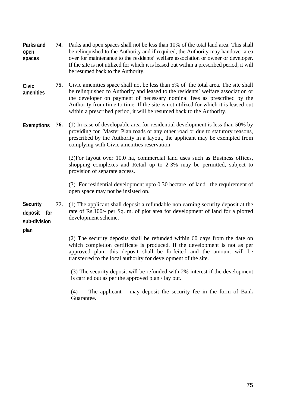- **74.** Parks and open spaces shall not be less than 10% of the total land area. This shall be relinquished to the Authority and if required, the Authority may handover area over for maintenance to the residents' welfare association or owner or developer. If the site is not utilized for which it is leased out within a prescribed period, it will be resumed back to the Authority. **Parks and open spaces**
- **75.** Civic amenities space shall not be less than 5% of the total area. The site shall be relinquished to Authority and leased to the residents' welfare association or the developer on payment of necessary nominal fees as prescribed by the Authority from time to time. If the site is not utilized for which it is leased out within a prescribed period, it will be resumed back to the Authority. **Civic amenities**
- **76.** (1) In case of developable area for residential development is less than 50% by providing for Master Plan roads or any other road or due to statutory reasons, prescribed by the Authority in a layout, the applicant may be exempted from complying with Civic amenities reservation. **Exemptions**

(2)For layout over 10.0 ha, commercial land uses such as Business offices, shopping complexes and Retail up to 2-3% may be permitted, subject to provision of separate access.

(3) For residential development upto 0.30 hectare of land , the requirement of open space may not be insisted on.

**77.** (1) The applicant shall deposit a refundable non earning security deposit at the rate of Rs.100/- per Sq. m. of plot area for development of land for a plotted development scheme. **Security deposit for sub-division** 

**plan**

(2) The security deposits shall be refunded within 60 days from the date on which completion certificate is produced. If the development is not as per approved plan, this deposit shall be forfeited and the amount will be transferred to the local authority for development of the site.

(3) The security deposit will be refunded with 2% interest if the development is carried out as per the approved plan / lay out.

(4) The applicant may deposit the security fee in the form of Bank Guarantee.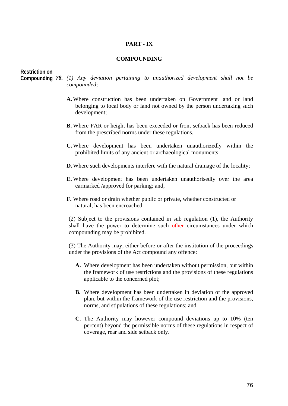### **PART - IX**

#### **COMPOUNDING**

# **Restriction on**

- 
- *78. (1) Any deviation pertaining to unauthorized development shall not be*  **Compounding** *compounded;* 
	- **A.**Where construction has been undertaken on Government land or land belonging to local body or land not owned by the person undertaking such development;
	- **B.** Where FAR or height has been exceeded or front setback has been reduced from the prescribed norms under these regulations.
	- **C.**Where development has been undertaken unauthorizedly within the prohibited limits of any ancient or archaeological monuments.
	- **D.**Where such developments interfere with the natural drainage of the locality;
	- **E.** Where development has been undertaken unauthorisedly over the area earmarked /approved for parking; and,
	- **F.** Where road or drain whether public or private, whether constructed or natural, has been encroached.

(2) Subject to the provisions contained in sub regulation (1), the Authority shall have the power to determine such other circumstances under which compounding may be prohibited.

(3) The Authority may, either before or after the institution of the proceedings under the provisions of the Act compound any offence:

- **A.** Where development has been undertaken without permission, but within the framework of use restrictions and the provisions of these regulations applicable to the concerned plot;
- **B.** Where development has been undertaken in deviation of the approved plan, but within the framework of the use restriction and the provisions, norms, and stipulations of these regulations; and
- **C.** The Authority may however compound deviations up to 10% (ten percent) beyond the permissible norms of these regulations in respect of coverage, rear and side setback only.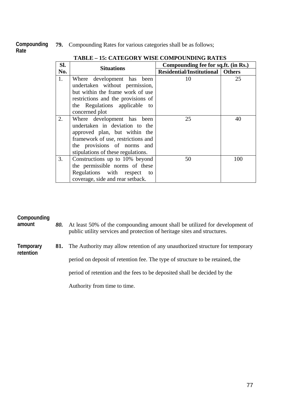**79.** Compounding Rates for various categories shall be as follows; **Compounding Rate** 

| Sl. | <b>Situations</b>                                                                                                                                                                                        | Compounding fee for sq.ft. (in Rs.)       |     |
|-----|----------------------------------------------------------------------------------------------------------------------------------------------------------------------------------------------------------|-------------------------------------------|-----|
| No. |                                                                                                                                                                                                          | <b>Residential/Institutional   Others</b> |     |
| 1.  | Where development has been<br>undertaken without permission,<br>but within the frame work of use<br>restrictions and the provisions of<br>the Regulations applicable to<br>concerned plot                | 10                                        | 25  |
| 2.  | Where development has been<br>undertaken in deviation to the<br>approved plan, but within the<br>framework of use, restrictions and<br>the provisions of norms and<br>stipulations of these regulations. | 25                                        | 40  |
| 3.  | Constructions up to 10% beyond<br>the permissible norms of these<br>Regulations with respect<br>to<br>coverage, side and rear setback.                                                                   | 50                                        | 100 |

# **TABLE – 15: CATEGORY WISE COMPOUNDING RATES**

# **Compounding**

*80.* At least 50% of the compounding amount shall be utilized for development of public utility services and protection of heritage sites and structures. **amount** 

**81.** The Authority may allow retention of any unauthorized structure for temporary **Temporary retention** 

period on deposit of retention fee. The type of structure to be retained, the

period of retention and the fees to be deposited shall be decided by the

Authority from time to time.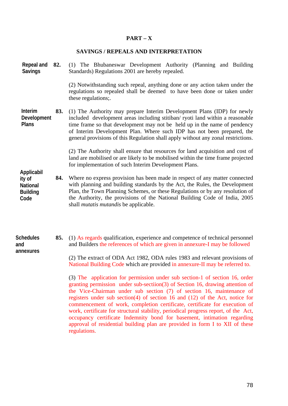# **PART – X**

#### **SAVINGS / REPEALS AND INTERPRETATION**

**82.** (1) The Bhubaneswar Development Authority (Planning and Building Standards) Regulations 2001 are hereby repealed. **Repeal and Savings** 

> (2) Notwithstanding such repeal, anything done or any action taken under the regulations so repealed shall be deemed to have been done or taken under these regulations;.

**83.** (1) The Authority may prepare Interim Development Plans (IDP) for newly included development areas including stitiban/ ryoti land within a reasonable time frame so that development may not be held up in the name of pendency of Interim Development Plan. Where such IDP has not been prepared, the general provisions of this Regulation shall apply without any zonal restrictions. **Interim Development Plans** 

> (2) The Authority shall ensure that resources for land acquisition and cost of land are mobilised or are likely to be mobilised within the time frame projected for implementation of such Interim Development Plans.

- **Applicabil ity of National Building Code** 
	- **84.** Where no express provision has been made in respect of any matter connected with planning and building standards by the Act, the Rules, the Development Plan, the Town Planning Schemes, or these Regulations or by any resolution of the Authority, the provisions of the National Building Code of India, 2005 shall *mutatis mutandis* be applicable.
- **85.** (1) As regards qualification, experience and competence of technical personnel and Builders the references of which are given in annexure-I may be followed **Schedules and annexures** 
	- (2) The extract of ODA Act 1982, ODA rules 1983 and relevant provisions of National Building Code which are provided in annexure-II may be referred to.

(3) The application for permission under sub section-1 of section 16, order granting permission under sub-sectiion(3) of Section 16, drawing attention of the Vice-Chairman under sub section (7) of section 16, maintenance of registers under sub section(4) of section 16 and (12) of the Act, notice for commencement of work, completion certificate, certificate for execution of work, certificate for structural stability, periodical progress report, of the Act, occupancy certificate Indemnity bond for basement, intimation regarding approval of residential building plan are provided in form I to XII of these regulations.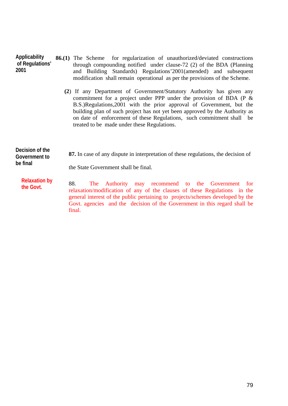| Applicability<br>of Regulations'<br>2001     | <b>86.(1)</b> The Scheme for regularization of unauthorized/deviated constructions<br>through compounding notified under clause-72 (2) of the BDA (Planning<br>and Building Standards) Regulations' 2001 (amended) and subsequent<br>modification shall remain operational as per the provisions of the Scheme.                                                                                                                 |
|----------------------------------------------|---------------------------------------------------------------------------------------------------------------------------------------------------------------------------------------------------------------------------------------------------------------------------------------------------------------------------------------------------------------------------------------------------------------------------------|
|                                              | (2) If any Department of Government/Statutory Authority has given any<br>commitment for a project under PPP under the provision of BDA ( $P \&$<br>B.S.)Regulations, 2001 with the prior approval of Government, but the<br>building plan of such project has not yet been approved by the Authority as<br>on date of enforcement of these Regulations, such commitment shall be<br>treated to be made under these Regulations. |
| Decision of the<br>Government to<br>be final | 87. In case of any dispute in interpretation of these regulations, the decision of<br>the State Government shall be final.                                                                                                                                                                                                                                                                                                      |
| <b>Relaxation by</b><br>the Govt.            | 88.<br>The Authority may recommend to the Government for<br>relaxation/modification of any of the clauses of these Regulations in the<br>general interest of the public pertaining to projects/schemes developed by the                                                                                                                                                                                                         |

final.

Govt. agencies and the decision of the Government in this regard shall be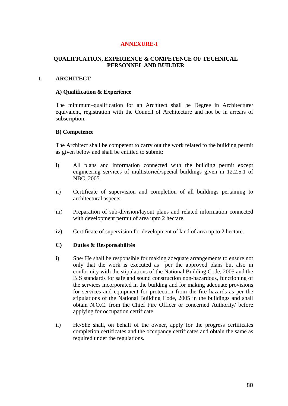# **ANNEXURE-I**

# **QUALIFICATION, EXPERIENCE & COMPETENCE OF TECHNICAL PERSONNEL AND BUILDER**

# **1. ARCHITECT**

#### **A) Qualification & Experience**

The minimum–qualification for an Architect shall be Degree in Architecture/ equivalent, registration with the Council of Architecture and not be in arrears of subscription.

#### **B) Competence**

The Architect shall be competent to carry out the work related to the building permit as given below and shall be entitled to submit:

- i) All plans and information connected with the building permit except engineering services of multistoried/special buildings given in 12.2.5.1 of NBC, 2005.
- ii) Certificate of supervision and completion of all buildings pertaining to architectural aspects.
- iii) Preparation of sub-division/layout plans and related information connected with development permit of area upto 2 hectare.
- iv) Certificate of supervision for development of land of area up to 2 hectare.

#### **C) Duties & Responsabilités**

- i) She/ He shall be responsible for making adequate arrangements to ensure not only that the work is executed as per the approved plans but also in conformity with the stipulations of the National Building Code, 2005 and the BIS standards for safe and sound construction non-hazardous, functioning of the services incorporated in the building and for making adequate provisions for services and equipment for protection from the fire hazards as per the stipulations of the National Building Code, 2005 in the buildings and shall obtain N.O.C. from the Chief Fire Officer or concerned Authority/ before applying for occupation certificate.
- ii) He/She shall, on behalf of the owner, apply for the progress certificates completion certificates and the occupancy certificates and obtain the same as required under the regulations.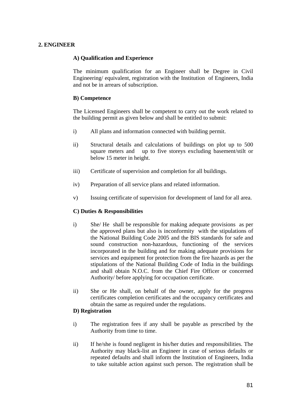# **2. ENGINEER**

# **A) Qualification and Experience**

The minimum qualification for an Engineer shall be Degree in Civil Engineering/ equivalent, registration with the Institution of Engineers, India and not be in arrears of subscription.

# **B) Competence**

The Licensed Engineers shall be competent to carry out the work related to the building permit as given below and shall be entitled to submit:

- i) All plans and information connected with building permit.
- ii) Structural details and calculations of buildings on plot up to 500 square meters and up to five storeys excluding basement/stilt or below 15 meter in height.
- iii) Certificate of supervision and completion for all buildings.
- iv) Preparation of all service plans and related information.
- v) Issuing certificate of supervision for development of land for all area.

# **C) Duties & Responsibilities**

- i) She/ He shall be responsible for making adequate provisions as per the approved plans but also is inconformity with the stipulations of the National Building Code 2005 and the BIS standards for safe and sound construction non-hazardous, functioning of the services incorporated in the building and for making adequate provisions for services and equipment for protection from the fire hazards as per the stipulations of the National Building Code of India in the buildings and shall obtain N.O.C. from the Chief Fire Officer or concerned Authority/ before applying for occupation certificate.
- ii) She or He shall, on behalf of the owner, apply for the progress certificates completion certificates and the occupancy certificates and obtain the same as required under the regulations.

# **D) Registration**

- i) The registration fees if any shall be payable as prescribed by the Authority from time to time.
- ii) If he/she is found negligent in his/her duties and responsibilities. The Authority may black-list an Engineer in case of serious defaults or repeated defaults and shall inform the Institution of Engineers, India to take suitable action against such person. The registration shall be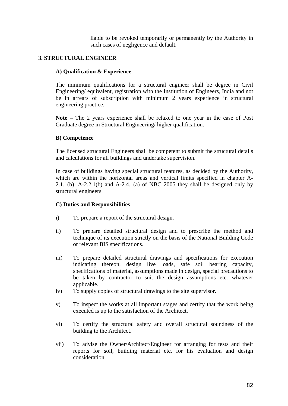liable to be revoked temporarily or permanently by the Authority in such cases of negligence and default.

# **3. STRUCTURAL ENGINEER**

### **A) Qualification & Experience**

The minimum qualifications for a structural engineer shall be degree in Civil Engineering/ equivalent, registration with the Institution of Engineers, India and not be in arrears of subscription with minimum 2 years experience in structural engineering practice.

**Note** – The 2 years experience shall be relaxed to one year in the case of Post Graduate degree in Structural Engineering/ higher qualification.

# **B) Competence**

The licensed structural Engineers shall be competent to submit the structural details and calculations for all buildings and undertake supervision.

In case of buildings having special structural features, as decided by the Authority, which are within the horizontal areas and vertical limits specified in chapter A-2.1.1(b), A-2.2.1(b) and A-2.4.1(a) of NBC 2005 they shall be designed only by structural engineers.

#### **C) Duties and Responsibilities**

- i) To prepare a report of the structural design.
- ii) To prepare detailed structural design and to prescribe the method and technique of its execution strictly on the basis of the National Building Code or relevant BIS specifications.
- iii) To prepare detailed structural drawings and specifications for execution indicating thereon, design live loads, safe soil bearing capacity, specifications of material, assumptions made in design, special precautions to be taken by contractor to suit the design assumptions etc. whatever applicable.
- iv) To supply copies of structural drawings to the site supervisor.
- v) To inspect the works at all important stages and certify that the work being executed is up to the satisfaction of the Architect.
- vi) To certify the structural safety and overall structural soundness of the building to the Architect.
- vii) To advise the Owner/Architect/Engineer for arranging for tests and their reports for soil, building material etc. for his evaluation and design consideration.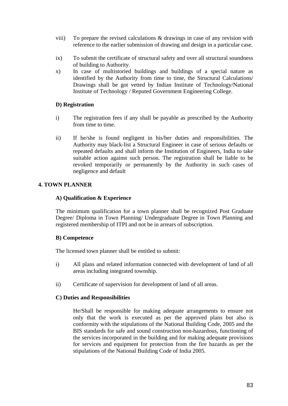- viii) To prepare the revised calculations & drawings in case of any revision with reference to the earlier submission of drawing and design in a particular case.
- ix) To submit the certificate of structural safety and over all structural soundness of building to Authority.
- x) In case of multistoried buildings and buildings of a special nature as identified by the Authority from time to time, the Structural Calculations/ Drawings shall be got vetted by Indian Institute of Technology/National Institute of Technology / Reputed Government Engineering College.

# **D) Registration**

- i) The registration fees if any shall be payable as prescribed by the Authority from time to time.
- ii) If he/she is found negligent in his/her duties and responsibilities. The Authority may black-list a Structural Engineer in case of serious defaults or repeated defaults and shall inform the Institution of Engineers, India to take suitable action against such person. The registration shall be liable to be revoked temporarily or permanently by the Authority in such cases of negligence and default

# **4. TOWN PLANNER**

#### **A) Qualification & Experience**

The minimum qualification for a town planner shall be recognized Post Graduate Degree/ Diploma in Town Planning/ Undergraduate Degree in Town Planning and registered membership of ITPI and not be in arrears of subscription.

#### **B) Competence**

The licensed town planner shall be entitled to submit:

- i) All plans and related information connected with development of land of all areas including integrated township.
- ii) Certificate of supervision for development of land of all areas.

#### **C) Duties and Responsibilities**

He/Shall be responsible for making adequate arrangements to ensure not only that the work is executed as per the approved plans but also is conformity with the stipulations of the National Building Code, 2005 and the BIS standards for safe and sound construction non-hazardous, functioning of the services incorporated in the building and for making adequate provisions for services and equipment for protection from the fire hazards as per the stipulations of the National Building Code of India 2005.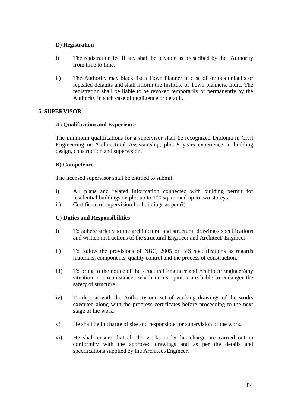# **D) Registration**

- i) The registration fee if any shall be payable as prescribed by the Authority from time to time.
- ii) The Authority may black list a Town Planner in case of serious defaults or repeated defaults and shall inform the Institute of Town planners, India. The registration shall be liable to be revoked temporarily or permanently by the Authority in such case of negligence or default.

# **5. SUPERVISOR**

# **A) Qualification and Experience**

The minimum qualifications for a supervisor shall be recognized Diploma in Civil Engineering or Architectural Assistantship, plus 5 years experience in building design, construction and supervision.

# **B) Competence**

The licensed supervisor shall be entitled to submit:

- i) All plans and related information connected with building permit for residential buildings on plot up to 100 sq. m. and up to two storeys.
- ii) Certificate of supervision for buildings as per (i).

# **C) Duties and Responsibilities**

- i) To adhere strictly to the architectural and structural drawings/ specifications and written instructions of the structural Engineer and Architect/ Engineer.
- ii) To follow the provisions of NBC, 2005 or BIS specifications as regards materials, components, quality control and the process of construction.
- iii) To bring to the notice of the structural Engineer and Architect/Engineer/any situation or circumstances which in his opinion are liable to endanger the safety of structure.
- iv) To deposit with the Authority one set of working drawings of the works executed along with the progress certificates before proceeding to the next stage of the work.
- v) He shall be in charge of site and responsible for supervision of the work.
- vi) He shall ensure that all the works under his charge are carried out in conformity with the approved drawings and as per the details and specifications supplied by the Architect/Engineer.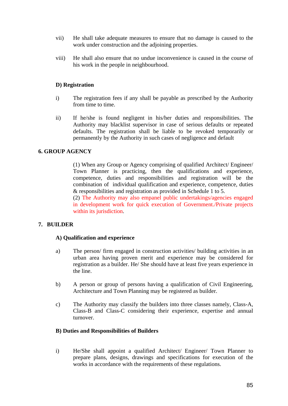- vii) He shall take adequate measures to ensure that no damage is caused to the work under construction and the adjoining properties.
- viii) He shall also ensure that no undue inconvenience is caused in the course of his work in the people in neighbourhood.

# **D) Registration**

- i) The registration fees if any shall be payable as prescribed by the Authority from time to time.
- ii) If he/she is found negligent in his/her duties and responsibilities. The Authority may blacklist supervisor in case of serious defaults or repeated defaults. The registration shall be liable to be revoked temporarily or permanently by the Authority in such cases of negligence and default

# **6. GROUP AGENCY**

(1) When any Group or Agency comprising of qualified Architect/ Engineer/ Town Planner is practicing, then the qualifications and experience, competence, duties and responsibilities and registration will be the combination of individual qualification and experience, competence, duties & responsibilities and registration as provided in Schedule 1 to 5.

(2) The Authority may also empanel public undertakings/agencies engaged in development work for quick execution of Government./Private projects within its jurisdiction.

#### **7. BUILDER**

#### **A) Qualification and experience**

- a) The person/ firm engaged in construction activities/ building activities in an urban area having proven merit and experience may be considered for registration as a builder. He/ She should have at least five years experience in the line.
- b) A person or group of persons having a qualification of Civil Engineering, Architecture and Town Planning may be registered as builder.
- c) The Authority may classify the builders into three classes namely, Class-A, Class-B and Class-C considering their experience, expertise and annual turnover.

#### **B) Duties and Responsibilities of Builders**

i) He/She shall appoint a qualified Architect/ Engineer/ Town Planner to prepare plans, designs, drawings and specifications for execution of the works in accordance with the requirements of these regulations.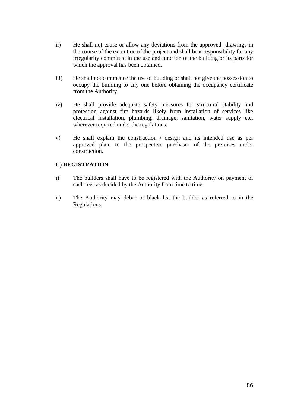- ii) He shall not cause or allow any deviations from the approved drawings in the course of the execution of the project and shall bear responsibility for any irregularity committed in the use and function of the building or its parts for which the approval has been obtained.
- iii) He shall not commence the use of building or shall not give the possession to occupy the building to any one before obtaining the occupancy certificate from the Authority.
- iv) He shall provide adequate safety measures for structural stability and protection against fire hazards likely from installation of services like electrical installation, plumbing, drainage, sanitation, water supply etc. wherever required under the regulations.
- v) He shall explain the construction / design and its intended use as per approved plan, to the prospective purchaser of the premises under construction.

# **C) REGISTRATION**

- i) The builders shall have to be registered with the Authority on payment of such fees as decided by the Authority from time to time.
- ii) The Authority may debar or black list the builder as referred to in the Regulations.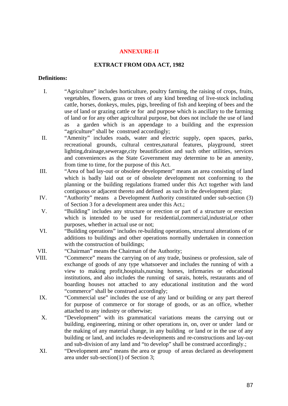#### **ANNEXURE-II**

#### **EXTRACT FROM ODA ACT, 1982**

#### **Definitions:**

- I. "Agriculture" includes horticulture, poultry farming, the raising of crops, fruits, vegetables, flowers, grass or trees of any kind breeding of live-stock including cattle, horses, donkeys, mules, pigs, breeding of fish and keeping of bees and the use of land or grazing cattle or for and purpose which is ancillary to the farming of land or for any other agricultural purpose, but does not include the use of land as a garden which is an appendage to a building and the expression "agriculture" shall be construed accordingly;
- II. "Amenity" includes roads, water and electric supply, open spaces, parks, recreational grounds, cultural centres,natural features, playground, street lighting,drainage,sewerage,city beautification and such other utilities, services and conveniences as the State Government may determine to be an amenity, from time to time, for the purpose of this Act.
- III. "Area of bad lay-out or obsolete development" means an area consisting of land which is badly laid out or of obsolete development not conforming to the planning or the building regulations framed under this Act together with land contiguous or adjacent thereto and defined as such in the development plan;
- IV. "Authority" means a Development Authority constituted under sub-section (3) of Section 3 for a development area under this Act.;
- V. "Building" includes any structure or erection or part of a structure or erection which is intended to be used for residential, commercial, industrial, or other purposes, whether in actual use or not;
- VI. "Building operations" includes re-building operations, structural alterations of or additions to buildings and other operations normally undertaken in connection with the construction of buildings;
- VII. "Chairman" means the Chairman of the Authority;
- VIII. "Commerce" means the carrying on of any trade, business or profession, sale of exchange of goods of any type whatsoever and includes the running of with a view to making profit,hospitals,nursing homes, infirmaries or educational institutions, and also includes the running of sarais, hotels, restaurants and of boarding houses not attached to any educational institution and the word "commerce" shall be construed accordingly;
	- IX. "Commercial use" includes the use of any land or building or any part thereof for purpose of commerce or for storage of goods, or as an office, whether attached to any industry or otherwise;
	- X. "Development" with its grammatical variations means the carrying out or building, engineering, mining or other operations in, on, over or under land or the making of any material change, in any building or land or in the use of any building or land, and includes re-developments and re-constructions and lay-out and sub-division of any land and "to develop" shall be construed accordingly.;
	- XI. "Development area" means the area or group of areas declared as development area under sub-section(1) of Section 3;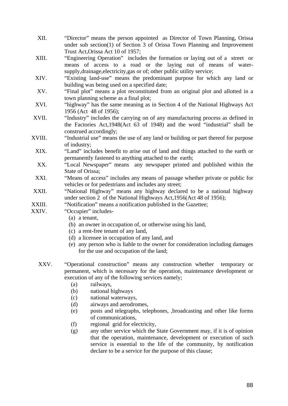- XII. "Director" means the person appointed as Director of Town Planning, Orissa under sub section(1) of Section 3 of Orissa Town Planning and Improvement Trust Act,Orissa Act 10 of 1957;
- XIII. "Engineering Operation" includes the formation or laying out of a street or means of access to a road or the laying out of means of watersupply, drainage, electricity, gas or of; other public utility service;
- XIV. "Existing land-use" means the predominant purpose for which any land or building was being used on a specified date;
- XV. "Final plot" means a plot reconstituted from an original plot and allotted in a town planning scheme as a final plot;
- XVI. "highway" has the same meaning as in Section 4 of the National Highways Act 1956 (Act 48 of 1956);
- XVII. "Industry" includes the carrying on of any manufacturing process as defined in the Factories Act,1948(Act 63 of 1948) and the word "industrial" shall be construed accordingly;
- XVIII. "Industrial use" means the use of any land or building or part thereof for purpose of industry;
- XIX. "Land" includes benefit to arise out of land and things attached to the earth or permanently fastened to anything attached to the earth;
- XX. "Local Newspaper" means any newspaper printed and published within the State of Orissa;
- XXI. "Means of access" includes any means of passage whether private or public for vehicles or for pedestrians and includes any street;
- XXII. "National Highway" means any highway declared to be a national highway under section 2 of the National Highways Act,1956(Act 48 of 1956);
- XXIII. "Notification" means a notification published in the Gazettee:
- XXIV. "Occupier" includes-
	- (a) a tenant,
	- (b) an owner in occupation of, or otherwise using his land,
	- (c) a rent-free tenant of any land,
	- (d) a licensee in occupation of any land, and
	- (e) any person who is liable to the owner for consideration including damages for the use and occupation of the land;
	- XXV. "Operational construction" means any construction whether temporary or permanent, which is necessary for the operation, maintenance development or execution of any of the following services namely;
		- (a) railways,
		- (b) national highways
		- (c) national waterways,
		- (d) airways and aerodromes,
		- (e) posts and telegraphs, telephones, ,broadcasting and other like forms of communications,
		- (f) regional grid for electricity,
		- (g) any other service which the State Government may, if it is of opinion that the operation, maintenance, development or execution of such service is essential to the life of the community, by notification declare to be a service for the purpose of this clause;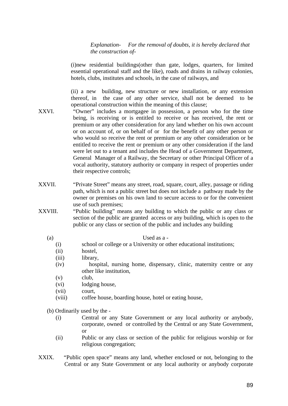*Explanation- For the removal of doubts, it is hereby declared that the construction of-* 

(i)new residential buildings(other than gate, lodges, quarters, for limited essential operational staff and the like), roads and drains in railway colonies, hotels, clubs, institutes and schools, in the case of railways, and

(ii) a new building, new structure or new installation, or any extension thereof, in the case of any other service, shall not be deemed to be operational construction within the meaning of this clause;

- XXVI. "Owner" includes a mortgagee in possession, a person who for the time being, is receiving or is entitled to receive or has received, the rent or premium or any other consideration for any land whether on his own account or on account of, or on behalf of or for the benefit of any other person or who would so receive the rent or premium or any other consideration or be entitled to receive the rent or premium or any other consideration if the land were let out to a tenant and includes the Head of a Government Department, General Manager of a Railway, the Secretary or other Principal Officer of a vocal authority, statutory authority or company in respect of properties under their respective controls;
- XXVII. "Private Street" means any street, road, square, court, alley, passage or riding path, which is not a public street but does not include a pathway made by the owner or premises on his own land to secure access to or for the convenient use of such premises;
- XXVIII. "Public building" means any building to which the public or any class or section of the public are granted access or any building, which is open to the public or any class or section of the public and includes any building

#### (a) Used as a -

- (i) school or college or a University or other educational institutions;
- (ii) hostel,
- (iii) library,
- (iv) hospital, nursing home, dispensary, clinic, maternity centre or any other like institution,
- $(v)$  club,
- (vi) lodging house,
- (vii) court,
- (viii) coffee house, boarding house, hotel or eating house,
- (b) Ordinarily used by the
	- (i) Central or any State Government or any local authority or anybody, corporate, owned or controlled by the Central or any State Government, or
	- (ii) Public or any class or section of the public for religious worship or for religious congregation;
- XXIX. "Public open space" means any land, whether enclosed or not, belonging to the Central or any State Government or any local authority or anybody corporate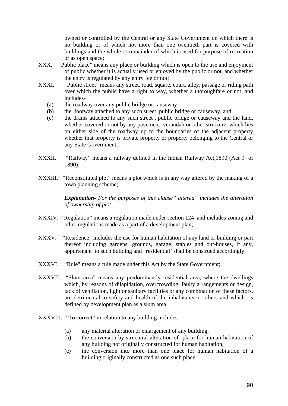owned or controlled by the Central or any State Government on which there is no building or of which not more than one twentieth part is covered with buildings and the whole or remainder of which is used for purpose of recreation or as open space;

- XXX. "Public place" means any place or building which is open to the use and enjoyment of public whether it is actually used or enjoyed by the public or not, and whether the entry is regulated by any entry fee or not;
- XXXI. "Public street" means any street, road, square, court, alley, passage or riding path over which the public have a right to way, whether a thoroughfare or not, and includes-
	- (a) the roadway over any public bridge or causeway,
	- (b) the footway attached to any such street, public bridge or causeway, and
	- (c) the drains attached to any such street , public bridge or causeway and the land, whether covered or not by any pavement, verandah or other structure, which lies on either side of the roadway up to the boundaries of the adjacent property whether that property is private property or property belonging to the Central or any State Government;
- XXXII. "Railway" means a railway defined in the Indian Railway Act, 1890 (Act 9 of 1890);
- XXXIII. "Reconstituted plot" means a plot which is in any way altered by the making of a town planning scheme;

*Explanation- For the purposes of this clause" altered" includes the alteration of ownership of plot.* 

- XXXIV. "Regulation" means a regulation made under section 124 and includes zoning and other regulations made as a part of a development plan;
- XXXV. "Residence" includes the use for human habitation of any land or building or part thereof including gardens, grounds, garage, stables and out-houses, if any, appurtenant to such building and "residential' shall be construed accordingly;
- XXXVI. "Rule" means a rule made under this Act by the State Government;
- XXXVII. "Slum area" means any predominantly residential area, where the dwellings which, by reasons of dilapidation, overcrowding, faulty arrangements or design, lack of ventilation, light or sanitary facilities or any combination of these factors, are detrimental to safety and health of the inhabitants or others and which is defined by development plan as a slum area;
- XXXVIII. " To correct" in relation to any building includes-
	- (a) any material alteration or enlargement of any building,
	- (b) the conversion by structural alteration of place for human habitation of any building not originally constructed for human habitation,
	- (c) the conversion into more than one place for human habitation of a building originally constructed as one such place,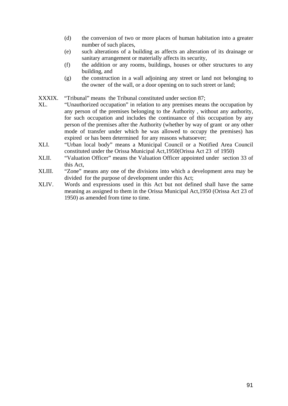- (d) the conversion of two or more places of human habitation into a greater number of such places,
- (e) such alterations of a building as affects an alteration of its drainage or sanitary arrangement or materially affects its security,
- (f) the addition or any rooms, buildings, houses or other structures to any building, and
- (g) the construction in a wall adjoining any street or land not belonging to the owner of the wall, or a door opening on to such street or land;

XXXIX. "Tribunal" means the Tribunal constituted under section 87:

- XL. "Unauthorized occupation" in relation to any premises means the occupation by any person of the premises belonging to the Authority , without any authority, for such occupation and includes the continuance of this occupation by any person of the premises after the Authority (whether by way of grant or any other mode of transfer under which he was allowed to occupy the premises) has expired or has been determined for any reasons whatsoever;
- XLI. "Urban local body" means a Municipal Council or a Notified Area Council constituted under the Orissa Municipal Act,1950(Orissa Act 23 of 1950)
- XLII. "Valuation Officer" means the Valuation Officer appointed under section 33 of this Act,
- XLIII. "Zone" means any one of the divisions into which a development area may be divided for the purpose of development under this Act;
- XLIV. Words and expressions used in this Act but not defined shall have the same meaning as assigned to them in the Orissa Municipal Act,1950 (Orissa Act 23 of 1950) as amended from time to time.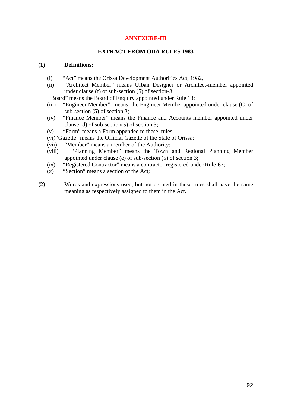# **ANNEXURE-III**

#### **EXTRACT FROM ODA RULES 1983**

#### **(1) Definitions:**

- (i) "Act" means the Orissa Development Authorities Act, 1982,
- (ii) "Architect Member" means Urban Designer or Architect-member appointed under clause (f) of sub-section (5) of section-3;

"Board" means the Board of Enquiry appointed under Rule 13;

- (iii) "Engineer Member" means the Engineer Member appointed under clause (C) of sub-section (5) of section 3;
- (iv) "Finance Member" means the Finance and Accounts member appointed under clause (d) of sub-section(5) of section 3;
- (v) "Form" means a Form appended to these rules;
- (vi)"Gazette" means the Official Gazette of the State of Orissa;
- (vii) "Member" means a member of the Authority;
- (viii) "Planning Member" means the Town and Regional Planning Member appointed under clause (e) of sub-section (5) of section 3;
- (ix) "Registered Contractor" means a contractor registered under Rule-67;
- (x) "Section" means a section of the Act;
- **(2)** Words and expressions used, but not defined in these rules shall have the same meaning as respectively assigned to them in the Act.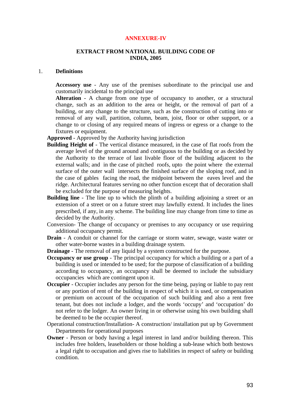#### **ANNEXURE-IV**

#### **EXTRACT FROM NATIONAL BUILDING CODE OF INDIA, 2005**

#### 1. **Definitions**

**Accessory use** - Any use of the premises subordinate to the principal use and customarily incidental to the principal use

**Alteration** - A change from one type of occupancy to another, or a structural change, such as an addition to the area or height, or the removal of part of a building, or any change to the structure, such as the construction of cutting into or removal of any wall, partition, column, beam, joist, floor or other support, or a change to or closing of any required means of ingress or egress or a change to the fixtures or equipment.

**Approved** - Approved by the Authority having jurisdiction

- **Building Height of** The vertical distance measured, in the case of flat roofs from the average level of the ground around and contiguous to the building or as decided by the Authority to the terrace of last livable floor of the building adjacent to the external walls; and in the case of pitched roofs, upto the point where the external surface of the outer wall intersects the finished surface of the sloping roof, and in the case of gables facing the road, the midpoint between the eaves level and the ridge. Architectural features serving no other function except that of decoration shall be excluded for the purpose of measuring heights.
- **Building line** The line up to which the plinth of a building adjoining a street or an extension of a street or on a future street may lawfully extend. It includes the lines prescribed, if any, in any scheme. The building line may change from time to time as decided by the Authority.
- Conversion- The change of occupancy or premises to any occupancy or use requiring additional occupancy permit.
- **Drain** A conduit or channel for the carriage or storm water, sewage, waste water or other water-borne wastes in a building drainage system.
- **Drainage** The removal of any liquid by a system constructed for the purpose.
- **Occupancy or use group** The principal occupancy for which a building or a part of a building is used or intended to be used; for the purpose of classification of a building according to occupancy, an occupancy shall be deemed to include the subsidiary occupancies which are contingent upon it.
- **Occupier** Occupier includes any person for the time being, paying or liable to pay rent or any portion of rent of the building in respect of which it is used, or compensation or premium on account of the occupation of such building and also a rent free tenant, but does not include a lodger, and the words 'occupy' and 'occupation' do not refer to the lodger. An owner living in or otherwise using his own building shall be deemed to be the occupier thereof.
- Operational construction/Installation- A construction/ installation put up by Government Departments for operational purposes
- **Owner** Person or body having a legal interest in land and/or building thereon. This includes free holders, leaseholders or those holding a sub-lease which both bestows a legal right to occupation and gives rise to liabilities in respect of safety or building condition.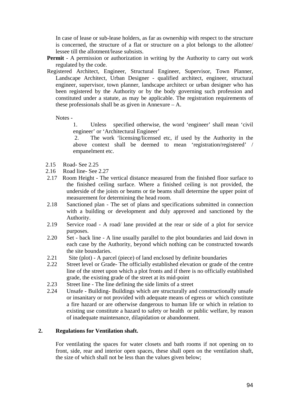In case of lease or sub-lease holders, as far as ownership with respect to the structure is concerned, the structure of a flat or structure on a plot belongs to the allottee/ lessee till the allotment/lease subsists.

- **Permit** A permission or authorization in writing by the Authority to carry out work regulated by the code.
- Registered Architect, Engineer, Structural Engineer, Supervisor, Town Planner, Landscape Architect, Urban Designer - qualified architect, engineer, structural engineer, supervisor, town planner, landscape architect or urban designer who has been registered by the Authority or by the body governing such profession and constituted under a statute, as may be applicable. The registration requirements of these professionals shall be as given in Annexure  $- A$ .

Notes -

 1. Unless specified otherwise, the word 'engineer' shall mean 'civil engineer' or 'Architectural Engineer'

 2. The work 'licensing/licensed etc, if used by the Authority in the above context shall be deemed to mean 'registration/registered' / empanelment etc.

- 2.15 Road- See 2.25
- 2.16 Road line- See 2.27
- 2.17 Room Height The vertical distance measured from the finished floor surface to the finished ceiling surface. Where a finished ceiling is not provided, the underside of the joists or beams or tie beams shall determine the upper point of measurement for determining the head room.
- 2.18 Sanctioned plan The set of plans and specifications submitted in connection with a building or development and duly approved and sanctioned by the Authority.
- 2.19 Service road A road/ lane provided at the rear or side of a plot for service purposes.
- 2.20 Set back line A line usually parallel to the plot boundaries and laid down in each case by the Authority, beyond which nothing can be constructed towards the site boundaries.
- 2.21 Site (plot) A parcel (piece) of land enclosed by definite boundaries
- 2.22 Street level or Grade- The officially established elevation or grade of the centre line of the street upon which a plot fronts and if there is no officially established grade, the existing grade of the street at its mid-point
- 2.23 Street line The line defining the side limits of a street
- 2.24 Unsafe Building- Buildings which are structurally and constructionally unsafe or insanitary or not provided with adequate means of egress or which constitute a fire hazard or are otherwise dangerous to human life or which in relation to existing use constitute a hazard to safety or health or public welfare, by reason of inadequate maintenance, dilapidation or abandonment.

#### **2. Regulations for Ventilation shaft.**

For ventilating the spaces for water closets and bath rooms if not opening on to front, side, rear and interior open spaces, these shall open on the ventilation shaft, the size of which shall not be less than the values given below;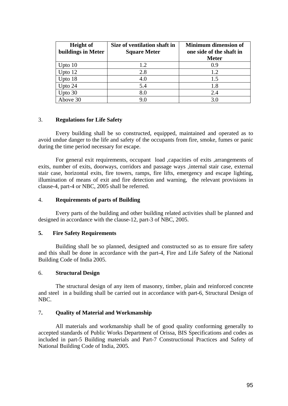| <b>Height of</b><br>buildings in Meter | Size of ventilation shaft in<br><b>Square Meter</b> | <b>Minimum dimension of</b><br>one side of the shaft in<br><b>Meter</b> |
|----------------------------------------|-----------------------------------------------------|-------------------------------------------------------------------------|
| Upto $10$                              | 1.2                                                 | 0.9                                                                     |
| Upto $12$                              | 2.8                                                 | 1.2.                                                                    |
| Upto 18                                | 4.0                                                 | 1.5                                                                     |
| Upto 24                                | 5.4                                                 | 1.8                                                                     |
| Upto 30                                | 8.0                                                 | 2.4                                                                     |
| Above 30                               | 9.0                                                 | 3.0                                                                     |

#### 3. **Regulations for Life Safety**

Every building shall be so constructed, equipped, maintained and operated as to avoid undue danger to the life and safety of the occupants from fire, smoke, fumes or panic during the time period necessary for escape.

For general exit requirements, occupant load ,capacities of exits ,arrangements of exits, number of exits, doorways, corridors and passage ways ,internal stair case, external stair case, horizontal exits, fire towers, ramps, fire lifts, emergency and escape lighting, illumination of means of exit and fire detection and warning, the relevant provisions in clause-4, part-4 or NBC, 2005 shall be referred.

#### 4. **Requirements of parts of Building**

 Every parts of the building and other building related activities shall be planned and designed in accordance with the clause-12, part-3 of NBC, 2005.

#### **5. Fire Safety Requirements**

Building shall be so planned, designed and constructed so as to ensure fire safety and this shall be done in accordance with the part-4, Fire and Life Safety of the National Building Code of India 2005.

#### 6. **Structural Design**

The structural design of any item of masonry, timber, plain and reinforced concrete and steel in a building shall be carried out in accordance with part-6, Structural Design of NBC.

#### 7**. Quality of Material and Workmanship**

 All materials and workmanship shall be of good quality conforming generally to accepted standards of Public Works Department of Orissa, BIS Specifications and codes as included in part-5 Building materials and Part-7 Constructional Practices and Safety of National Building Code of India, 2005.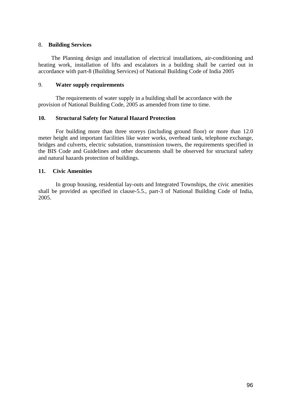### 8. **Building Services**

The Planning design and installation of electrical installations, air-conditioning and heating work, installation of lifts and escalators in a building shall be carried out in accordance with part-8 (Building Services) of National Building Code of India 2005

# 9. **Water supply requirements**

 The requirements of water supply in a building shall be accordance with the provision of National Building Code, 2005 as amended from time to time.

# **10. Structural Safety for Natural Hazard Protection**

For building more than three storeys (including ground floor) or more than 12.0 meter height and important facilities like water works, overhead tank, telephone exchange, bridges and culverts, electric substation, transmission towers, the requirements specified in the BIS Code and Guidelines and other documents shall be observed for structural safety and natural hazards protection of buildings.

# **11. Civic Amenities**

In group housing, residential lay-outs and Integrated Townships, the civic amenities shall be provided as specified in clause-5.5., part-3 of National Building Code of India, 2005.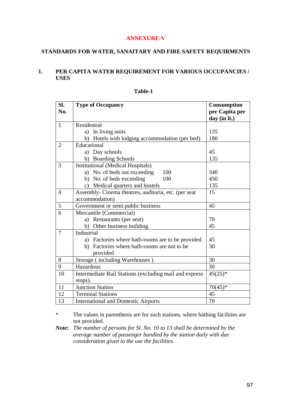### **ANNEXURE-V**

# **STANDARDS FOR WATER, SANAITARY AND FIRE SAFETY REQUIRMENTS**

# **1. PER CAPITA WATER REQUIREMENT FOR VARIOUS OCCUPANCIES / USES**

| SI.<br>No.     | <b>Type of Occupancy</b>                                            | <b>Consumption</b><br>per Capita per<br>day (in lt.) |
|----------------|---------------------------------------------------------------------|------------------------------------------------------|
| $\mathbf{1}$   | Residential                                                         |                                                      |
|                | a) In living units                                                  | 135                                                  |
|                | b)<br>Hotels with lodging accommodation (per bed)                   | 180                                                  |
| $\overline{2}$ | Educational                                                         |                                                      |
|                | a) Day schools                                                      | 45                                                   |
|                | b) Boarding Schools                                                 | 135                                                  |
| 3              | <b>Institutional (Medical Hospitals)</b>                            |                                                      |
|                | a) No. of beds not exceeding<br>100                                 | 340                                                  |
|                | b) No. of beds exceeding<br>100                                     | 450                                                  |
|                | c) Medical quarters and hostels                                     | 135                                                  |
| $\overline{4}$ | Assembly- Cinema theatres, auditoria, etc. (per seat                | 15                                                   |
|                | accommodation)                                                      |                                                      |
| 5              | Government or semi public business                                  | 45                                                   |
| 6              | Mercantile (Commercial)                                             |                                                      |
|                | a) Restaurants (per seat)                                           | 70                                                   |
|                | Other business building<br>b)                                       | 45                                                   |
| $\overline{7}$ | Industrial                                                          |                                                      |
|                | a) Factories where bath-rooms are to be provided                    | 45                                                   |
|                | b) Factories where bath-rooms are not to be                         | 30                                                   |
|                | provided                                                            |                                                      |
| 8              | Storage (including Warehouses)                                      | 30                                                   |
| 9              | Hazardous                                                           | 30                                                   |
| 10             | Intermediate Rail Stations (excluding mail and express<br>$45(25)*$ |                                                      |
|                | stops).                                                             |                                                      |
| 11             | <b>Junction Station</b>                                             | $70(45)*$                                            |
| 12             | <b>Terminal Stations</b>                                            | 45                                                   |
| 13             | <b>International and Domestic Airports</b>                          | 70                                                   |

#### **Table-1**

\* The values in parenthesis are for such stations, where bathing facilities are not provided.

*Note: The number of persons for Sl. No. 10 to 13 shall be determined by the average number of passenger handled by the station daily with due consideration given to the use the facilities.*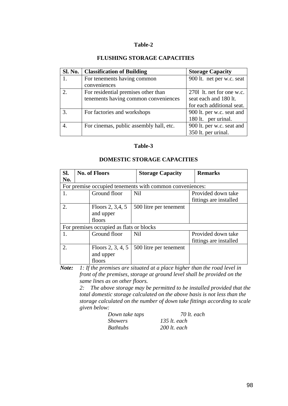# **FLUSHING STORAGE CAPACITIES**

| Sl. No. | <b>Classification of Building</b>       | <b>Storage Capacity</b>   |
|---------|-----------------------------------------|---------------------------|
| 1.      | For tenements having common             | 900 lt. net per w.c. seat |
|         | conveniences                            |                           |
|         | For residential premises other than     | 2701 It. net for one w.c. |
|         | tenements having common conveniences    | seat each and 180 lt.     |
|         |                                         | for each additional seat. |
| 3.      | For factories and workshops             | 900 lt. per w.c. seat and |
|         |                                         | 180 lt. per urinal.       |
| 4.      | For cinemas, public assembly hall, etc. | 900 lt. per w.c. seat and |
|         |                                         | 350 lt. per urinal.       |

# **Table-3**

# **DOMESTIC STORAGE CAPACITIES**

| SI.<br>No. | <b>No. of Floors</b>                     | <b>Storage Capacity</b>                                  | <b>Remarks</b>         |
|------------|------------------------------------------|----------------------------------------------------------|------------------------|
|            |                                          | For premise occupied tenements with common conveniences: |                        |
|            | Ground floor                             | N <sub>il</sub>                                          | Provided down take     |
|            |                                          |                                                          | fittings are installed |
| 2.         | Floors 2, 3,4, 5                         | 500 litre per tenement                                   |                        |
|            | and upper                                |                                                          |                        |
|            | floors                                   |                                                          |                        |
|            | For premises occupied as flats or blocks |                                                          |                        |
|            | Ground floor                             | <b>Nil</b>                                               | Provided down take     |
|            |                                          |                                                          | fittings are installed |
| 2.         | Floors $2, 3, 4, 5$                      | 500 litre per tenement                                   |                        |
|            | and upper                                |                                                          |                        |
|            | floors                                   |                                                          |                        |

*Note: 1: If the premises are situated at a place higher than the road level in front of the premises, storage at ground level shall be provided on the same lines as on other floors.* 

> *2: The above storage may be permitted to be installed provided that the total domestic storage calculated on the above basis is not less than the storage calculated on the number of down take fittings according to scale given below:*

| Down take taps | 70 lt. each    |
|----------------|----------------|
| <i>Showers</i> | $135$ lt. each |
| Bathtubs       | $200$ lt. each |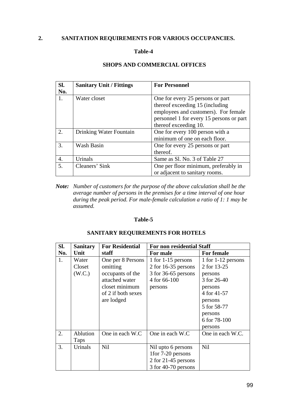# **2. SANITATION REQUIREMENTS FOR VARIOUS OCCUPANCIES.**

#### **Table-4**

#### **Sl. No. Sanitary Unit / Fittings For Personnel** 1. Water closet **One** for every 25 persons or part thereof exceeding 15 (including employees and customers). For female personnel 1 for every 15 persons or part thereof exceeding 10. 2. Drinking Water Fountain One for every 100 person with a minimum of one on each floor. 3. Wash Basin One for every 25 persons or part thereof. 4. Urinals Same as Sl. No. 3 of Table 27 5. Cleaners' Sink One per floor minimum, preferably in or adjacent to sanitary rooms.

#### **SHOPS AND COMMERCIAL OFFICES**

*Note: Number of customers for the purpose of the above calculation shall be the average number of persons in the premises for a time interval of one hour during the peak period. For male-female calculation a ratio of 1: 1 may be assumed.* 

#### **Table-5**

#### **SANITARY REQUIREMENTS FOR HOTELS**

| SI. | <b>Sanitary</b> | <b>For Residential</b> | <b>For non residential Staff</b> |                    |
|-----|-----------------|------------------------|----------------------------------|--------------------|
| No. | Unit            | staff                  | For male                         | <b>For female</b>  |
| 1.  | Water           | One per 8 Persons      | 1 for 1-15 persons               | 1 for 1-12 persons |
|     | Closet          | omitting               | 2 for 16-35 persons              | 2 for 13-25        |
|     | (W.C.)          | occupants of the       | 3 for 36-65 persons              | persons            |
|     |                 | attached water         | 4 for 66-100                     | 3 for 26-40        |
|     |                 | closet minimum         | persons                          | persons            |
|     |                 | of 2 if both sexes     |                                  | 4 for 41-57        |
|     |                 | are lodged             |                                  | persons            |
|     |                 |                        |                                  | 5 for 58-77        |
|     |                 |                        |                                  | persons            |
|     |                 |                        |                                  | 6 for 78-100       |
|     |                 |                        |                                  | persons            |
| 2.  | Ablution        | One in each W.C        | One in each W.C                  | One in each W.C.   |
|     | Taps            |                        |                                  |                    |
| 3.  | Urinals         | <b>Nil</b>             | Nil upto 6 persons               | <b>Nil</b>         |
|     |                 |                        | 1 for 7-20 persons               |                    |
|     |                 |                        | 2 for 21-45 persons              |                    |
|     |                 |                        | 3 for 40-70 persons              |                    |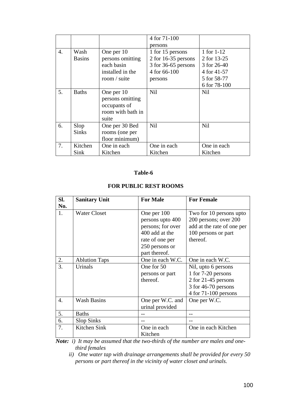|    |               |                   | 4 for 71-100          |              |
|----|---------------|-------------------|-----------------------|--------------|
|    |               |                   | persons               |              |
| 4. | Wash          | One per 10        | 1 for 15 persons      | 1 for 1-12   |
|    | <b>Basins</b> | persons omitting  | $2$ for 16-35 persons | 2 for 13-25  |
|    |               | each basin        | 3 for 36-65 persons   | 3 for 26-40  |
|    |               | installed in the  | 4 for 66-100          | 4 for 41-57  |
|    |               | room / suite      | persons               | 5 for 58-77  |
|    |               |                   |                       | 6 for 78-100 |
| 5. | <b>Baths</b>  | One per 10        | <b>Nil</b>            | Nil          |
|    |               | persons omitting  |                       |              |
|    |               | occupants of      |                       |              |
|    |               | room with bath in |                       |              |
|    |               | suite             |                       |              |
| 6. | Slop          | One per 30 Bed    | <b>Nil</b>            | <b>Nil</b>   |
|    | <b>Sinks</b>  | rooms (one per    |                       |              |
|    |               | floor minimum)    |                       |              |
| 7. | Kitchen       | One in each       | One in each           | One in each  |
|    | Sink          | Kitchen           | Kitchen               | Kitchen      |

| SI.<br>No. | <b>Sanitary Unit</b> | <b>For Male</b>                                                                                                              | <b>For Female</b>                                                                                                   |
|------------|----------------------|------------------------------------------------------------------------------------------------------------------------------|---------------------------------------------------------------------------------------------------------------------|
| 1.         | <b>Water Closet</b>  | One per 100<br>persons upto 400<br>persons; for over<br>400 add at the<br>rate of one per<br>250 persons or<br>part thereof. | Two for 10 persons upto<br>200 persons; over 200<br>add at the rate of one per<br>100 persons or part<br>thereof.   |
| 2.         | <b>Ablution Taps</b> | One in each W.C.                                                                                                             | One in each W.C.                                                                                                    |
| 3.         | Urinals              | One for 50<br>persons or part<br>thereof.                                                                                    | Nil, upto 6 persons<br>1 for 7-20 persons<br>2 for 21-45 persons<br>3 for 46-70 persons<br>$4$ for $71-100$ persons |
| 4.         | <b>Wash Basins</b>   | One per W.C. and<br>urinal provided                                                                                          | One per W.C.                                                                                                        |
| 5.         | <b>Baths</b>         |                                                                                                                              |                                                                                                                     |
| 6.         | <b>Slop Sinks</b>    |                                                                                                                              |                                                                                                                     |
| 7.         | Kitchen Sink         | One in each<br>Kitchen                                                                                                       | One in each Kitchen                                                                                                 |

# **FOR PUBLIC REST ROOMS**

*Note: i) It may be assumed that the two-thirds of the number are males and onethird females* 

 *ii) One water tap with drainage arrangements shall be provided for every 50 persons or part thereof in the vicinity of water closet and urinals.*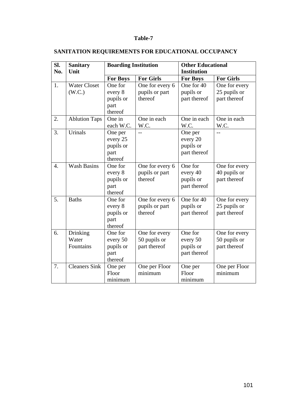# **SANITATION REQUIREMENTS FOR EDUCATIONAL OCCUPANCY**

| SI.              | <b>Sanitary</b>      | <b>Boarding Institution</b> |                           |                    | <b>Other Educational</b> |  |  |
|------------------|----------------------|-----------------------------|---------------------------|--------------------|--------------------------|--|--|
| No.              | Unit                 |                             |                           | <b>Institution</b> |                          |  |  |
|                  |                      | <b>For Boys</b>             | <b>For Girls</b>          | <b>For Boys</b>    | <b>For Girls</b>         |  |  |
| 1.               | <b>Water Closet</b>  | One for                     | One for every 6           | One for 40         | One for every            |  |  |
|                  | (W.C.)               | every 8                     | pupils or part            | pupils or          | 25 pupils or             |  |  |
|                  |                      | pupils or                   | thereof                   | part thereof       | part thereof             |  |  |
|                  |                      | part                        |                           |                    |                          |  |  |
|                  |                      | thereof                     |                           |                    |                          |  |  |
| 2.               | <b>Ablution Taps</b> | One in                      | One in each               | One in each        | One in each              |  |  |
|                  |                      | each W.C.                   | W.C.                      | W.C.               | W.C.                     |  |  |
| 3.               | Urinals              | One per                     | $-$                       | One per            |                          |  |  |
|                  |                      | every 25                    |                           | every 20           |                          |  |  |
|                  |                      | pupils or                   |                           | pupils or          |                          |  |  |
|                  |                      | part                        |                           | part thereof       |                          |  |  |
|                  |                      | thereof                     |                           |                    |                          |  |  |
| $\overline{4}$ . | <b>Wash Basins</b>   | One for                     | One for every 6           | One for            | One for every            |  |  |
|                  |                      | every 8                     | pupils or part            | every 40           | 40 pupils or             |  |  |
|                  |                      | pupils or                   | thereof                   | pupils or          | part thereof             |  |  |
|                  |                      | part                        |                           | part thereof       |                          |  |  |
|                  |                      | thereof                     |                           |                    |                          |  |  |
| 5.               | <b>Baths</b>         | One for                     | One for every 6           | One for 40         | One for every            |  |  |
|                  |                      | every 8                     | pupils or part<br>thereof | pupils or          | 25 pupils or             |  |  |
|                  |                      | pupils or                   |                           | part thereof       | part thereof             |  |  |
|                  |                      | part<br>thereof             |                           |                    |                          |  |  |
| 6.               | Drinking             | One for                     | One for every             | One for            | One for every            |  |  |
|                  | Water                | every 50                    | 50 pupils or              | every 50           | 50 pupils or             |  |  |
|                  | Fountains            | pupils or                   | part thereof              | pupils or          | part thereof             |  |  |
|                  |                      | part                        |                           | part thereof       |                          |  |  |
|                  |                      | thereof                     |                           |                    |                          |  |  |
| 7.               | <b>Cleaners Sink</b> | One per                     | One per Floor             | One per            | One per Floor            |  |  |
|                  |                      | Floor                       | minimum                   | Floor              | minimum                  |  |  |
|                  |                      | minimum                     |                           | minimum            |                          |  |  |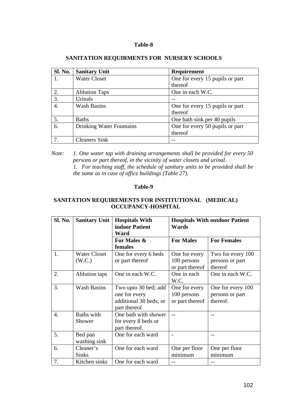| <b>Sl. No.</b> | <b>Sanitary Unit</b>            | Requirement                     |
|----------------|---------------------------------|---------------------------------|
|                | <b>Water Closet</b>             | One for every 15 pupils or part |
|                |                                 | thereof                         |
| 2.             | <b>Ablution Taps</b>            | One in each W.C.                |
| 3.             | Urinals                         |                                 |
| 4.             | <b>Wash Basins</b>              | One for every 15 pupils or part |
|                |                                 | thereof                         |
| 5.             | <b>Baths</b>                    | One bath sink per 40 pupils     |
| 6.             | <b>Drinking Water Fountains</b> | One for every 50 pupils or part |
|                |                                 | thereof                         |
|                | <b>Cleaners Sink</b>            |                                 |

#### **SANITATION REQUIRMENTS FOR NURSERY SCHOOLS**

#### **Table-9**

# **SANITATION REQUIREMENTS FOR INSTITUTIONAL (MEDICAL) OCCUPANCY-HOSPITAL**

| Sl. No. | <b>Sanitary Unit</b>          | <b>Hospitals With</b><br>indoor Patient<br>Ward                                 | <b>Hospitals With outdoor Patient</b><br><b>Wards</b> |                                                  |
|---------|-------------------------------|---------------------------------------------------------------------------------|-------------------------------------------------------|--------------------------------------------------|
|         |                               | For Males &<br>females                                                          | <b>For Males</b>                                      | <b>For Females</b>                               |
| 1.      | <b>Water Closet</b><br>(W.C.) | One for every 6 beds<br>or part thereof                                         | One for every<br>100 persons<br>or part thereof       | Two for every 100<br>persons or part<br>thereof  |
| 2.      | Ablution taps                 | One in each W.C.                                                                | One in each<br>W.C.                                   | One in each W.C.                                 |
| 3.      | <b>Wash Basins</b>            | Two upto 30 bed; add<br>one for every<br>additional 30 beds; or<br>part thereof | One for every<br>100 persons<br>or part thereof       | One for every 100<br>persons or part<br>thereof. |
| 4.      | <b>Baths</b> with<br>Shower   | One bath with shower<br>for every 8 beds or<br>part thereof.                    |                                                       |                                                  |
| 5.      | Bed pan<br>washing sink       | One for each ward                                                               | $\overline{\phantom{a}}$                              |                                                  |
| 6.      | Cleaner's<br><b>Sinks</b>     | One for each ward                                                               | One per floor<br>minimum                              | One per floor<br>minimum                         |
| 7.      | Kitchen sinks                 | One for each ward                                                               |                                                       |                                                  |

*Note: 1. One water tap with draining arrangements shall be provided for every 50 persons or part thereof, in the vicinity of water closets and urinal. 1. For teaching staff, the schedule of sanitary units to be provided shall be the same as in case of office buildings (Table 27).*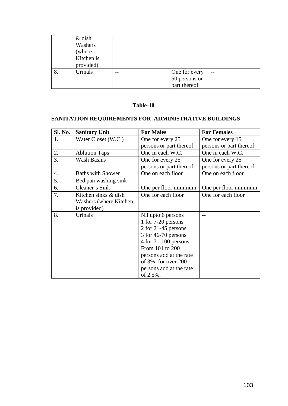|    | $&$ dish<br>Washers<br>(where<br>Kitchen is<br>provided) |                                                |      |
|----|----------------------------------------------------------|------------------------------------------------|------|
| 8. | Urinals                                                  | One for every<br>50 persons or<br>part thereof | $ -$ |

# **SANITATION REQUIREMENTS FOR ADMINISTRATIVE BUILDINGS**

| Sl. No. | <b>Sanitary Unit</b>     | <b>For Males</b>          | <b>For Females</b>      |
|---------|--------------------------|---------------------------|-------------------------|
| 1.      | Water Closet (W.C.)      | One for every 25          | One for every 15        |
|         |                          | persons or part thereof   | persons or part thereof |
| 2.      | <b>Ablution Taps</b>     | One in each W.C.          | One in each W.C.        |
| 3.      | <b>Wash Basins</b>       | One for every 25          | One for every 25        |
|         |                          | persons or part thereof   | persons or part thereof |
| 4.      | <b>Baths with Shower</b> | One on each floor         | One on each floor       |
| 5.      | Bed pan washing sink     |                           |                         |
| 6.      | Cleaner's Sink           | One per floor minimum     | One per floor minimum   |
| 7.      | Kitchen sinks & dish     | One for each floor        | One for each floor      |
|         | Washers (where Kitchen   |                           |                         |
|         | is provided)             |                           |                         |
| 8.      | Urinals                  | Nil upto 6 persons        |                         |
|         |                          | 1 for 7-20 persons        |                         |
|         |                          | 2 for 21-45 persons       |                         |
|         |                          | 3 for 46-70 persons       |                         |
|         |                          | $4$ for $71-100$ persons  |                         |
|         |                          | From 101 to 200           |                         |
|         |                          | persons add at the rate   |                         |
|         |                          | of $3\%$ ; for over $200$ |                         |
|         |                          | persons add at the rate   |                         |
|         |                          | of 2.5%.                  |                         |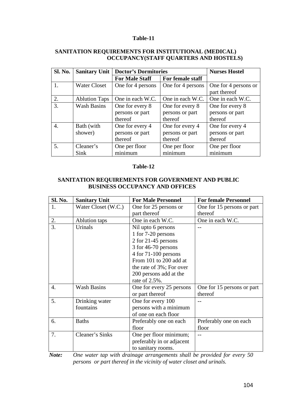# **SANITATION REQUIREMENTS FOR INSTITUTIONAL (MEDICAL) OCCUPANCY(STAFF QUARTERS AND HOSTELS)**

| <b>Sl. No.</b>   | <b>Sanitary Unit</b> | <b>Doctor's Dormitories</b> |                   | <b>Nurses Hostel</b> |
|------------------|----------------------|-----------------------------|-------------------|----------------------|
|                  |                      | <b>For Male Staff</b>       | For female staff  |                      |
|                  | <b>Water Closet</b>  | One for 4 persons           | One for 4 persons | One for 4 persons or |
|                  |                      |                             |                   | part thereof         |
| 2.               | <b>Ablution Taps</b> | One in each W.C.            | One in each W.C.  | One in each W.C.     |
| 3.               | <b>Wash Basins</b>   | One for every 8             | One for every 8   | One for every 8      |
|                  |                      | persons or part             | persons or part   | persons or part      |
|                  |                      | thereof                     | thereof           | thereof              |
| $\overline{4}$ . | Bath (with           | One for every 4             | One for every 4   | One for every 4      |
|                  | shower)              | persons or part             | persons or part   | persons or part      |
|                  |                      | thereof                     | thereof           | thereof              |
| 5.               | Cleaner's            | One per floor               | One per floor     | One per floor        |
|                  | Sink                 | minimum                     | minimum           | minimum              |

# **Table-12**

# **SANITATION REQUIREMENTS FOR GOVERNMENT AND PUBLIC BUSINESS OCCUPANCY AND OFFICES**

| <b>Sl. No.</b>   | <b>Sanitary Unit</b> | <b>For Male Personnel</b> | <b>For female Personnel</b> |
|------------------|----------------------|---------------------------|-----------------------------|
| 1.               | Water Closet (W.C.)  | One for 25 persons or     | One for 15 persons or part  |
|                  |                      | part thereof              | thereof                     |
| 2.               | <b>Ablution taps</b> | One in each W.C.          | One in each W.C.            |
| $\overline{3}$ . | Urinals              | Nil upto 6 persons        |                             |
|                  |                      | 1 for 7-20 persons        |                             |
|                  |                      | 2 for 21-45 persons       |                             |
|                  |                      | 3 for 46-70 persons       |                             |
|                  |                      | $4$ for $71-100$ persons  |                             |
|                  |                      | From 101 to 200 add at    |                             |
|                  |                      | the rate of 3%; For over  |                             |
|                  |                      | 200 persons add at the    |                             |
|                  |                      | rate of 2.5%.             |                             |
| $\mathbf{4}$ .   | <b>Wash Basins</b>   | One for every 25 persons  | One for 15 persons or part  |
|                  |                      | or part thereof           | thereof                     |
| 5.               | Drinking water       | One for every 100         |                             |
|                  | fountains            | persons with a minimum    |                             |
|                  |                      | of one on each floor      |                             |
| 6.               | <b>Baths</b>         | Preferably one on each    | Preferably one on each      |
|                  |                      | floor                     | floor                       |
| 7.               | Cleaner's Sinks      | One per floor minimum;    |                             |
|                  |                      | preferably in or adjacent |                             |
|                  |                      | to sanitary rooms.        |                             |

*Note: One water tap with drainage arrangements shall be provided for every 50 persons or part thereof in the vicinity of water closet and urinals.*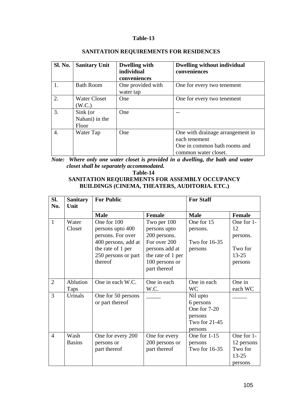| <b>Sl. No.</b> | <b>Sanitary Unit</b>                | <b>Dwelling with</b><br>individual<br>conveniences | <b>Dwelling without individual</b><br>conveniences                                                        |
|----------------|-------------------------------------|----------------------------------------------------|-----------------------------------------------------------------------------------------------------------|
|                | <b>Bath Room</b>                    | One provided with<br>water tap                     | One for every two tenement                                                                                |
| 2.             | <b>Water Closet</b><br>(W.C.)       | One                                                | One for every two tenement                                                                                |
| 3.             | Sink (or<br>Nahani) in the<br>Floor | One                                                |                                                                                                           |
| 4.             | Water Tap                           | <b>One</b>                                         | One with drainage arrangement in<br>each tenement<br>One in common bath rooms and<br>common water closet. |

# **SANITATION REQUIREMENTS FOR RESIDENCES**

*Note: Where only one water closet is provided in a dwelling, the bath and water closet shall be separately accommodated.* 

**Table-14** 

# **SANITATION REQUIREMENTS FOR ASSEMBLY OCCUPANCY BUILDINGS (CINEMA, THEATERS, AUDITORIA. ETC.)**

| SI.<br>No.     | <b>For Public</b><br><b>Sanitary</b><br>Unit |                                                                                                                                    | <b>For Staff</b>                                                                                                                     |                                                                              |                                                                 |  |
|----------------|----------------------------------------------|------------------------------------------------------------------------------------------------------------------------------------|--------------------------------------------------------------------------------------------------------------------------------------|------------------------------------------------------------------------------|-----------------------------------------------------------------|--|
|                |                                              | <b>Male</b>                                                                                                                        | <b>Female</b>                                                                                                                        | <b>Male</b>                                                                  | <b>Female</b>                                                   |  |
| $\mathbf{1}$   | Water<br>Closet                              | One for 100<br>persons upto 400<br>persons. For over<br>400 persons, add at<br>the rate of 1 per<br>250 persons or part<br>thereof | Two per 100<br>persons upto<br>200 persons.<br>For over 200<br>persons add at<br>the rate of 1 per<br>100 persons or<br>part thereof | One for 15<br>persons.<br>Two for 16-35<br>persons                           | One for 1-<br>12<br>persons.<br>Two for<br>$13 - 25$<br>persons |  |
| $\overline{2}$ | Ablution<br>Taps                             | One in each W.C.                                                                                                                   | One in each<br>W.C.                                                                                                                  | One in each<br><b>WC</b>                                                     | One in<br>each WC                                               |  |
| 3              | Urinals                                      | One for 50 persons<br>or part thereof                                                                                              |                                                                                                                                      | Nil upto<br>6 persons<br>One for 7-20<br>persons<br>Two for 21-45<br>persons |                                                                 |  |
| $\overline{4}$ | Wash<br><b>Basins</b>                        | One for every 200<br>persons or<br>part thereof                                                                                    | One for every<br>200 persons or<br>part thereof                                                                                      | One for $1-15$<br>persons<br>Two for 16-35                                   | One for 1-<br>12 persons<br>Two for<br>$13 - 25$<br>persons     |  |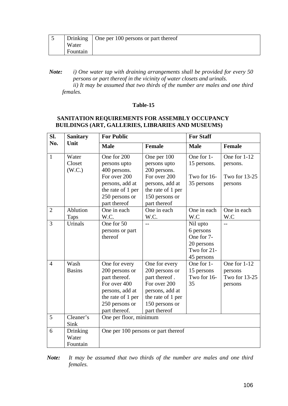|          | Drinking $\vert$ One per 100 persons or part thereof |
|----------|------------------------------------------------------|
| Water    |                                                      |
| Fountain |                                                      |

# **SANITATION REQUIREMENTS FOR ASSEMBLY OCCUPANCY BUILDINGS (ART, GALLERIES, LIBRARIES AND MUSEUMS)**

| SI.            | <b>Sanitary</b>               | <b>For Public</b>                                                                                                                           |                                                                                                                                            | <b>For Staff</b>                                                               |                                                      |
|----------------|-------------------------------|---------------------------------------------------------------------------------------------------------------------------------------------|--------------------------------------------------------------------------------------------------------------------------------------------|--------------------------------------------------------------------------------|------------------------------------------------------|
| No.            | Unit                          | <b>Male</b>                                                                                                                                 | <b>Female</b>                                                                                                                              | <b>Male</b>                                                                    | <b>Female</b>                                        |
| $\mathbf{1}$   | Water<br>Closet<br>(W.C.)     | One for 200<br>persons upto<br>400 persons.<br>For over 200<br>persons, add at<br>the rate of 1 per<br>250 persons or<br>part thereof       | One per 100<br>persons upto<br>200 persons.<br>For over 200<br>persons, add at<br>the rate of 1 per<br>150 persons or<br>part thereof      | One for 1-<br>15 persons.<br>Two for 16-<br>35 persons                         | One for 1-12<br>persons.<br>Two for 13-25<br>persons |
| $\overline{2}$ | Ablution<br>Taps              | One in each<br>W.C.                                                                                                                         | One in each<br>W.C.                                                                                                                        | One in each<br>W.C                                                             | One in each<br>W.C                                   |
| 3              | Urinals                       | One for 50<br>persons or part<br>thereof                                                                                                    | $-$                                                                                                                                        | Nil upto<br>6 persons<br>One for 7-<br>20 persons<br>Two for 21-<br>45 persons | $-$                                                  |
| $\overline{4}$ | Wash<br><b>Basins</b>         | One for every<br>200 persons or<br>part thereof.<br>For over 400<br>persons, add at<br>the rate of 1 per<br>250 persons or<br>part thereof. | One for every<br>200 persons or<br>part thereof.<br>For over 200<br>persons, add at<br>the rate of 1 per<br>150 persons or<br>part thereof | One for 1-<br>15 persons<br>Two for 16-<br>35                                  | One for 1-12<br>persons<br>Two for 13-25<br>persons  |
| 5              | Cleaner's<br>Sink             | One per floor, minimum                                                                                                                      |                                                                                                                                            |                                                                                |                                                      |
| 6              | Drinking<br>Water<br>Fountain |                                                                                                                                             | One per 100 persons or part thereof                                                                                                        |                                                                                |                                                      |

*Note: It may be assumed that two thirds of the number are males and one third females.* 

*Note: i) One water tap with draining arrangements shall be provided for every 50 persons or part thereof in the vicinity of water closets and urinals. ii) It may be assumed that two thirds of the number are males and one third females.*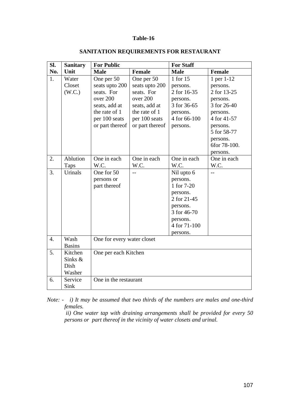| SI.              | <b>Sanitary</b> | <b>For Public</b>          |                 | <b>For Staff</b> |                |  |  |
|------------------|-----------------|----------------------------|-----------------|------------------|----------------|--|--|
| No.              | Unit            | <b>Male</b>                | <b>Female</b>   | <b>Male</b>      | <b>Female</b>  |  |  |
| 1.               | Water           | One per 50                 | One per 50      | 1 for 15         | 1 per 1-12     |  |  |
|                  | Closet          | seats upto 200             | seats upto 200  | persons.         | persons.       |  |  |
|                  | (W.C.)          | seats. For                 | seats. For      | 2 for 16-35      | 2 for 13-25    |  |  |
|                  |                 | over 200                   | over 200        | persons.         | persons.       |  |  |
|                  |                 | seats, add at              | seats, add at   | 3 for 36-65      | 3 for 26-40    |  |  |
|                  |                 | the rate of 1              | the rate of 1   | persons.         | persons.       |  |  |
|                  |                 | per 100 seats              | per 100 seats   | 4 for 66-100     | 4 for 41-57    |  |  |
|                  |                 | or part thereof            | or part thereof | persons.         | persons.       |  |  |
|                  |                 |                            |                 |                  | 5 for 58-77    |  |  |
|                  |                 |                            |                 |                  | persons.       |  |  |
|                  |                 |                            |                 |                  | 6for 78-100.   |  |  |
|                  |                 |                            |                 |                  | persons.       |  |  |
| 2.               | Ablution        | One in each                | One in each     | One in each      | One in each    |  |  |
|                  | Taps            | W.C.                       | W.C.            | W.C.             | W.C.           |  |  |
| 3.               | Urinals         | One for 50                 | $-$             | Nil upto 6       | $\overline{a}$ |  |  |
|                  |                 | persons or                 |                 | persons.         |                |  |  |
|                  |                 | part thereof               |                 | 1 for 7-20       |                |  |  |
|                  |                 |                            |                 | persons.         |                |  |  |
|                  |                 |                            |                 | 2 for 21-45      |                |  |  |
|                  |                 |                            |                 | persons.         |                |  |  |
|                  |                 |                            |                 | 3 for 46-70      |                |  |  |
|                  |                 |                            |                 | persons.         |                |  |  |
|                  |                 |                            |                 | 4 for 71-100     |                |  |  |
|                  |                 |                            |                 | persons.         |                |  |  |
| $\overline{4}$ . | Wash            | One for every water closet |                 |                  |                |  |  |
|                  | <b>Basins</b>   |                            |                 |                  |                |  |  |
| 5 <sub>1</sub>   | Kitchen         | One per each Kitchen       |                 |                  |                |  |  |
|                  | Sinks $&$       |                            |                 |                  |                |  |  |
|                  | Dish            |                            |                 |                  |                |  |  |
|                  | Washer          |                            |                 |                  |                |  |  |
| 6.               | Service         | One in the restaurant      |                 |                  |                |  |  |
|                  | Sink            |                            |                 |                  |                |  |  |

# **SANITATION REQUIREMENTS FOR RESTAURANT**

*Note: - i) It may be assumed that two thirds of the numbers are males and one-third females.* 

 *ii) One water tap with draining arrangements shall be provided for every 50 persons or part thereof in the vicinity of water closets and urinal.*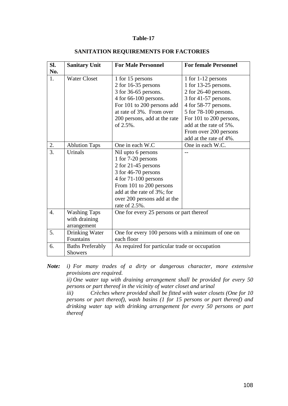### **Table-17**

| SI.              | <b>Sanitary Unit</b>                                | <b>For Male Personnel</b>                                                                                                                                                                                                   | <b>For female Personnel</b>                                                                                                                                                                                                                           |  |
|------------------|-----------------------------------------------------|-----------------------------------------------------------------------------------------------------------------------------------------------------------------------------------------------------------------------------|-------------------------------------------------------------------------------------------------------------------------------------------------------------------------------------------------------------------------------------------------------|--|
| No.<br>1.        | <b>Water Closet</b>                                 | 1 for 15 persons<br>2 for 16-35 persons<br>3 for 36-65 persons.<br>4 for 66-100 persons.<br>For 101 to 200 persons add<br>at rate of 3%. From over<br>200 persons, add at the rate<br>of 2.5%.                              | 1 for 1-12 persons<br>1 for $13-25$ persons.<br>2 for 26-40 persons.<br>3 for 41-57 persons.<br>4 for 58-77 persons.<br>5 for 78-100 persons.<br>For 101 to 200 persons,<br>add at the rate of 5%.<br>From over 200 persons<br>add at the rate of 4%. |  |
| 2.               | <b>Ablution Taps</b>                                | One in each W.C                                                                                                                                                                                                             | One in each W.C.                                                                                                                                                                                                                                      |  |
| 3.               | Urinals                                             | Nil upto 6 persons<br>1 for 7-20 persons<br>2 for 21-45 persons<br>3 for 46-70 persons<br>$4$ for $71-100$ persons<br>From 101 to 200 persons<br>add at the rate of 3%; for<br>over 200 persons add at the<br>rate of 2.5%. |                                                                                                                                                                                                                                                       |  |
| $\overline{4}$ . | <b>Washing Taps</b><br>with draining<br>arrangement | One for every 25 persons or part thereof                                                                                                                                                                                    |                                                                                                                                                                                                                                                       |  |
| 5.               | Drinking Water<br>Fountains                         | One for every 100 persons with a minimum of one on<br>each floor                                                                                                                                                            |                                                                                                                                                                                                                                                       |  |
| 6.               | <b>Baths Preferably</b><br><b>Showers</b>           | As required for particular trade or occupation                                                                                                                                                                              |                                                                                                                                                                                                                                                       |  |

#### **SANITATION REQUIREMENTS FOR FACTORIES**

*Note: i) For many trades of a dirty or dangerous character, more extensive provisions are required.* 

*ii) One water tap with draining arrangement shall be provided for every 50 persons or part thereof in the vicinity of water closet and urinal* 

*iii) Crèches where provided shall be fitted with water closets (One for 10 persons or part thereof), wash basins (1 for 15 persons or part thereof) and drinking water tap with drinking arrangement for every 50 persons or part thereof*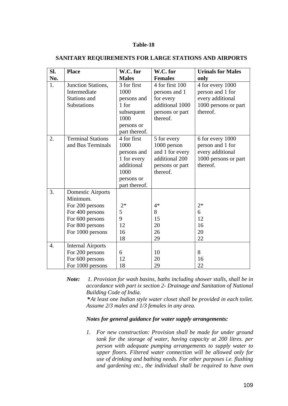#### **Table-18**

| SI.              | <b>Place</b>                                                                                                                  | W.C. for                                                                                               | W.C. for                                                                                        | <b>Urinals for Males</b>                                                                     |
|------------------|-------------------------------------------------------------------------------------------------------------------------------|--------------------------------------------------------------------------------------------------------|-------------------------------------------------------------------------------------------------|----------------------------------------------------------------------------------------------|
| No.              |                                                                                                                               | <b>Males</b>                                                                                           | <b>Females</b>                                                                                  | only                                                                                         |
| 1.               | Junction Stations,<br>Intermediate<br>Stations and<br>Substations                                                             | 3 for first<br>1000<br>persons and<br>1 for<br>subsequent<br>1000<br>persons or<br>part thereof.       | 4 for first 100<br>persons and 1<br>for every<br>additional 1000<br>persons or part<br>thereof. | 4 for every 1000<br>person and 1 for<br>every additional<br>1000 persons or part<br>thereof. |
| 2.               | <b>Terminal Stations</b><br>and Bus Terminals                                                                                 | 4 for first<br>1000<br>persons and<br>1 for every<br>additional<br>1000<br>persons or<br>part thereof. | 5 for every<br>1000 person<br>and 1 for every<br>additional 200<br>persons or part<br>thereof.  | 6 for every 1000<br>person and 1 for<br>every additional<br>1000 persons or part<br>thereof. |
| 3.               | Domestic Airports<br>Minimum.<br>For 200 persons<br>For 400 persons<br>For 600 persons<br>For 800 persons<br>For 1000 persons | $2*$<br>5<br>9<br>12<br>16<br>18                                                                       | $4*$<br>8<br>15<br>20<br>26<br>29                                                               | $2*$<br>6<br>12<br>16<br>20<br>22                                                            |
| $\overline{4}$ . | <b>Internal Airports</b><br>For 200 persons<br>For 600 persons<br>For 1000 persons                                            | 6<br>12<br>18                                                                                          | 10<br>20<br>29                                                                                  | 8<br>16<br>22                                                                                |

### **SANITARY REQUIREMENTS FOR LARGE STATIONS AND AIRPORTS**

*Note: 1. Provision for wash basins, baths including shower stalls, shall be in accordance with part ix section 2- Drainage and Sanitation of National Building Code of India.* 

 *\* At least one Indian style water closet shall be provided in each toilet. Assume 2/3 males and 1/3 females in any area.*

### *Notes for general guidance for water supply arrangements:*

*1. For new construction: Provision shall be made for under ground tank for the storage of water, having capacity at 200 litres. per person with adequate pumping arrangements to supply water to upper floors. Filtered water connection will be allowed only for use of drinking and bathing needs. For other purposes i.e. flushing and gardening etc., the individual shall be required to have own*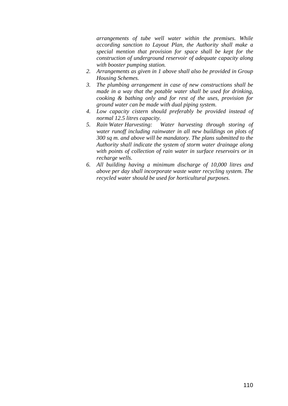*arrangements of tube well water within the premises. While according sanction to Layout Plan, the Authority shall make a special mention that provision for space shall be kept for the construction of underground reservoir of adequate capacity along with booster pumping station.* 

- *2. Arrangements as given in 1 above shall also be provided in Group Housing Schemes.*
- *3. The plumbing arrangement in case of new constructions shall be made in a way that the potable water shall be used for drinking, cooking & bathing only and for rest of the uses, provision for ground water can be made with dual piping system.*
- *4. Low capacity cistern should preferably be provided instead of normal 12.5 litres capacity.*
- *5. Rain Water Harvesting: Water harvesting through storing of water runoff including rainwater in all new buildings on plots of 300 sq m. and above will be mandatory. The plans submitted to the Authority shall indicate the system of storm water drainage along with points of collection of rain water in surface reservoirs or in recharge wells.*
- *6. All building having a minimum discharge of 10,000 litres and above per day shall incorporate waste water recycling system. The recycled water should be used for horticultural purposes.*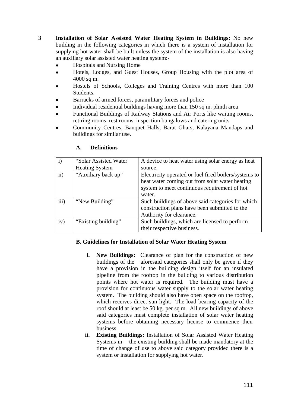**3 Installation of Solar Assisted Water Heating System in Buildings:** No new building in the following categories in which there is a system of installation for supplying hot water shall be built unless the system of the installation is also having an auxiliary solar assisted water heating system:-

- Hospitals and Nursing Home
- Hotels, Lodges, and Guest Houses, Group Housing with the plot area of 4000 sq m.
- Hostels of Schools, Colleges and Training Centres with more than 100 Students.
- Barracks of armed forces, paramilitary forces and police
- Individual residential buildings having more than 150 sq m. plinth area
- Functional Buildings of Railway Stations and Air Ports like waiting rooms, retiring rooms, rest rooms, inspection bungalows and catering units
- Community Centres, Banquet Halls, Barat Ghars, Kalayana Mandaps and buildings for similar use.

| $\mathbf{i}$  | "Solar Assisted Water" | A device to heat water using solar energy as heat     |
|---------------|------------------------|-------------------------------------------------------|
|               | <b>Heating System</b>  | source.                                               |
| $\mathbf{ii}$ | "Auxiliary back up"    | Electricity operated or fuel fired boilers/systems to |
|               |                        | heat water coming out from solar water heating        |
|               |                        | system to meet continuous requirement of hot          |
|               |                        | water.                                                |
| iii)          | "New Building"         | Such buildings of above said categories for which     |
|               |                        | construction plans have been submitted to the         |
|               |                        | Authority for clearance.                              |
| iv)           | "Existing building"    | Such buildings, which are licensed to perform         |
|               |                        | their respective business.                            |

### **A. Definitions**

# **B. Guidelines for Installation of Solar Water Heating System**

- **i.** New Buildings: Clearance of plan for the construction of new buildings of the aforesaid categories shall only be given if they have a provision in the building design itself for an insulated pipeline from the rooftop in the building to various distribution points where hot water is required. The building must have a provision for continuous water supply to the solar water heating system. The building should also have open space on the rooftop, which receives direct sun light. The load bearing capacity of the roof should at least be 50 kg. per sq m. All new buildings of above said categories must complete installation of solar water heating systems before obtaining necessary license to commence their business.
- **ii. Existing Buildings:** Installation of Solar Assisted Water Heating Systems in the existing building shall be made mandatory at the time of change of use to above said category provided there is a system or installation for supplying hot water.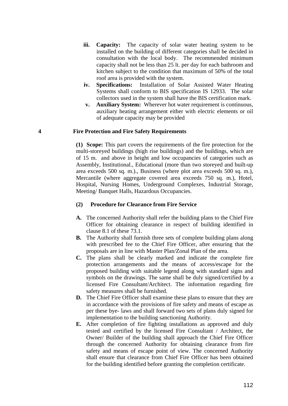- iii. Capacity: The capacity of solar water heating system to be installed on the building of different categories shall be decided in consultation with the local body. The recommended minimum capacity shall not be less than 25 lt. per day for each bathroom and kitchen subject to the condition that maximum of 50% of the total roof area is provided with the system.
- **iv. Specifications:** Installation of Solar Assisted Water Heating Systems shall conform to BIS specification IS 12933. The solar collectors used in the system shall have the BIS certification mark.
- **v. Auxiliary System:** Wherever hot water requirement is continuous, auxiliary heating arrangement either with electric elements or oil of adequate capacity may be provided

#### **4 Fire Protection and Fire Safety Requirements**

 **(1) Scope:** This part covers the requirements of the fire protection for the multi-storeyed buildings (high rise buildings) and the buildings, which are of 15 m. and above in height and low occupancies of categories such as Assembly, Institutional., Educational (more than two storeyed and built-up area exceeds 500 sq. m.)., Business (where plot area exceeds 500 sq. m.), Mercantile (where aggregate covered area exceeds 750 sq. m.), Hotel, Hospital, Nursing Homes, Underground Complexes, Industrial Storage, Meeting/ Banquet Halls, Hazardous Occupancies.

#### **(2) Procedure for Clearance from Fire Service**

- **A.** The concerned Authority shall refer the building plans to the Chief Fire Officer for obtaining clearance in respect of building identified in clause 8.1 of these 73.1.
- **B.** The Authority shall furnish three sets of complete building plans along with prescribed fee to the Chief Fire Officer, after ensuring that the proposals are in line with Master Plan/Zonal Plan of the area.
- **C.** The plans shall be clearly marked and indicate the complete fire protection arrangements and the means of access/escape for the proposed building with suitable legend along with standard signs and symbols on the drawings. The same shall be duly signed/certified by a licensed Fire Consultant/Architect. The information regarding fire safety measures shall be furnished.
- **D.** The Chief Fire Officer shall examine these plans to ensure that they are in accordance with the provisions of fire safety and means of escape as per these bye- laws and shall forward two sets of plans duly signed for implementation to the building sanctioning Authority.
- **E.** After completion of fire fighting installations as approved and duly tested and certified by the licensed Fire Consultant / Architect, the Owner/ Builder of the building shall approach the Chief Fire Officer through the concerned Authority for obtaining clearance from fire safety and means of escape point of view. The concerned Authority shall ensure that clearance from Chief Fire Officer has been obtained for the building identified before granting the completion certificate.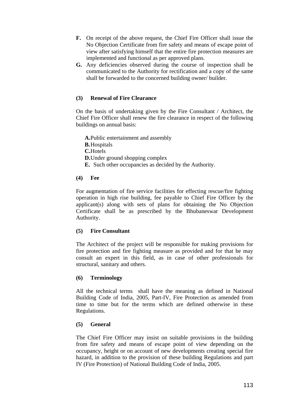- **F.** On receipt of the above request, the Chief Fire Officer shall issue the No Objection Certificate from fire safety and means of escape point of view after satisfying himself that the entire fire protection measures are implemented and functional as per approved plans.
- **G.** Any deficiencies observed during the course of inspection shall be communicated to the Authority for rectification and a copy of the same shall be forwarded to the concerned building owner/ builder.

# **(3) Renewal of Fire Clearance**

On the basis of undertaking given by the Fire Consultant / Architect, the Chief Fire Officer shall renew the fire clearance in respect of the following buildings on annual basis:

**A.**Public entertainment and assembly **B.**Hospitals **C.**Hotels **D.**Under ground shopping complex **E.** Such other occupancies as decided by the Authority.

# **(4) Fee**

For augmentation of fire service facilities for effecting rescue/fire fighting operation in high rise building, fee payable to Chief Fire Officer by the applicant(s) along with sets of plans for obtaining the No Objection Certificate shall be as prescribed by the Bhubaneswar Development Authority.

# **(5) Fire Consultant**

The Architect of the project will be responsible for making provisions for fire protection and fire fighting measure as provided and for that he may consult an expert in this field, as in case of other professionals for structural, sanitary and others.

# **(6) Terminology**

All the technical terms shall have the meaning as defined in National Building Code of India, 2005, Part-IV, Fire Protection as amended from time to time but for the terms which are defined otherwise in these Regulations.

# **(5) General**

The Chief Fire Officer may insist on suitable provisions in the building from fire safety and means of escape point of view depending on the occupancy, height or on account of new developments creating special fire hazard, in addition to the provision of these building Regulations and part IV (Fire Protection) of National Building Code of India, 2005.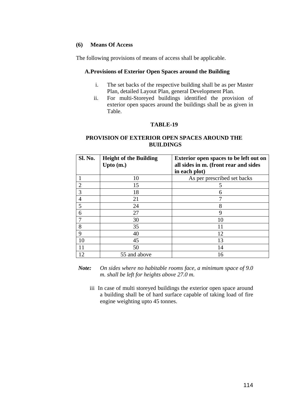### **(6) Means Of Access**

The following provisions of means of access shall be applicable.

### **A.Provisions of Exterior Open Spaces around the Building**

- i. The set backs of the respective building shall be as per Master Plan, detailed Layout Plan, general Development Plan.
- ii. For multi-Storeyed buildings identified the provision of exterior open spaces around the buildings shall be as given in Table.

### **TABLE-19**

# **PROVISION OF EXTERIOR OPEN SPACES AROUND THE BUILDINGS**

| <b>Sl. No.</b> | <b>Height of the Building</b><br>Upto $(m.)$ | <b>Exterior open spaces to be left out on</b><br>all sides in m. (front rear and sides |
|----------------|----------------------------------------------|----------------------------------------------------------------------------------------|
|                |                                              | in each plot)                                                                          |
|                | 10                                           | As per prescribed set backs                                                            |
| $\overline{2}$ | 15                                           | 5                                                                                      |
| 3              | 18                                           | 6                                                                                      |
| $\overline{4}$ | 21                                           |                                                                                        |
| 5              | 24                                           | 8                                                                                      |
| 6              | 27                                           | 9                                                                                      |
|                | 30                                           | 10                                                                                     |
| 8              | 35                                           | 11                                                                                     |
| 9              | 40                                           | 12                                                                                     |
| 10             | 45                                           | 13                                                                                     |
| 11             | 50                                           | 14                                                                                     |
| 12             | 55 and above                                 | 16                                                                                     |

*Note: On sides where no habitable rooms face, a minimum space of 9.0 m. shall be left for heights above 27.0 m.* 

iii In case of multi storeyed buildings the exterior open space around a building shall be of hard surface capable of taking load of fire engine weighting upto 45 tonnes.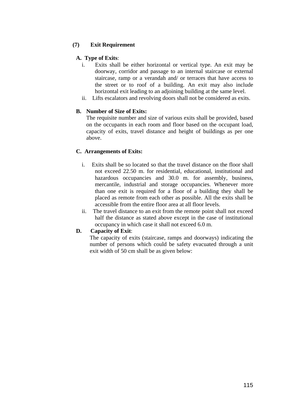# **(7) Exit Requirement**

# **A. Type of Exits**:

- i. Exits shall be either horizontal or vertical type. An exit may be doorway, corridor and passage to an internal staircase or external staircase, ramp or a verandah and/ or terraces that have access to the street or to roof of a building. An exit may also include horizontal exit leading to an adjoining building at the same level.
- ii. Lifts escalators and revolving doors shall not be considered as exits.

# **B. Number of Size of Exits:**

The requisite number and size of various exits shall be provided, based on the occupants in each room and floor based on the occupant load, capacity of exits, travel distance and height of buildings as per one above.

# **C. Arrangements of Exits:**

- i. Exits shall be so located so that the travel distance on the floor shall not exceed 22.50 m. for residential, educational, institutional and hazardous occupancies and 30.0 m. for assembly, business, mercantile, industrial and storage occupancies. Whenever more than one exit is required for a floor of a building they shall be placed as remote from each other as possible. All the exits shall be accessible from the entire floor area at all floor levels.
- ii. The travel distance to an exit from the remote point shall not exceed half the distance as stated above except in the case of institutional occupancy in which case it shall not exceed 6.0 m.

# **D. Capacity of Exit**:

The capacity of exits (staircase, ramps and doorways) indicating the number of persons which could be safety evacuated through a unit exit width of 50 cm shall be as given below: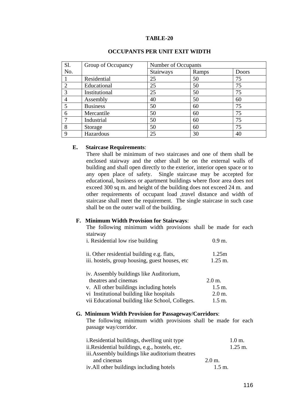#### **TABLE-20**

| S1.           | Group of Occupancy | Number of Occupants |       |       |
|---------------|--------------------|---------------------|-------|-------|
| No.           |                    | Stairways           | Ramps | Doors |
|               | Residential        | 25                  | 50    | 75    |
|               | Educational        | 25                  | 50    | 75    |
| $\mathcal{R}$ | Institutional      | 25                  | 50    | 75    |
|               | Assembly           | 40                  | 50    | 60    |
| 5             | <b>Business</b>    | 50                  | 60    | 75    |
| 6             | Mercantile         | 50                  | 60    | 75    |
|               | Industrial         | 50                  | 60    | 75    |
| 8             | Storage            | 50                  | 60    | 75    |
| Q             | Hazardous          | 25                  | 30    | 40    |

#### **OCCUPANTS PER UNIT EXIT WIDTH**

### **E. Staircase Requirements**:

There shall be minimum of two staircases and one of them shall be enclosed stairway and the other shall be on the external walls of building and shall open directly to the exterior, interior open space or to any open place of safety. Single staircase may be accepted for educational, business or apartment buildings where floor area does not exceed 300 sq m. and height of the building does not exceed 24 m. and other requirements of occupant load ,travel distance and width of staircase shall meet the requirement. The single staircase in such case shall be on the outer wall of the building.

#### **F. Minimum Width Provision for Stairways**:

The following minimum width provisions shall be made for each stairway

| i. Residential low rise building                                                                                                                                                                          | 0.9 m                                                                   |
|-----------------------------------------------------------------------------------------------------------------------------------------------------------------------------------------------------------|-------------------------------------------------------------------------|
| ii. Other residential building e.g. flats,<br>iii. hostels, group housing, guest houses, etc.                                                                                                             | 1.25m<br>$1.25 \text{ m}$ .                                             |
| iv. Assembly buildings like Auditorium,<br>theatres and cinemas<br>v. All other buildings including hotels<br>vi Institutional building like hospitals<br>vii Educational building like School, Colleges. | $2.0 \text{ m}$ .<br>$1.5 \text{ m}$ .<br>$2.0$ m.<br>$1.5 \text{ m}$ . |

#### **G. Minimum Width Provision for Passageway/Corridors**:

The following minimum width provisions shall be made for each passage way/corridor.

| <i>i. Residential buildings, dwelling unit type</i> |                   | $1.0$ m.           |
|-----------------------------------------------------|-------------------|--------------------|
| ii. Residential buildings, e.g., hostels, etc.      |                   | $1.25 \text{ m}$ . |
| iii. Assembly buildings like auditorium theatres    |                   |                    |
| and cinemas                                         | $2.0 \text{ m}$ . |                    |
| iv. All other buildings including hotels            | $1.5 \text{ m}$ . |                    |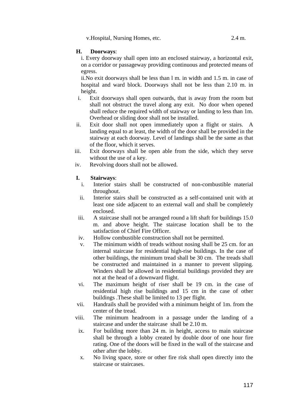v.Hospital, Nursing Homes, etc. 2.4 m.

# **H. Doorways**:

i. Every doorway shall open into an enclosed stairway, a horizontal exit, on a corridor or passageway providing continuous and protected means of egress.

ii.No exit doorways shall be less than l m. in width and 1.5 m. in case of hospital and ward block. Doorways shall not be less than 2.10 m. in height.

- i. Exit doorways shall open outwards, that is away from the room but shall not obstruct the travel along any exit. No door when opened shall reduce the required width of stairway or landing to less than 1m. Overhead or sliding door shall not be installed.
- ii. Exit door shall not open immediately upon a flight or stairs. A landing equal to at least, the width of the door shall be provided in the stairway at each doorway. Level of landings shall be the same as that of the floor, which it serves.
- iii. Exit doorways shall be open able from the side, which they serve without the use of a key.
- iv. Revolving doors shall not be allowed.

# **I. Stairways**:

- i. Interior stairs shall be constructed of non-combustible material throughout.
- ii. Interior stairs shall be constructed as a self-contained unit with at least one side adjacent to an external wall and shall be completely enclosed.
- iii. A staircase shall not be arranged round a lift shaft for buildings 15.0 m. and above height. The staircase location shall be to the satisfaction of Chief Fire Officer.
- iv. Hollow combustible construction shall not be permitted.
- v. The minimum width of treads without nosing shall be 25 cm. for an internal staircase for residential high-rise buildings. In the case of other buildings, the minimum tread shall be 30 cm. The treads shall be constructed and maintained in a manner to prevent slipping. Winders shall be allowed in residential buildings provided they are not at the head of a downward flight.
- vi. The maximum height of riser shall be 19 cm. in the case of residential high rise buildings and 15 cm in the case of other buildings .These shall be limited to 13 per flight.
- vii. Handrails shall be provided with a minimum height of 1m. from the center of the tread.
- viii. The minimum headroom in a passage under the landing of a staircase and under the staircase shall be 2.10 m.
- ix. For building more than 24 m. in height, access to main staircase shall be through a lobby created by double door of one hour fire rating. One of the doors will be fixed in the wall of the staircase and other after the lobby.
- x. No living space, store or other fire risk shall open directly into the staircase or staircases.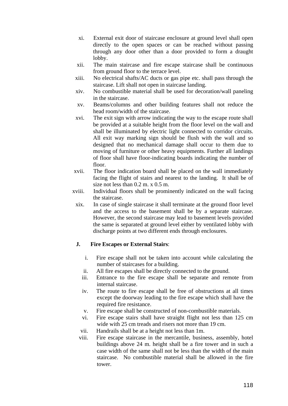- xi. External exit door of staircase enclosure at ground level shall open directly to the open spaces or can be reached without passing through any door other than a door provided to form a draught lobby.
- xii. The main staircase and fire escape staircase shall be continuous from ground floor to the terrace level.
- xiii. No electrical shafts/AC ducts or gas pipe etc. shall pass through the staircase. Lift shall not open in staircase landing.
- xiv. No combustible material shall be used for decoration/wall paneling in the staircase.
- xv. Beams/columns and other building features shall not reduce the head room/width of the staircase.
- xvi. The exit sign with arrow indicating the way to the escape route shall be provided at a suitable height from the floor level on the wall and shall be illuminated by electric light connected to corridor circuits. All exit way marking sign should be flush with the wall and so designed that no mechanical damage shall occur to them due to moving of furniture or other heavy equipments. Further all landings of floor shall have floor-indicating boards indicating the number of floor.
- xvii. The floor indication board shall be placed on the wall immediately facing the flight of stairs and nearest to the landing. It shall be of size not less than 0.2 m. x 0.5 m.
- xviii. Individual floors shall be prominently indicated on the wall facing the staircase.
	- xix. In case of single staircase it shall terminate at the ground floor level and the access to the basement shall be by a separate staircase. However, the second staircase may lead to basement levels provided the same is separated at ground level either by ventilated lobby with discharge points at two different ends through enclosures.

# **J. Fire Escapes or External Stairs**:

- i. Fire escape shall not be taken into account while calculating the number of staircases for a building.
- ii. All fire escapes shall be directly connected to the ground.
- iii. Entrance to the fire escape shall be separate and remote from internal staircase.
- iv. The route to fire escape shall be free of obstructions at all times except the doorway leading to the fire escape which shall have the required fire resistance.
- v. Fire escape shall be constructed of non-combustible materials.
- vi. Fire escape stairs shall have straight flight not less than 125 cm wide with 25 cm treads and risers not more than 19 cm.
- vii. Handrails shall be at a height not less than 1m.
- viii. Fire escape staircase in the mercantile, business, assembly, hotel buildings above 24 m. height shall be a fire tower and in such a case width of the same shall not be less than the width of the main staircase. No combustible material shall be allowed in the fire tower.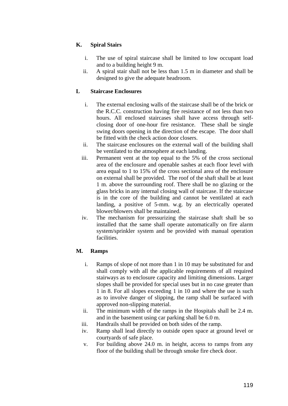# **K. Spiral Stairs**

- i. The use of spiral staircase shall be limited to low occupant load and to a building height 9 m.
- ii. A spiral stair shall not be less than 1.5 m in diameter and shall be designed to give the adequate headroom.

# **L Staircase Enclosures**

- i. The external enclosing walls of the staircase shall be of the brick or the R.C.C. construction having fire resistance of not less than two hours. All enclosed staircases shall have access through selfclosing door of one-hour fire resistance. These shall be single swing doors opening in the direction of the escape. The door shall be fitted with the check action door closers.
- ii. The staircase enclosures on the external wall of the building shall be ventilated to the atmosphere at each landing.
- iii. Permanent vent at the top equal to the 5% of the cross sectional area of the enclosure and openable sashes at each floor level with area equal to 1 to 15% of the cross sectional area of the enclosure on external shall be provided. The roof of the shaft shall be at least 1 m. above the surrounding roof. There shall be no glazing or the glass bricks in any internal closing wall of staircase. If the staircase is in the core of the building and cannot be ventilated at each landing, a positive of 5-mm. w.g. by an electrically operated blower/blowers shall be maintained.
- iv. The mechanism for pressurizing the staircase shaft shall be so installed that the same shall operate automatically on fire alarm system/sprinkler system and be provided with manual operation facilities.

# **M. Ramps**

- i. Ramps of slope of not more than 1 in 10 may be substituted for and shall comply with all the applicable requirements of all required stairways as to enclosure capacity and limiting dimensions. Larger slopes shall be provided for special uses but in no case greater than 1 in 8. For all slopes exceeding 1 in 10 and where the use is such as to involve danger of slipping, the ramp shall be surfaced with approved non-slipping material.
- ii. The minimum width of the ramps in the Hospitals shall be 2.4 m. and in the basement using car parking shall be 6.0 m.
- iii. Handrails shall be provided on both sides of the ramp.
- iv. Ramp shall lead directly to outside open space at ground level or courtyards of safe place.
- v. For building above 24.0 m. in height, access to ramps from any floor of the building shall be through smoke fire check door.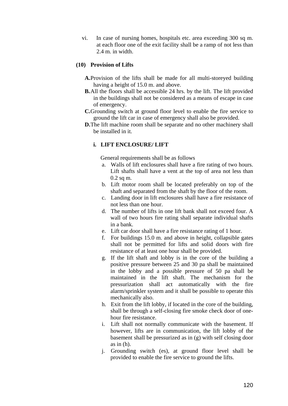vi. In case of nursing homes, hospitals etc. area exceeding 300 sq m. at each floor one of the exit facility shall be a ramp of not less than 2.4 m. in width.

### **(10) Provision of Lifts**

- **A.**Provision of the lifts shall be made for all multi-storeyed building having a height of 15.0 m. and above.
- **B.**All the floors shall be accessible 24 hrs. by the lift. The lift provided in the buildings shall not be considered as a means of escape in case of emergency.
- **C.**Grounding switch at ground floor level to enable the fire service to ground the lift car in case of emergency shall also be provided.
- **D.**The lift machine room shall be separate and no other machinery shall be installed in it.

# **i. LIFT ENCLOSURE/ LIFT**

General requirements shall be as follows

- a. Walls of lift enclosures shall have a fire rating of two hours. Lift shafts shall have a vent at the top of area not less than  $0.2$  sq m.
- b. Lift motor room shall be located preferably on top of the shaft and separated from the shaft by the floor of the room.
- c. Landing door in lift enclosures shall have a fire resistance of not less than one hour.
- d. The number of lifts in one lift bank shall not exceed four. A wall of two hours fire rating shall separate individual shafts in a bank.
- e. Lift car door shall have a fire resistance rating of 1 hour.
- f. For buildings 15.0 m. and above in height, collapsible gates shall not be permitted for lifts and solid doors with fire resistance of at least one hour shall be provided.
- g. If the lift shaft and lobby is in the core of the building a positive pressure between 25 and 30 pa shall be maintained in the lobby and a possible pressure of 50 pa shall be maintained in the lift shaft. The mechanism for the pressurization shall act automatically with the fire alarm/sprinkler system and it shall be possible to operate this mechanically also.
- h. Exit from the lift lobby, if located in the core of the building, shall be through a self-closing fire smoke check door of onehour fire resistance.
- i. Lift shall not normally communicate with the basement. If however, lifts are in communication, the lift lobby of the basement shall be pressurized as in (g) with self closing door as in (h).
- j. Grounding switch (es), at ground floor level shall be provided to enable the fire service to ground the lifts.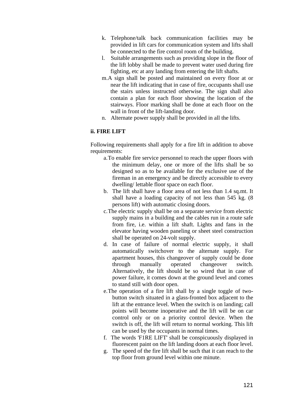- k. Telephone/talk back communication facilities may be provided in lift cars for communication system and lifts shall be connected to the fire control room of the building.
- l. Suitable arrangements such as providing slope in the floor of the lift lobby shall be made to prevent water used during fire fighting, etc at any landing from entering the lift shafts.
- m.A sign shall be posted and maintained on every floor at or near the lift indicating that in case of fire, occupants shall use the stairs unless instructed otherwise. The sign shall also contain a plan for each floor showing the location of the stairways. Floor marking shall be done at each floor on the wall in front of the lift-landing door.
- n. Alternate power supply shall be provided in all the lifts.

### **ii. FIRE LIFT**

Following requirements shall apply for a fire lift in addition to above requirements:

- a.To enable fire service personnel to reach the upper floors with the minimum delay, one or more of the lifts shall be so designed so as to be available for the exclusive use of the fireman in an emergency and be directly accessible to every dwelling/ lettable floor space on each floor.
- b. The lift shall have a floor area of not less than 1.4 sq.mt. It shall have a loading capacity of not less than 545 kg. (8 persons lift) with automatic closing doors.
- c.The electric supply shall be on a separate service from electric supply mains in a building and the cables run in a route safe from fire, i.e. within a lift shaft. Lights and fans in the elevator having wooden paneling or sheet steel construction shall be operated on 24-volt supply.
- d. In case of failure of normal electric supply, it shall automatically switchover to the alternate supply. For apartment houses, this changeover of supply could be done through manually operated changeover switch. Alternatively, the lift should be so wired that in case of power failure, it comes down at the ground level and comes to stand still with door open.
- e.The operation of a fire lift shall by a single toggle of twobutton switch situated in a glass-fronted box adjacent to the lift at the entrance level. When the switch is on landing; call points will become inoperative and the lift will be on car control only or on a priority control device. When the switch is off, the lift will return to normal working. This lift can be used by the occupants in normal times.
- f. The words 'F1RE LIFT' shall be conspicuously displayed in fluorescent paint on the lift landing doors at each floor level.
- g. The speed of the fire lift shall be such that it can reach to the top floor from ground level within one minute.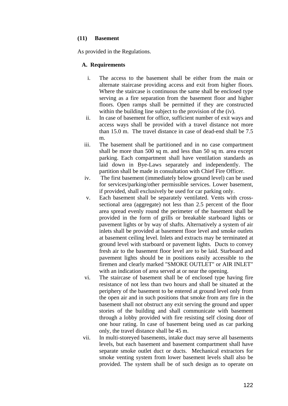### **(11) Basement**

As provided in the Regulations.

# **A. Requirements**

- i. The access to the basement shall be either from the main or alternate staircase providing access and exit from higher floors. Where the staircase is continuous the same shall be enclosed type serving as a fire separation from the basement floor and higher floors. Open ramps shall be permitted if they are constructed within the building line subject to the provision of the (iv).
- ii. In case of basement for office, sufficient number of exit ways and access ways shall be provided with a travel distance not more than 15.0 m. The travel distance in case of dead-end shall be 7.5 m.
- iii. The basement shall be partitioned and in no case compartment shall be more than 500 sq m. and less than 50 sq m. area except parking. Each compartment shall have ventilation standards as laid down in Bye-Laws separately and independently. The partition shall be made in consultation with Chief Fire Officer.
- iv. The first basement (immediately below ground level) can be used for services/parking/other permissible services. Lower basement, if provided, shall exclusively be used for car parking only.
- v. Each basement shall be separately ventilated. Vents with crosssectional area (aggregate) not less than 2.5 percent of the floor area spread evenly round the perimeter of the basement shall be provided in the form of grills or breakable starboard lights or pavement lights or by way of shafts. Alternatively a system of air inlets shall be provided at basement floor level and smoke outlets at basement ceiling level. Inlets and extracts may be terminated at ground level with starboard or pavement lights. Ducts to convey fresh air to the basement floor level are to be laid. Starboard and pavement lights should be in positions easily accessible to the firemen and clearly marked "SMOKE OUTLET" or AIR INLET" with an indication of area served at or near the opening.
- vi. The staircase of basement shall be of enclosed type having fire resistance of not less than two hours and shall be situated at the periphery of the basement to be entered at ground level only from the open air and in such positions that smoke from any fire in the basement shall not obstruct any exit serving the ground and upper stories of the building and shall communicate with basement through a lobby provided with fire resisting self closing door of one hour rating. In case of basement being used as car parking only, the travel distance shall be 45 m.
- vii. In multi-storeyed basements, intake duct may serve all basements levels, but each basement and basement compartment shall have separate smoke outlet duct or ducts. Mechanical extractors for smoke venting system from lower basement levels shall also be provided. The system shall be of such design as to operate on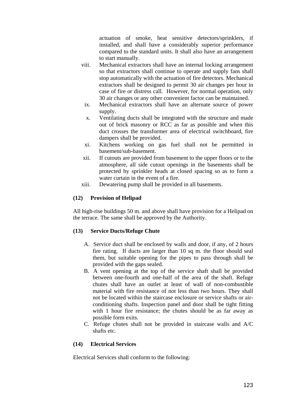actuation of smoke, heat sensitive detectors/sprinklers, if installed, and shall have a considerably superior performance compared to the standard units. It shall also have an arrangement to start manually.

- viii. Mechanical extractors shall have an internal locking arrangement so that extractors shall continue to operate and supply fans shall stop automatically with the actuation of fire detectors. Mechanical extractors shall be designed to permit 30 air changes per hour in case of fire or distress call. However, for normal operation, only 30 air changes or any other convenient factor can be maintained.
	- ix. Mechanical extractors shall have an alternate source of power supply.
	- x. Ventilating ducts shall be integrated with the structure and made out of brick masonry or RCC as far as possible and when this duct crosses the transformer area of electrical switchboard, fire dampers shall be provided.
	- xi. Kitchens working on gas fuel shall not be permitted in basement/sub-basement.
- xii. If cutouts are provided from basement to the upper floors or to the atmosphere, all side cutout openings in the basements shall be protected by sprinkler heads at closed spacing so as to form a water curtain in the event of a fire.
- xiii. Dewatering pump shall be provided in all basements.

### **(12) Provision of Helipad**

All high-rise buildings 50 m. and above shall have provision for a Helipad on the terrace. The same shall be approved by the Authority.

# **(13) Service Ducts/Refuge Chute**

- A. Service duct shall be enclosed by walls and door, if any, of 2 hours fire rating. If ducts are larger than 10 sq m. the floor should seal them, but suitable opening for the pipes to pass through shall be provided with the gaps sealed.
- B. A vent opening at the top of the service shaft shall be provided between one-fourth and one-half of the area of the shaft. Refuge chutes shall have an outlet at least of wall of non-combustible material with fire resistance of not less than two hours. They shall not be located within the staircase enclosure or service shafts or airconditioning shafts. Inspection panel and door shall be tight fitting with 1 hour fire resistance; the chutes should be as far away as possible form exits.
- C. Refuge chutes shall not be provided in staircase walls and A/C shafts etc.

### **(14) Electrical Services**

Electrical Services shall conform to the following: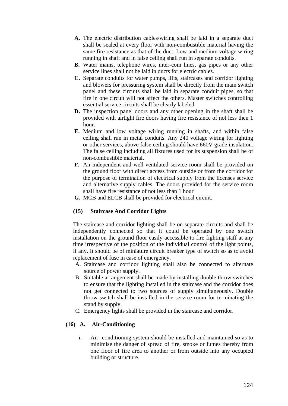- **A.** The electric distribution cables/wiring shall be laid in a separate duct shall be sealed at every floor with non-combustible material having the same fire resistance as that of the duct. Low and medium voltage wiring running in shaft and in false ceiling shall run in separate conduits.
- **B.** Water mains, telephone wires, inter-com lines, gas pipes or any other service lines shall not be laid in ducts for electric cables.
- **C.** Separate conduits for water pumps, lifts, staircases and corridor lighting and blowers for pressuring system shall be directly from the main switch panel and these circuits shall be laid in separate conduit pipes, so that fire in one circuit will not affect the others. Master switches controlling essential service circuits shall be clearly labeled.
- **D.** The inspection panel doors and any other opening in the shaft shall be provided with airtight fire doors having fire resistance of not less then 1 hour.
- **E.** Medium and low voltage wiring running in shafts, and within false ceiling shall run in metal conduits. Any 240 voltage wiring for lighting or other services, above false ceiling should have 660V grade insulation. The false ceiling including all fixtures used for its suspension shall be of non-combustible material.
- **F.** An independent and well-ventilated service room shall be provided on the ground floor with direct access from outside or from the corridor for the purpose of termination of electrical supply from the licenses service and alternative supply cables. The doors provided for the service room shall have fire resistance of not less than 1 hour
- **G.** MCB and ELCB shall be provided for electrical circuit.

# **(15) Staircase And Corridor Lights**

The staircase and corridor lighting shall be on separate circuits and shall be independently connected so that it could be operated by one switch installation on the ground floor easily accessible to fire fighting staff at any time irrespective of the position of the individual control of the light points, if any. It should be of miniature circuit breaker type of switch so as to avoid replacement of fuse in case of emergency.

- A. Staircase and corridor lighting shall also be connected to alternate source of power supply.
- B. Suitable arrangement shall be made by installing double throw switches to ensure that the lighting installed in the staircase and the corridor does not get connected to two sources of supply simultaneously. Double throw switch shall be installed in the service room for terminating the stand by supply.
- C. Emergency lights shall be provided in the staircase and corridor.

# **(16) A. Air-Conditioning**

i. Air- conditioning system should be installed and maintained so as to minimise the danger of spread of fire, smoke or fumes thereby from one floor of fire area to another or from outside into any occupied building or structure.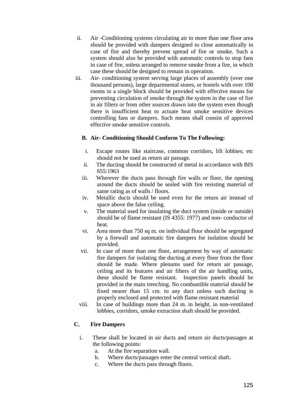- ii. Air -Conditioning systems circulating air to more than one floor area should be provided with dampers designed to close automatically in case of fire and thereby prevent spread of fire or smoke. Such a system should also be provided with automatic controls to stop fans in case of fire, unless arranged to remove smoke from a fire, in which case these should be designed to remain in operation.
- iii. Air- conditioning system serving large places of assembly (over one thousand persons), large departmental stores, or hostels with over 100 rooms in a single block should be provided with effective means for preventing circulation of smoke through the system in the case of fire in air filters or from other sources drawn into the system even though there is insufficient heat to actuate heat smoke sensitive devices controlling fans or dampers. Such means shall consist of approved effective smoke sensitive controls.

# **B. Air- Conditioning Should Conform To The Following:**

- i. Escape routes like staircase, common corridors, lift lobbies; etc should not be used as return air passage.
- ii. The ducting should be constructed of metal in accordance with BIS 655:1963
- iii. Wherever the ducts pass through fire walls or floor, the opening around the ducts should be sealed with fire resisting material of same rating as of walls / floors.
- iv. Metallic ducts should be used even for the return air instead of space above the false ceiling.
- v. The material used for insulating the duct system (inside or outside) should be of flame resistant (IS 4355: 1977) and non- conductor of heat.
- vi. Area more than 750 sq m. on individual floor should be segregated by a firewall and automatic fire dampers for isolation should be provided.
- vii. In case of more than one floor, arrangement by way of automatic fire dampers for isolating the ducting at every floor from the floor should be made. Where plenums used for return air passage, ceiling and its features and air filters of the air handling units, these should be flame resistant. Inspection panels should be provided in the main trenching. No combustible material should be fixed nearer than 15 cm. to any duct unless such ducting is properly enclosed and protected with flame resistant material
- viii. In case of buildings more than 24 m. in height, in non-ventilated lobbies, corridors, smoke extraction shaft should be provided.

# **C. Fire Dampers**

- i. These shall be located in air ducts and return air ducts/passages at the following points:
	- a. At the fire separation wall.
	- b. Where ducts/passages enter the central vertical shaft.
	- c. Where the ducts pass through floors.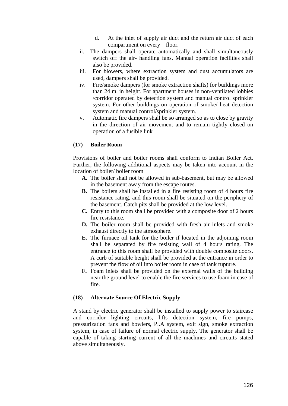- d. At the inlet of supply air duct and the return air duct of each compartment on every floor.
- ii. The dampers shall operate automatically and shall simultaneously switch off the air- handling fans. Manual operation facilities shall also be provided.
- iii. For blowers, where extraction system and dust accumulators are used, dampers shall be provided.
- iv. Fire/smoke dampers (for smoke extraction shafts) for buildings more than 24 m. in height. For apartment houses in non-ventilated lobbies /corridor operated by detection system and manual control sprinkler system. For other buildings on operation of smoke/ heat detection system and manual control/sprinkler system.
- v. Automatic fire dampers shall be so arranged so as to close by gravity in the direction of air movement and to remain tightly closed on operation of a fusible link

### **(17) Boiler Room**

Provisions of boiler and boiler rooms shall conform to Indian Boiler Act. Further, the following additional aspects may be taken into account in the location of boiler/ boiler room

- **A.** The boiler shall not be allowed in sub-basement, but may be allowed in the basement away from the escape routes.
- **B.** The boilers shall be installed in a fire resisting room of 4 hours fire resistance rating, and this room shall be situated on the periphery of the basement. Catch pits shall be provided at the low level.
- **C.** Entry to this room shall be provided with a composite door of 2 hours fire resistance.
- **D.** The boiler room shall be provided with fresh air inlets and smoke exhaust directly to the atmosphere.
- **E.** The furnace oil tank for the boiler if located in the adjoining room shall be separated by fire resisting wall of 4 hours rating. The entrance to this room shall be provided with double composite doors. A curb of suitable height shall be provided at the entrance in order to prevent the flow of oil into boiler room in case of tank rupture.
- **F.** Foam inlets shall be provided on the external walls of the building near the ground level to enable the fire services to use foam in case of fire.

### **(18) Alternate Source Of Electric Supply**

A stand by electric generator shall be installed to supply power to staircase and corridor lighting circuits, lifts detection system, fire pumps, pressurization fans and bowlers, P..A system, exit sign, smoke extraction system, in case of failure of normal electric supply. The generator shall be capable of taking starting current of all the machines and circuits stated above simultaneously.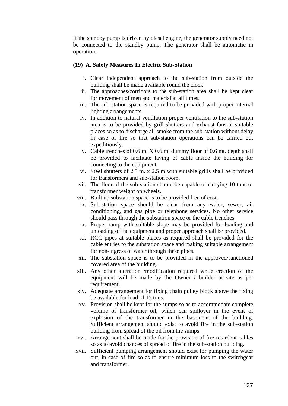If the standby pump is driven by diesel engine, the generator supply need not be connected to the standby pump. The generator shall be automatic in operation.

#### **(19) A. Safety Measures In Electric Sub-Station**

- i. Clear independent approach to the sub-station from outside the building shall be made available round the clock
- ii. The approaches/corridors to the sub-station area shall be kept clear for movement of men and material at all times.
- iii. The sub-station space is required to be provided with proper internal lighting arrangements.
- iv. In addition to natural ventilation proper ventilation to the sub-station area is to be provided by grill shutters and exhaust fans at suitable places so as to discharge all smoke from the sub-station without delay in case of fire so that sub-station operations can be carried out expeditiously.
- v. Cable trenches of 0.6 m. X 0.6 m. dummy floor of 0.6 mt. depth shall be provided to facilitate laying of cable inside the building for connecting to the equipment.
- vi. Steel shutters of 2.5 m. x 2.5 m with suitable grills shall be provided for transformers and sub-station room.
- vii. The floor of the sub-station should be capable of carrying 10 tons of transformer weight on wheels.
- viii. Built up substation space is to be provided free of cost.
- ix. Sub-station space should be clear from any water, sewer, air conditioning, and gas pipe or telephone services. No other service should pass through the substation space or the cable trenches.
- x. Proper ramp with suitable slope may be provided for loading and unloading of the equipment and proper approach shall be provided.
- xi. RCC pipes at suitable places as required shall be provided for the cable entries to the substation space and making suitable arrangement for non-ingress of water through these pipes.
- xii. The substation space is to be provided in the approved/sanctioned covered area of the building.
- xiii. Any other alteration /modification required while erection of the equipment will be made by the Owner / builder at site as per requirement.
- xiv. Adequate arrangement for fixing chain pulley block above the fixing be available for load of 15 tons.
- xv. Provision shall be kept for the sumps so as to accommodate complete volume of transformer oil, which can spillover in the event of explosion of the transformer in the basement of the building. Sufficient arrangement should exist to avoid fire in the sub-station building from spread of the oil from the sumps.
- xvi. Arrangement shall be made for the provision of fire retardent cables so as to avoid chances of spread of fire in the sub-station building.
- xvii. Sufficient pumping arrangement should exist for pumping the water out, in case of fire so as to ensure minimum loss to the switchgear and transformer.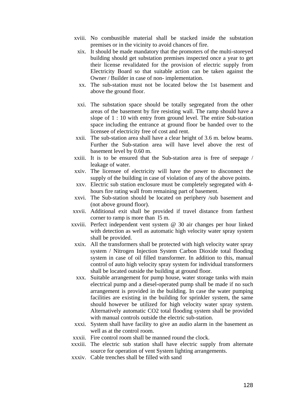- xviii. No combustible material shall be stacked inside the substation premises or in the vicinity to avoid chances of fire.
	- xix. It should be made mandatory that the promoters of the multi-storeyed building should get substation premises inspected once a year to get their license revalidated for the provision of electric supply from Electricity Board so that suitable action can be taken against the Owner / Builder in case of non- implementation.
	- xx. The sub-station must not be located below the 1st basement and above the ground floor.
- xxi. The substation space should be totally segregated from the other areas of the basement by fire resisting wall. The ramp should have a slope of 1 : 10 with entry from ground level. The entire Sub-station space including the entrance at ground floor be handed over to the licensee of electricity free of cost and rent.
- xxii. The sub-station area shall have a clear height of 3.6 m. below beams. Further the Sub-station area will have level above the rest of basement level by 0.60 m.
- xxiii. It is to be ensured that the Sub-station area is free of seepage / leakage of water.
- xxiv. The licensee of electricity will have the power to disconnect the supply of the building in case of violation of any of the above points.
- xxv. Electric sub station enclosure must be completely segregated with 4 hours fire rating wall from remaining part of basement.
- xxvi. The Sub-station should be located on periphery /sub basement and (not above ground floor).
- xxvii. Additional exit shall be provided if travel distance from farthest corner to ramp is more than l5 m.
- xxviii. Perfect independent vent system @ 30 air changes per hour linked with detection as well as automatic high velocity water spray system shall be provided.
	- xxix. All the transformers shall be protected with high velocity water spray system / Nitrogen Injection System Carbon Dioxide total flooding system in case of oil filled transformer. In addition to this, manual control of auto high velocity spray system for individual transformers shall be located outside the building at ground floor.
	- xxx. Suitable arrangement for pump house, water storage tanks with main electrical pump and a diesel-operated pump shall be made if no such arrangement is provided in the building. In case the water pumping facilities are existing in the building for sprinkler system, the same should however be utilized for high velocity water spray system. Alternatively automatic CO2 total flooding system shall be provided with manual controls outside the electric sub-station.
- xxxi. System shall have facility to give an audio alarm in the basement as well as at the control room.
- xxxii. Fire control room shall be manned round the clock.
- xxxiii. The electric sub station shall have electric supply from alternate source for operation of vent System lighting arrangements.
- xxxiv. Cable trenches shall be filled with sand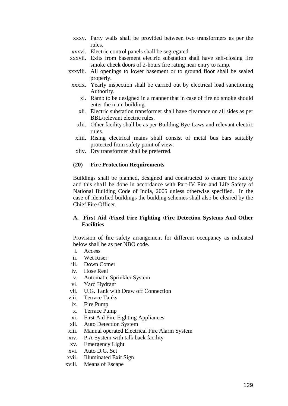- xxxv. Party walls shall be provided between two transformers as per the rules.
- xxxvi. Electric control panels shall be segregated.
- xxxvii. Exits from basement electric substation shall have self-closing fire smoke check doors of 2-hours fire rating near entry to ramp.
- xxxviii. All openings to lower basement or to ground floor shall be sealed properly.
	- xxxix. Yearly inspection shall be carried out by electrical load sanctioning Authority.
		- xl. Ramp to be designed in a manner that in case of fire no smoke should enter the main building.
		- xli. Electric substation transformer shall have clearance on all sides as per BBL/relevant electric rules.
		- xlii. Other facility shall be as per Building Bye-Laws and relevant electric rules.
		- xliii. Rising electrical mains shall consist of metal bus bars suitably protected from safety point of view.
		- xliv. Dry transformer shall be preferred.

#### **(20) Fire Protection Requirements**

Buildings shall be planned, designed and constructed to ensure fire safety and this sha1l be done in accordance with Part-IV Fire and Life Safety of National Building Code of India, 2005 unless otherwise specified. In the case of identified buildings the building schemes shall also be cleared by the Chief Fire Officer.

### **A. First Aid /Fixed Fire Fighting /Fire Detection Systems And Other Facilities**

Provision of fire safety arrangement for different occupancy as indicated below shall be as per NBO code.

- i. Access
- ii. Wet Riser
- iii. Down Comer
- iv. Hose Reel
- v. Automatic Sprinkler System
- vi. Yard Hydrant
- vii. U.G. Tank with Draw off Connection
- viii. Terrace Tanks
- ix. Fire Pump
- x. Terrace Pump
- xi. First Aid Fire Fighting Appliances
- xii. Auto Detection System
- xiii. Manual operated Electrical Fire Alarm System
- xiv. P.A System with talk back facility
- xv. Emergency Light
- xvi. Auto D.G. Set
- xvii. Illuminated Exit Sign
- xviii. Means of Escape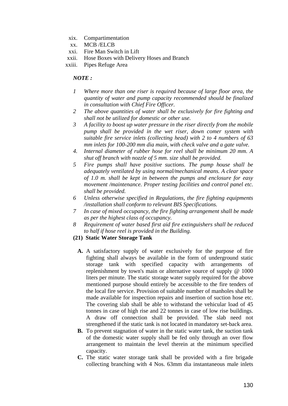- xix. Compartimentation
- xx. MCB /ELCB
- xxi. Fire Man Switch in Lift
- xxii. Hose Boxes with Delivery Hoses and Branch
- xxiii. Pipes Refuge Area

## *NOTE :*

- *1 Where more than one riser is required because of large floor area, the quantity of water and pump capacity recommended should be finalized in consultation with Chief Fire Officer.*
- *2 The above quantities of water shall be exclusively for fire fighting and shall not be utilized for domestic or other use.*
- *3 A facility to boost up water pressure in the riser directly from the mobile pump shall be provided in the wet riser, down comer system with suitable fire service inlets (collecting head) with 2 to 4 numbers of 63 mm inlets for 100-200 mm dia main, with check valve and a gate valve.*
- *4. Internal diameter of rubber hose for reel shall be minimum 20 mm. A shut off branch with nozzle of 5 mm. size shall be provided.*
- *5 Fire pumps shall have positive suctions. The pump house shall be adequately ventilated by using normal/mechanical means. A clear space of 1.0 m. shall be kept in between the pumps and enclosure for easy movement /maintenance. Proper testing facilities and control panel etc. shall be provided.*
- *6 Unless otherwise specified in Regulations, the fire fighting equipments /installation shall conform to relevant BIS Specifications.*
- *7 In case of mixed occupancy, the fire fighting arrangement shall be made as per the highest class of occupancy.*
- *8 Requirement of water based first aid fire extinguishers shall be reduced to half if hose reel is provided in the Building.*
- **(21) Static Water Storage Tank** 
	- **A.** A satisfactory supply of water exclusively for the purpose of fire fighting shall always be available in the form of underground static storage tank with specified capacity with arrangements of replenishment by town's main or alternative source of supply @ 1000 liters per minute. The static storage water supply required for the above mentioned purpose should entirely be accessible to the fire tenders of the local fire service. Provision of suitable number of manholes shall be made available for inspection repairs and insertion of suction hose etc. The covering slab shall be able to withstand the vehicular load of 45 tonnes in case of high rise and 22 tonnes in case of low rise buildings. A draw off connection shall be provided. The slab need not strengthened if the static tank is not located in mandatory set-back area.
	- **B.** To prevent stagnation of water in the static water tank, the suction tank of the domestic water supply shall be fed only through an over flow arrangement to maintain the level therein at the minimum specified capacity.
	- **C.** The static water storage tank shall be provided with a fire brigade collecting branching with 4 Nos. 63mm dia instantaneous male inlets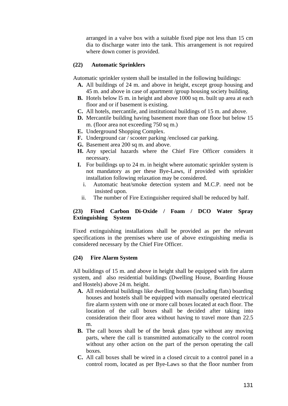arranged in a valve box with a suitable fixed pipe not less than 15 cm dia to discharge water into the tank. This arrangement is not required where down comer is provided.

### **(22) Automatic Sprinklers**

Automatic sprinkler system shall be installed in the following buildings:

- **A.** All buildings of 24 m. and above in height, except group housing and 45 m. and above in case of apartment /group housing society building.
- **B.** Hotels below 15 m. in height and above 1000 sq m. built up area at each floor and or if basement is existing.
- **C.** All hotels, mercantile, and institutional buildings of 15 m. and above.
- **D.** Mercantile building having basement more than one floor but below 15 m. (floor area not exceeding 750 sq m.)
- **E.** Underground Shopping Complex.
- **F.** Underground car / scooter parking /enclosed car parking.
- **G.** Basement area 200 sq m. and above.
- **H.** Any special hazards where the Chief Fire Officer considers it necessary.
- **I.** For buildings up to 24 m. in height where automatic sprinkler system is not mandatory as per these Bye-Laws, if provided with sprinkler installation following relaxation may be considered.
	- i. Automatic heat/smoke detection system and M.C.P. need not be insisted upon.
	- ii. The number of Fire Extinguisher required shall be reduced by half.

### **(23) Fixed Carbon Di-Oxide / Foam / DCO Water Spray Extinguishing System**

Fixed extinguishing installations shall be provided as per the relevant specifications in the premises where use of above extinguishing media is considered necessary by the Chief Fire Officer.

#### **(24) Fire Alarm System**

All buildings of 15 m. and above in height shall be equipped with fire alarm system, and also residential buildings (Dwelling House, Boarding House and Hostels) above 24 m. height.

- **A.** All residential buildings like dwelling houses (including flats) boarding houses and hostels shall be equipped with manually operated electrical fire alarm system with one or more call boxes located at each floor. The location of the call boxes shall be decided after taking into consideration their floor area without having to travel more than 22.5 m.
- **B.** The call boxes shall be of the break glass type without any moving parts, where the call is transmitted automatically to the control room without any other action on the part of the person operating the call boxes.
- **C.** All call boxes shall be wired in a closed circuit to a control panel in a control room, located as per Bye-Laws so that the floor number from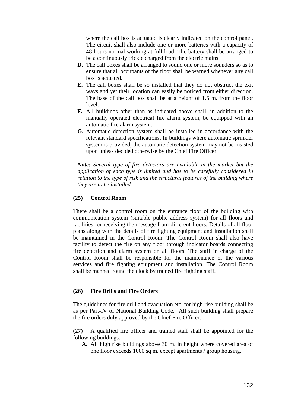where the call box is actuated is clearly indicated on the control panel. The circuit shall also include one or more batteries with a capacity of 48 hours normal working at full load. The battery shall be arranged to be a continuously trickle charged from the electric mains.

- **D.** The call boxes shall be arranged to sound one or more sounders so as to ensure that all occupants of the floor shall be warned whenever any call box is actuated.
- **E.** The call boxes shall be so installed that they do not obstruct the exit ways and yet their location can easily be noticed from either direction. The base of the call box shall be at a height of 1.5 m. from the floor level.
- **F.** All buildings other than as indicated above shall, in addition to the manually operated electrical fire alarm system, be equipped with an automatic fire alarm system.
- **G.** Automatic detection system shall be installed in accordance with the relevant standard specifications. In buildings where automatic sprinkler system is provided, the automatic detection system may not be insisted upon unless decided otherwise by the Chief Fire Officer.

*Note: Several type of fire detectors are available in the market but the application of each type is limited and has to be carefully considered in relation to the type of risk and the structural features of the building where they are to be installed.* 

### **(25) Control Room**

There shall be a control room on the entrance floor of the building with communication system (suitable public address system) for all floors and facilities for receiving the message from different floors. Details of all floor plans along with the details of fire fighting equipment and installation shall be maintained in the Control Room. The Control Room shall also have facility to detect the fire on any floor through indicator boards connecting fire detection and alarm system on all floors. The staff in charge of the Control Room shall be responsible for the maintenance of the various services and fire fighting equipment and installation. The Control Room shall be manned round the clock by trained fire fighting staff.

### **(26) Fire Drills and Fire Orders**

The guidelines for fire drill and evacuation etc. for high-rise building shall be as per Part-IV of National Building Code. All such building shall prepare the fire orders duly approved by the Chief Fire Officer.

**(27)** A qualified fire officer and trained staff shall be appointed for the following buildings.

**A.** All high rise buildings above 30 m. in height where covered area of one floor exceeds 1000 sq m. except apartments / group housing.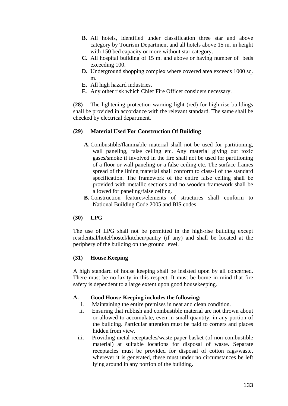- **B.** All hotels, identified under classification three star and above category by Tourism Department and all hotels above 15 m. in height with 150 bed capacity or more without star category.
- **C.** All hospital building of 15 m. and above or having number of beds exceeding 100.
- **D.** Underground shopping complex where covered area exceeds 1000 sq. m.
- **E.** All high hazard industries.
- **F.** Any other risk which Chief Fire Officer considers necessary.

**(28)** The lightening protection warning light (red) for high-rise buildings shall be provided in accordance with the relevant standard. The same shall be checked by electrical department.

### **(29) Material Used For Construction Of Building**

- **A.**Combustible/flammable material shall not be used for partitioning, wall paneling, false ceiling etc. Any material giving out toxic gases/smoke if involved in the fire shall not be used for partitioning of a floor or wall paneling or a false ceiling etc. The surface frames spread of the lining material shall conform to class-I of the standard specification. The framework of the entire false ceiling shall be provided with metallic sections and no wooden framework shall be allowed for paneling/false ceiling.
- **B.** Construction features/elements of structures shall conform to National Building Code 2005 and BIS codes

### **(30) LPG**

The use of LPG shall not be permitted in the high-rise building except residential/hotel/hostel/kitchen/pantry (if any) and shall be located at the periphery of the building on the ground level.

### **(31) House Keeping**

A high standard of house keeping shall be insisted upon by all concerned. There must be no laxity in this respect. It must be borne in mind that fire safety is dependent to a large extent upon good housekeeping.

### **A. Good House-Keeping includes the following:-**

- i. Maintaining the entire premises in neat and clean condition.
- ii. Ensuring that rubbish and combustible material are not thrown about or allowed to accumulate, even in small quantity, in any portion of the building. Particular attention must be paid to corners and places hidden from view.
- iii. Providing metal receptacles/waste paper basket (of non-combustible material) at suitable locations for disposal of waste. Separate receptacles must be provided for disposal of cotton rags/waste, wherever it is generated, these must under no circumstances be left lying around in any portion of the building.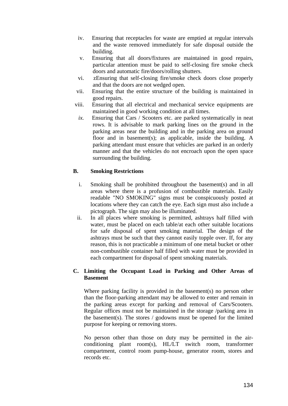- iv. Ensuring that receptacles for waste are emptied at regular intervals and the waste removed immediately for safe disposal outside the building.
- v. Ensuring that all doors/fixtures are maintained in good repairs, particular attention must be paid to self-closing fire smoke check doors and automatic fire/doors/rolling shutters.
- vi. zEnsuring that self-closing fire/smoke check doors close properly and that the doors are not wedged open.
- vii. Ensuring that the entire structure of the building is maintained in good repairs.
- viii. Ensuring that all electrical and mechanical service equipments are maintained in good working condition at all times.
	- *ix.* Ensuring that Cars / Scooters etc. are parked systematically in neat rows. It is advisable to mark parking lines on the ground in the parking areas near the building and in the parking area on ground floor and in basement(s); as applicable, inside the building. A parking attendant must ensure that vehicles are parked in an orderly manner and that the vehicles do not encroach upon the open space surrounding the building.

# **B. Smoking Restrictions**

- i. Smoking shall be prohibited throughout the basement(s) and in all areas where there is a profusion of combustible materials. Easily readable "NO SMOKING" signs must be conspicuously posted at locations where they can catch the eye. Each sign must also include a pictograph. The sign may also be illuminated.
- ii. In all places where smoking is permitted, ashtrays half filled with water, must be placed on each table/at each other suitable locations for safe disposal of spent smoking material. The design of the ashtrays must be such that they cannot easily topple over. If, for any reason, this is not practicable a minimum of one metal bucket or other non-combustible container half filled with water must be provided in each compartment for disposal of spent smoking materials.

# **C. Limiting the Occupant Load in Parking and Other Areas of Basement**

Where parking facility is provided in the basement(s) no person other than the floor-parking attendant may be allowed to enter and remain in the parking areas except for parking and removal of Cars/Scooters. Regular offices must not be maintained in the storage /parking area in the basement(s). The stores  $\ell$  godowns must be opened for the limited purpose for keeping or removing stores.

No person other than those on duty may be permitted in the airconditioning plant room(s), HL/LT switch room, transformer compartment, control room pump-house, generator room, stores and records etc.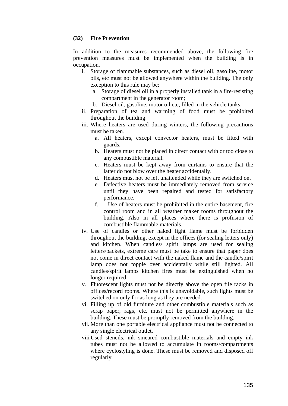### **(32) Fire Prevention**

In addition to the measures recommended above, the following fire prevention measures must be implemented when the building is in occupation.

- i. Storage of flammable substances, such as diesel oil, gasoline, motor oils, etc must not be allowed anywhere within the building. The only exception to this rule may be:
	- a. Storage of diesel oil in a properly installed tank in a fire-resisting compartment in the generator room;
	- b. Diesel oil, gasoline, motor oil etc, filled in the vehicle tanks.
- ii. Preparation of tea and warming of food must be prohibited throughout the building.
- iii. Where heaters are used during winters, the following precautions must be taken.
	- a. All heaters, except convector heaters, must be fitted with guards.
	- b. Heaters must not be placed in direct contact with or too close to any combustible material.
	- c. Heaters must be kept away from curtains to ensure that the latter do not blow over the heater accidentally.
	- d. Heaters must not be left unattended while they are switched on.
	- e. Defective heaters must be immediately removed from service until they have been repaired and tested for satisfactory performance.
	- f. Use of heaters must be prohibited in the entire basement, fire control room and in all weather maker rooms throughout the building. Also in all places where there is profusion of combustible flammable materials.
- iv. Use of candles or other naked light flame must be forbidden throughout the building, except in the offices (for sealing letters only) and kitchen. When candles/ spirit lamps are used for sealing letters/packets, extreme care must be take to ensure that paper does not come in direct contact with the naked flame and the candle/spirit lamp does not topple over accidentally while still lighted. All candles/spirit lamps kitchen fires must be extinguished when no longer required.
- v. Fluorescent lights must not be directly above the open file racks in offices/record rooms. Where this is unavoidable, such lights must be switched on only for as long as they are needed.
- vi. Filling up of old furniture and other combustible materials such as scrap paper, rags, etc. must not be permitted anywhere in the building. These must be promptly removed from the building.
- vii. More than one portable electrical appliance must not be connected to any single electrical outlet.
- viii Used stencils, ink smeared combustible materials and empty ink tubes must not be allowed to accumulate in rooms/compartments where cyclostyling is done. These must be removed and disposed off regularly.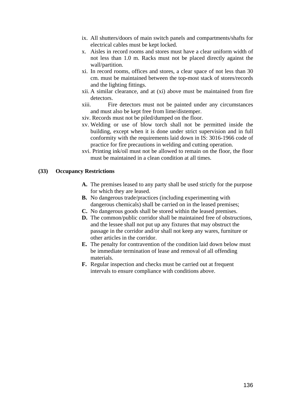- ix. All shutters/doors of main switch panels and compartments/shafts for electrical cables must be kept locked.
- x. Aisles in record rooms and stores must have a clear uniform width of not less than 1.0 m. Racks must not be placed directly against the wall/partition.
- xi. In record rooms, offices and stores, a clear space of not less than 30 cm. must be maintained between the top-most stack of stores/records and the lighting fittings.
- xii. A similar clearance, and at (xi) above must be maintained from fire detectors.
- xiii. Fire detectors must not be painted under any circumstances and must also be kept free from lime/distemper.
- xiv. Records must not be piled/dumped on the floor.
- xv. Welding or use of blow torch shall not be permitted inside the building, except when it is done under strict supervision and in full conformity with the requirements laid down in IS: 3016-1966 code of practice for fire precautions in welding and cutting operation.
- xvi. Printing ink/oil must not be allowed to remain on the floor, the floor must be maintained in a clean condition at all times.

## **(33) Occupancy Restrictions**

- **A.** The premises leased to any party shall be used strictly for the purpose for which they are leased.
- **B.** No dangerous trade/practices (including experimenting with dangerous chemicals) shall be carried on in the leased premises;
- **C.** No dangerous goods shall be stored within the leased premises.
- **D.** The common/public corridor shall be maintained free of obstructions, and the lessee shall not put up any fixtures that may obstruct the passage in the corridor and/or shall not keep any wares, furniture or other articles in the corridor.
- **E.** The penalty for contravention of the condition laid down below must be immediate termination of lease and removal of all offending materials.
- **F.** Regular inspection and checks must be carried out at frequent intervals to ensure compliance with conditions above.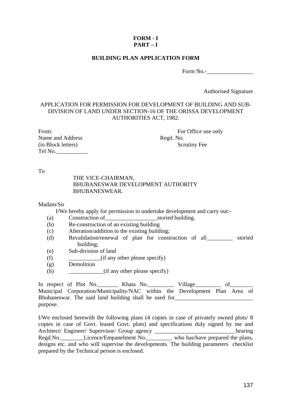# **FORM - I PART – I**

## **BUILDING PLAN APPLICATION FORM**

Form No.-

Authorised Signature

# APPLICATION FOR PERMISSION FOR DEVELOPMENT OF BUILDING AND SUB-DIVISION OF LAND UNDER SECTION-16 OF THE ORISSA DEVELOPMENT AUTHORITIES ACT, 1982.

| From:              |
|--------------------|
| Name and Address   |
| (in Block letters) |
| Tel No.            |

For Office use only Regd. No. Scrutiny Fee

To

### THE VICE-CHAIRMAN, BHUBANESWAR DEVELOPMENT AUTHORITY BHUBANESWEAR.

### Madam/Sir

I/We hereby apply for permission to undertake development and carry out:-

- (a) Construction of\_\_\_\_\_\_\_\_\_\_\_\_\_\_\_\_\_\_storied building.
- (b) Re-construction of an existing building
- (c) Alteration/addition to the existing building;
- (d) Revalidation/renewal of plan for construction of all\_\_\_\_\_\_\_\_\_ storied building;
- (e) Sub-division of land
- (f) \_\_\_\_\_\_\_\_\_\_\_(if any other please specify)
- (g) Demolition
- (h)  $(i f any other please specify)$

In respect of Plot No.\_\_\_\_\_\_\_\_\_ Khata No.\_\_\_\_\_\_\_\_\_\_\_\_ Village\_\_\_\_\_\_\_\_\_\_ of\_\_\_\_\_\_\_\_\_\_ Municipal Corporation/Municipality/NAC within the Development Plan Area of Bhubaneswar. The said land building shall be used for purpose.

I/We enclosed herewith the following plans (4 copies in case of privately owned plots/ 8 copies in case of Govt. leased Govt. plots) and specifications duly signed by me and Architect/ Engineer/ Supervisor/ Group agency \_\_\_\_\_\_\_\_\_\_\_\_\_\_\_\_\_\_\_\_\_\_\_\_\_\_\_\_\_\_\_\_\_bearing Regd.No. Licence/Empanelment No. Who has/have prepared the plans, designs etc. and who will supervise the developments. The building parameters checklist prepared by the Technical person is enclosed.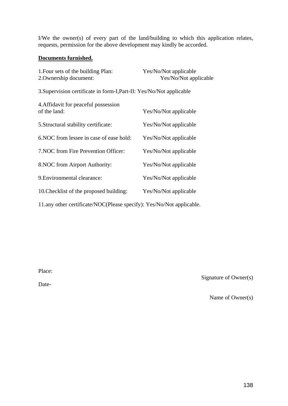I/We the owner(s) of every part of the land/building to which this application relates, requests, permission for the above development may kindly be accorded.

# **Documents furnished.**

| 1. Four sets of the building Plan:<br>2. Ownership document:         | Yes/No/Not applicable<br>Yes/No/Not applicable |
|----------------------------------------------------------------------|------------------------------------------------|
| 3. Supervision certificate in form-I, Part-II: Yes/No/Not applicable |                                                |
| 4. Affidavit for peaceful possession<br>of the land:                 | Yes/No/Not applicable                          |
| 5. Structural stability certificate:                                 | Yes/No/Not applicable                          |
| 6. NOC from lessee in case of ease hold:                             | Yes/No/Not applicable                          |
| 7. NOC from Fire Prevention Officer:                                 | Yes/No/Not applicable                          |
| 8. NOC from Airport Authority:                                       | Yes/No/Not applicable                          |
| 9. Environmental clearance:                                          | Yes/No/Not applicable                          |
| 10. Checklist of the proposed building:                              | Yes/No/Not applicable                          |
| 11.any other certificate/NOC(Please specify): Yes/No/Not applicable. |                                                |

Place:

Date-

Signature of Owner(s)

Name of Owner(s)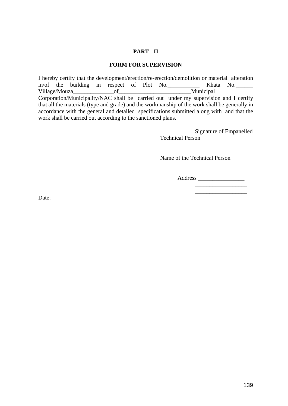### **PART - II**

### **FORM FOR SUPERVISION**

I hereby certify that the development/erection/re-erection/demolition or material alteration in/of the building in respect of Plot No. Village/Mouza\_\_\_\_\_\_\_\_\_\_\_\_\_\_of\_\_\_\_\_\_\_\_\_\_\_\_\_\_\_\_\_\_\_\_\_\_\_\_\_Municipal Corporation/Municipality/NAC shall be carried out under my supervision and I certify that all the materials (type and grade) and the workmanship of the work shall be generally in accordance with the general and detailed specifications submitted along with and that the work shall be carried out according to the sanctioned plans.

> Signature of Empanelled Technical Person

Name of the Technical Person

Address \_\_\_\_\_\_\_\_\_\_\_\_\_\_\_\_

\_\_\_\_\_\_\_\_\_\_\_\_\_\_\_\_\_\_

Date:  $\frac{1}{\sqrt{1-\frac{1}{2}}\sqrt{1-\frac{1}{2}}\sqrt{1-\frac{1}{2}}\sqrt{1-\frac{1}{2}}\sqrt{1-\frac{1}{2}}\sqrt{1-\frac{1}{2}}\sqrt{1-\frac{1}{2}}\sqrt{1-\frac{1}{2}}\sqrt{1-\frac{1}{2}}\sqrt{1-\frac{1}{2}}\sqrt{1-\frac{1}{2}}\sqrt{1-\frac{1}{2}}\sqrt{1-\frac{1}{2}}\sqrt{1-\frac{1}{2}}\sqrt{1-\frac{1}{2}}\sqrt{1-\frac{1}{2}}\sqrt{1-\frac{1}{2}}\sqrt{1-\frac{1}{2}}\sqrt{1-\frac{1}{2}}$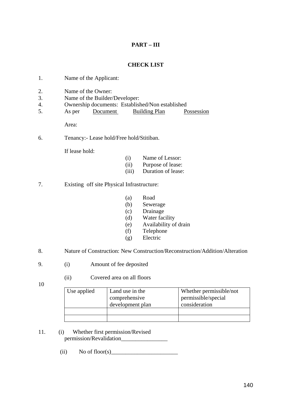# **PART – III**

# **CHECK LIST**

- 1. Name of the Applicant:
- 2. Name of the Owner:
- 3. Name of the Builder/Developer:
- 4. Ownership documents: Established/Non established
- 5. As per Document Building Plan Possession

Area:

6. Tenancy:- Lease hold/Free hold/Stitiban.

If lease hold:

- (i) Name of Lessor:
- (ii) Purpose of lease:
- (iii) Duration of lease:
- 7. Existing off site Physical Infrastructure:
	- (a) Road
	- (b) Sewerage
	- (c) Drainage
	- (d) Water facility
	- (e) Availability of drain
	- (f) Telephone
	- (g) Electric
- 8. Nature of Construction: New Construction/Reconstruction/Addition/Alteration
- 9. (i) Amount of fee deposited
	- (ii) Covered area on all floors
- 10
- Use applied | Land use in the comprehensive development plan Whether permissible/not permissible/special consideration

11. (i) Whether first permission/Revised permission/Revalidation\_\_\_\_\_\_\_\_\_\_\_\_\_\_\_\_

(ii) No of floor(s)  $\qquad \qquad$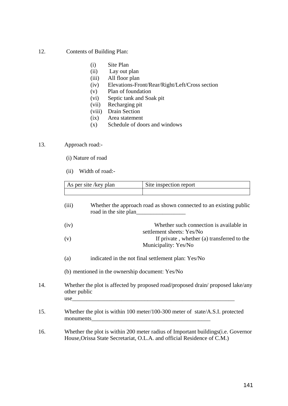- 12. Contents of Building Plan:
	- (i) Site Plan
	- (ii) Lay out plan
	- (iii) All floor plan
	- (iv) Elevations-Front/Rear/Right/Left/Cross section
	- (v) Plan of foundation
	- (vi) Septic tank and Soak pit
	- (vii) Recharging pit
	- (viii) Drain Section
	- (ix) Area statement
	- (x) Schedule of doors and windows

# 13. Approach road:-

- (i) Nature of road
- (ii) Width of road:-

|     |              | As per site /key plan | Site inspection report                                                                                                                                                                                                                                                                                         |
|-----|--------------|-----------------------|----------------------------------------------------------------------------------------------------------------------------------------------------------------------------------------------------------------------------------------------------------------------------------------------------------------|
|     |              |                       |                                                                                                                                                                                                                                                                                                                |
|     | (iii)        |                       | Whether the approach road as shown connected to an existing public                                                                                                                                                                                                                                             |
|     | (iv)         |                       | Whether such connection is available in<br>settlement sheets: Yes/No                                                                                                                                                                                                                                           |
|     | (v)          |                       | If private, whether (a) transferred to the<br>Municipality: Yes/No                                                                                                                                                                                                                                             |
|     | (a)          |                       | indicated in the not final settlement plan: Yes/No                                                                                                                                                                                                                                                             |
|     |              |                       | (b) mentioned in the ownership document: Yes/No                                                                                                                                                                                                                                                                |
| 14. | other public |                       | Whether the plot is affected by proposed road/proposed drain/proposed lake/any<br>use                                                                                                                                                                                                                          |
| 15. |              |                       | Whether the plot is within 100 meter/100-300 meter of state/A.S.I. protected<br>monuments experience and the second services of the services of the services of the services of the services of the services of the services of the services of the services of the services of the services of the services o |
| 16. |              |                       | Whether the plot is within 200 meter radius of Important buildings (i.e. Governor<br>House, Orissa State Secretariat, O.L.A. and official Residence of C.M.)                                                                                                                                                   |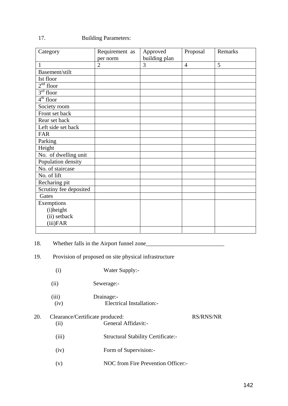# 17. Building Parameters:

| Category               | Requirement as | Approved      | Proposal       | Remarks |
|------------------------|----------------|---------------|----------------|---------|
| $\mathbf{1}$           | per norm       | building plan |                | 5       |
|                        | $\overline{2}$ | 3             | $\overline{4}$ |         |
| Basement/stilt         |                |               |                |         |
| Ist floor              |                |               |                |         |
| $2nd$ floor            |                |               |                |         |
| $3rd$ floor            |                |               |                |         |
| $4th$ floor            |                |               |                |         |
| Society room           |                |               |                |         |
| Front set back         |                |               |                |         |
| Rear set back          |                |               |                |         |
| Left side set back     |                |               |                |         |
| <b>FAR</b>             |                |               |                |         |
| Parking                |                |               |                |         |
| Height                 |                |               |                |         |
| No. of dwelling unit   |                |               |                |         |
| Population density     |                |               |                |         |
| No. of staircase       |                |               |                |         |
| No. of lift            |                |               |                |         |
| Recharing pit          |                |               |                |         |
| Scrutiny fee deposited |                |               |                |         |
| Gates                  |                |               |                |         |
| Exemptions             |                |               |                |         |
| (i)height              |                |               |                |         |
| (ii) setback           |                |               |                |         |
| (iii)FAR               |                |               |                |         |
|                        |                |               |                |         |

# 18. Whether falls in the Airport funnel zone\_\_\_\_\_\_\_\_\_\_\_\_\_\_\_\_\_\_\_\_\_\_\_\_\_\_\_

# 19. Provision of proposed on site physical infrastructure

|     | (i)                                     | Water Supply:-                            |                  |
|-----|-----------------------------------------|-------------------------------------------|------------------|
|     | (ii)                                    | Sewerage:-                                |                  |
|     | (iii)<br>(iv)                           | Drainage:-<br>Electrical Installation:-   |                  |
| 20. | Clearance/Certificate produced:<br>(ii) | General Affidavit:-                       | <b>RS/RNS/NR</b> |
|     | (iii)                                   | <b>Structural Stability Certificate:-</b> |                  |
|     | (iv)                                    | Form of Supervision:-                     |                  |
|     | (v)                                     | NOC from Fire Prevention Officer:-        |                  |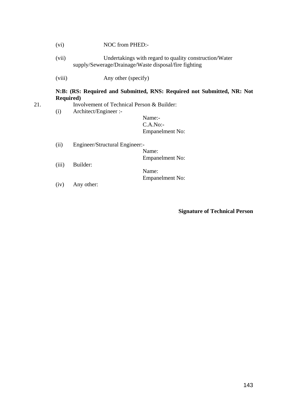| (vi) | NOC from PHED:- |
|------|-----------------|
|      |                 |

- (vii) Undertakings with regard to quality construction/Water supply/Sewerage/Drainage/Waste disposal/fire fighting
- (viii) Any other (specify)

### **N:B: (RS: Required and Submitted, RNS: Required not Submitted, NR: Not Required)**

- 21. Involvement of Technical Person & Builder:
	- (i) Architect/Engineer :-

Name:- C.A.No:- Empanelment No:

- (ii) Engineer/Structural Engineer:- Name: Empanelment No:
- (iii) Builder:

Name: Empanelment No:

(iv) Any other:

# **Signature of Technical Person**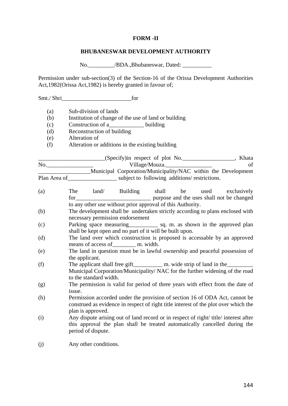#### **FORM -II**

#### **BHUBANESWAR DEVELOPMENT AUTHORITY**

No. /BDA.,Bhubaneswar, Dated: \_\_\_\_\_\_\_\_\_\_\_

Permission under sub-section(3) of the Section-16 of the Orissa Development Authorities Act,1982(Orissa Act,1982) is hereby granted in favour of;

Smt./ Shri (a) Sub-division of lands (b) Institution of change of the use of land or building (c) Construction of a\_\_\_\_\_\_\_\_\_\_\_\_ building (d) Reconstruction of building (e) Alteration of (f) Alteration or additions in the existing building \_\_\_\_\_\_\_\_\_\_\_\_\_\_\_\_\_\_\_\_\_\_\_(Specify)in respect of plot No.\_\_\_\_\_\_\_\_\_\_\_\_\_\_\_\_\_\_, Khata No.\_\_\_\_\_\_\_\_\_\_\_\_\_\_\_\_ Village/Mouza.\_\_\_\_\_\_\_\_\_\_\_\_\_\_\_\_ of \_\_\_\_\_\_\_\_\_\_\_\_\_\_\_\_\_\_Municipal Corporation/Municipality/NAC within the Development Plan Area of subject to following additions/ restrictions. (a) The land/ Building shall be used exclusively for purpose and the uses shall not be changed to any other use without prior approval of this Authority. (b) The development shall be undertaken strictly according to plans enclosed with necessary permission endorsement (c) Parking space measuring\_\_\_\_\_\_\_\_\_\_ sq. m. as shown in the approved plan shall be kept open and no part of it will be built upon. (d) The land over which construction is proposed is accessable by an approved means of access of m. width. (e) The land in question must be in lawful ownership and peaceful possession of the applicant. (f) The applicant shall free gift m. wide strip of land in the Municipal Corporation/Municipality/ NAC for the further widening of the road to the standard width. (g) The permission is valid for period of three years with effect from the date of issue. (h) Permission accorded under the provision of section 16 of ODA Act, cannot be construed as evidence in respect of right title interest of the plot over which the plan is approved. (i) Any dispute arising out of land record or in respect of right/ title/ interest after this approval the plan shall be treated automatically cancelled during the period of dispute. (j) Any other conditions.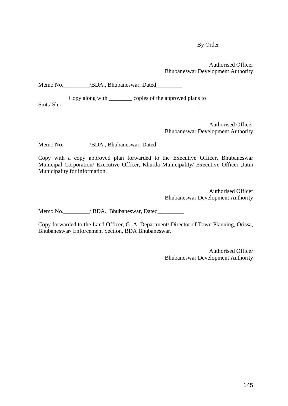By Order

Authorised Officer Bhubaneswar Development Authority

| Memo No. |  | /BDA., Bhubaneswar, Dated |
|----------|--|---------------------------|
|----------|--|---------------------------|

Copy along with copies of the approved plans to Smt./ Shri

Authorised Officer Bhubaneswar Development Authority

Memo No. \_\_\_\_\_\_\_\_/BDA., Bhubaneswar, Dated\_\_\_\_\_\_\_\_\_\_

Copy with a copy approved plan forwarded to the Executive Officer, Bhubaneswar Municipal Corporation/ Executive Officer, Khurda Municipality/ Executive Officer ,Jatni Municipality for information.

> Authorised Officer Bhubaneswar Development Authority

Memo No.  $/$  BDA., Bhubaneswar, Dated

Copy forwarded to the Land Officer, G. A. Department/ Director of Town Planning, Orissa, Bhubaneswar/ Enforcement Section, BDA Bhubaneswar.

> Authorised Officer Bhubaneswar Development Authority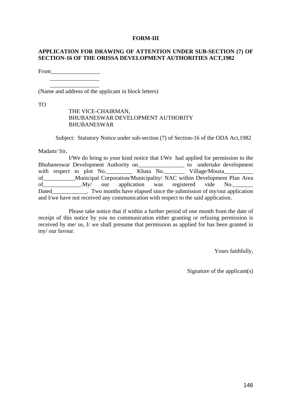### **FORM-III**

### **APPLICATION FOR DRAWING OF ATTENTION UNDER SUB-SECTION (7) OF SECTION-16 OF THE ORISSA DEVELOPMENT AUTHORITIES ACT,1982**

From\_\_\_\_\_\_\_\_\_\_\_\_\_\_\_\_\_

 $\frac{1}{\sqrt{2}}$  ,  $\frac{1}{\sqrt{2}}$  ,  $\frac{1}{\sqrt{2}}$  ,  $\frac{1}{\sqrt{2}}$  ,  $\frac{1}{\sqrt{2}}$  ,  $\frac{1}{\sqrt{2}}$  ,  $\frac{1}{\sqrt{2}}$  ,  $\frac{1}{\sqrt{2}}$  ,  $\frac{1}{\sqrt{2}}$  ,  $\frac{1}{\sqrt{2}}$  ,  $\frac{1}{\sqrt{2}}$  ,  $\frac{1}{\sqrt{2}}$  ,  $\frac{1}{\sqrt{2}}$  ,  $\frac{1}{\sqrt{2}}$  ,  $\frac{1}{\sqrt{2}}$ 

(Name and address of the applicant in block letters)

TO

## THE VICE-CHAIRMAN, BHUBANESWAR DEVELOPMENT AUTHORITY BHUBANESWAR

Subject: Statutory Notice under sub-section (7) of Section-16 of the ODA Act,1982

Madam/ Sir,

|       |  | I/We do bring to your kind notice that I/We had applied for permission to the         |  |  |
|-------|--|---------------------------------------------------------------------------------------|--|--|
|       |  | Bhubaneswar Development Authority on<br><u> Letter and the undertake</u> development  |  |  |
|       |  | with respect to plot No. ___________ Khata No. _________ Village/Mouza___________     |  |  |
|       |  | of ______________Municipal Corporation/Municipality/ NAC within Development Plan Area |  |  |
|       |  | of My/ our application was registered vide No.                                        |  |  |
| Dated |  | $\sim$ Two months have elapsed since the submission of my/our application             |  |  |
|       |  | and I/we have not received any communication with respect to the said application.    |  |  |

 Please take notice that if within a further period of one month from the date of receipt of this notice by you no communication either granting or refusing permission is received by me/ us, I/ we shall presume that permission as applied for has been granted in my/ our favour.

Yours faithfully,

Signature of the applicant(s)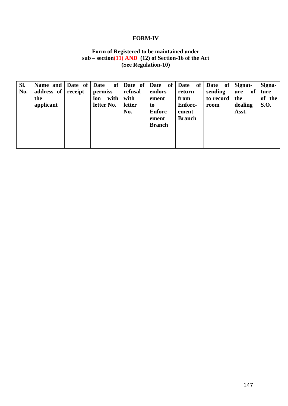### **FORM-IV**

# **Form of Registered to be maintained under sub – section(11) AND (12) of Section-16 of the Act (See Regulation-10)**

| SI.<br>No. | Name and Date of<br>address of<br>the<br>applicant | receipt | Date<br>permiss-<br>with  <br>ion<br>letter No. | refusal<br>with<br>letter<br>No. | of   Date of   Date of  <br>endors-<br>ement<br>to<br><b>Enforc-</b><br>ement<br><b>Branch</b> | Date of<br>return<br>from<br><b>Enforc-</b><br>ement<br><b>Branch</b> | Date of Signat-<br>sending<br>to record<br>room | of<br>ure<br>the<br>dealing<br>Asst. | Signa-<br>ture<br>of the<br><b>S.O.</b> |
|------------|----------------------------------------------------|---------|-------------------------------------------------|----------------------------------|------------------------------------------------------------------------------------------------|-----------------------------------------------------------------------|-------------------------------------------------|--------------------------------------|-----------------------------------------|
|            |                                                    |         |                                                 |                                  |                                                                                                |                                                                       |                                                 |                                      |                                         |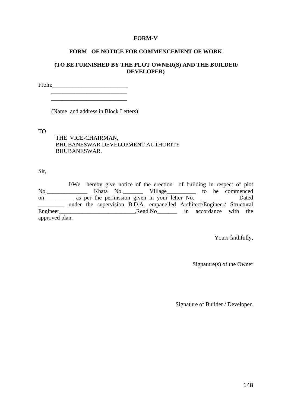#### **FORM-V**

#### **FORM OF NOTICE FOR COMMENCEMENT OF WORK**

### **(TO BE FURNISHED BY THE PLOT OWNER(S) AND THE BUILDER/ DEVELOPER)**

From:

\_\_\_\_\_\_\_\_\_\_\_\_\_\_\_\_\_\_\_\_\_\_\_\_\_\_

(Name and address in Block Letters)

TO

 THE VICE-CHAIRMAN, BHUBANESWAR DEVELOPMENT AUTHORITY BHUBANESWAR.

Sir,

 I/We hereby give notice of the erection of building in respect of plot No.\_\_\_\_\_\_\_\_\_\_\_\_\_\_ Khata No.\_\_\_\_\_\_\_ Village\_\_\_\_\_\_\_\_\_\_ to be commenced on\_\_\_\_\_\_\_\_\_\_\_ as per the permission given in your letter No. \_\_\_\_\_\_\_\_\_\_ Dated \_\_\_\_\_\_\_\_\_ under the supervision B.D.A. empanelled Architect/Engineer/ Structural Engineer\_\_\_\_\_\_\_\_\_\_\_\_\_\_\_\_\_\_\_\_\_\_\_\_\_\_,Regd.No\_\_\_\_\_\_\_ in accordance with the approved plan.

Yours faithfully,

Signature(s) of the Owner

Signature of Builder / Developer.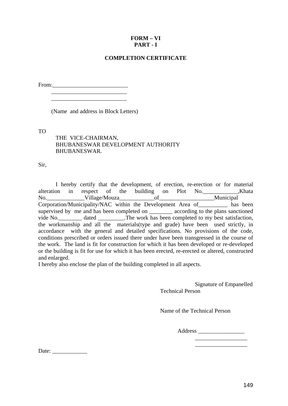# **FORM – VI PART - I**

# **COMPLETION CERTIFICATE**

From:\_\_\_\_\_\_\_\_\_\_\_\_\_\_\_\_\_\_\_\_\_\_\_\_\_\_

\_\_\_\_\_\_\_\_\_\_\_\_\_\_\_\_\_\_\_\_\_\_\_\_\_\_

(Name and address in Block Letters)

\_\_\_\_\_\_\_\_\_\_\_\_\_\_\_\_\_\_\_\_\_\_\_\_\_\_

TO

 THE VICE-CHAIRMAN, BHUBANESWAR DEVELOPMENT AUTHORITY BHUBANESWAR.

Sir,

 I hereby certify that the development, of erection, re-erection or for material alteration in respect of the building on Plot No. Khata No.\_\_\_\_\_\_\_\_\_\_\_\_\_Village/Mouza\_\_\_\_\_\_\_\_\_\_\_\_of\_\_\_\_\_\_\_\_\_\_\_\_\_\_\_\_\_\_\_Municipal Corporation/Municipality/NAC within the Development Area of\_\_\_\_\_\_\_\_\_\_ has been supervised by me and has been completed on \_\_\_\_\_\_\_\_\_\_ according to the plans sanctioned vide No.\_\_\_\_\_\_\_\_ dated \_\_\_\_\_\_\_\_\_.The work has been completed to my best satisfaction, the workmanship and all the materials(type and grade) have been used strictly, in accordance with the general and detailed specifications. No provisions of the code, conditions prescribed or orders issued there under have been transgressed in the course of the work. The land is fit for construction for which it has been developed or re-developed or the building is fit for use for which it has been erected, re-erected or altered, constructed and enlarged.

I hereby also enclose the plan of the building completed in all aspects.

Signature of Empanelled Technical Person

Name of the Technical Person

Address \_\_\_\_\_\_\_\_\_\_\_\_\_\_\_\_

\_\_\_\_\_\_\_\_\_\_\_\_\_\_\_\_\_\_

Date: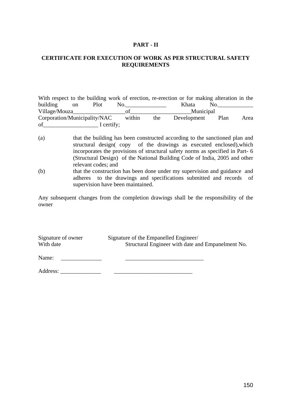### **PART - II**

## **CERTIFICATE FOR EXECUTION OF WORK AS PER STRUCTURAL SAFETY REQUIREMENTS**

| With respect to the building work of erection, re-erection or for making alteration in the |        |     |             |      |      |
|--------------------------------------------------------------------------------------------|--------|-----|-------------|------|------|
| building<br>Plot<br><sub>on</sub>                                                          | No.    |     | Khata       | No.  |      |
| Village/Mouza                                                                              |        |     | Municipal   |      |      |
| Corporation/Municipality/NAC                                                               | within | the | Development | Plan | Area |
| of<br>I certify;                                                                           |        |     |             |      |      |

- (a) that the building has been constructed according to the sanctioned plan and structural design( copy of the drawings as executed enclosed),which incorporates the provisions of structural safety norms as specified in Part- 6 (Structural Design) of the National Building Code of India, 2005 and other relevant codes; and
- (b) that the construction has been done under my supervision and guidance and adheres to the drawings and specifications submitted and records of supervision have been maintained.

Any subsequent changes from the completion drawings shall be the responsibility of the owner

| Signature of owner | Signature of the Empanelled Engineer/             |
|--------------------|---------------------------------------------------|
| With date          | Structural Engineer with date and Empanelment No. |
| Name:              |                                                   |

Address: \_\_\_\_\_\_\_\_\_\_\_\_\_\_ \_\_\_\_\_\_\_\_\_\_\_\_\_\_\_\_\_\_\_\_\_\_\_\_\_\_\_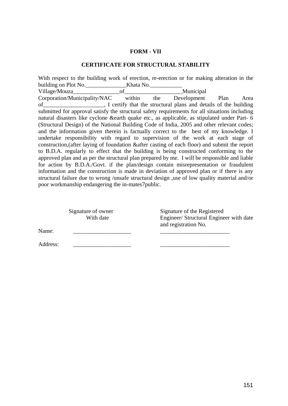### **FORM - VII**

#### **CERTIFICATE FOR STRUCTURAL STABILITY**

With respect to the building work of erection, re-erection or for making alteration in the building on Plot No. <br>Khata No. Village/Mouza\_\_\_\_\_\_\_\_\_\_\_\_\_\_\_\_of\_\_\_\_\_\_\_\_\_\_\_\_\_\_\_\_\_\_\_\_Municipal Corporation/Municipality/NAC within the Development Plan Area of\_\_\_\_\_\_\_\_\_\_\_\_\_\_\_\_\_\_\_\_\_, I certify that the structural plans and details of the building submitted for approval satisfy the structural safety requirements for all situations including natural disasters like cyclone &earth quake etc., as applicable, as stipulated under Part- 6 (Structural Design) of the National Building Code of India, 2005 and other relevant codes; and the information given therein is factually correct to the best of my knowledge. I undertake responsibility with regard to supervision of the work at each stage of construction,(after laying of foundation &after casting of each floor) and submit the report to B.D.A. regularly to effect that the building is being constructed conforming to the approved plan and as per the structural plan prepared by me. I will be responsible and liable for action by B.D.A./Govt. if the plan/design contain misrepresentation or fraudulent information and the construction is made in deviation of approved plan or if there is any structural failure due to wrong /unsafe structural design ,use of low quality material and/or poor workmanship endangering the in-mates7public.

Signature of owner Signature of the Registered With date Engineer/ Structural Engineer with date and registration No.

Name: \_\_\_\_\_\_\_\_\_\_\_\_\_\_\_\_\_\_\_\_ \_\_\_\_\_\_\_\_\_\_\_\_\_\_\_\_\_\_\_\_\_\_\_\_

Address: \_\_\_\_\_\_\_\_\_\_\_\_\_\_\_\_\_\_\_\_ \_\_\_\_\_\_\_\_\_\_\_\_\_\_\_\_\_\_\_\_\_\_\_\_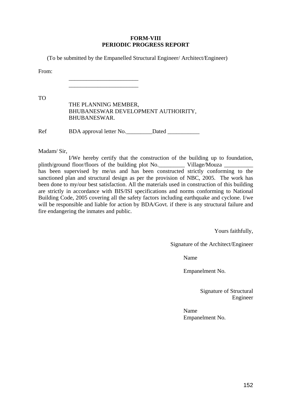### **FORM-VIII PERIODIC PROGRESS REPORT**

(To be submitted by the Empanelled Structural Engineer/ Architect/Engineer)

From:

 $\frac{1}{2}$  ,  $\frac{1}{2}$  ,  $\frac{1}{2}$  ,  $\frac{1}{2}$  ,  $\frac{1}{2}$  ,  $\frac{1}{2}$  ,  $\frac{1}{2}$  ,  $\frac{1}{2}$  ,  $\frac{1}{2}$  ,  $\frac{1}{2}$  ,  $\frac{1}{2}$  ,  $\frac{1}{2}$  ,  $\frac{1}{2}$  ,  $\frac{1}{2}$  ,  $\frac{1}{2}$  ,  $\frac{1}{2}$  ,  $\frac{1}{2}$  ,  $\frac{1}{2}$  ,  $\frac{1$  $\frac{1}{2}$  ,  $\frac{1}{2}$  ,  $\frac{1}{2}$  ,  $\frac{1}{2}$  ,  $\frac{1}{2}$  ,  $\frac{1}{2}$  ,  $\frac{1}{2}$  ,  $\frac{1}{2}$  ,  $\frac{1}{2}$  ,  $\frac{1}{2}$  ,  $\frac{1}{2}$  ,  $\frac{1}{2}$  ,  $\frac{1}{2}$  ,  $\frac{1}{2}$  ,  $\frac{1}{2}$  ,  $\frac{1}{2}$  ,  $\frac{1}{2}$  ,  $\frac{1}{2}$  ,  $\frac{1$ 

TO

| THE PLANNING MEMBER,                |
|-------------------------------------|
| BHUBANESWAR DEVELOPMENT AUTHOIRITY, |
| BHUBANESWAR.                        |
|                                     |

Ref BDA approval letter No.\_\_\_\_\_\_\_\_\_Dated \_\_\_\_\_\_\_\_\_\_\_

Madam/ Sir,

 I/We hereby certify that the construction of the building up to foundation, plinth/ground floor/floors of the building plot No. Village/Mouza \_\_\_\_\_\_\_\_\_\_\_\_\_\_ has been supervised by me/us and has been constructed strictly conforming to the sanctioned plan and structural design as per the provision of NBC, 2005. The work has been done to my/our best satisfaction. All the materials used in construction of this building are strictly in accordance with BIS/ISI specifications and norms conforming to National Building Code, 2005 covering all the safety factors including earthquake and cyclone. I/we will be responsible and liable for action by BDA/Govt. if there is any structural failure and fire endangering the inmates and public.

Yours faithfully,

Signature of the Architect/Engineer

Name

Empanelment No.

 Signature of Structural Engineer

Name Empanelment No.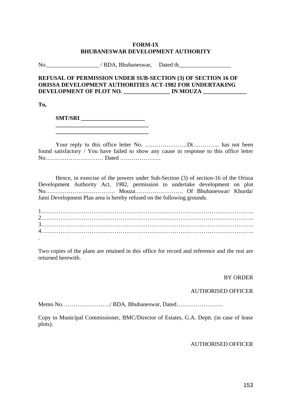### **FORM-IX BHUBANESWAR DEVELOPMENT AUTHORITY**

No. All *No.* All *No.* All *No.* All *No.* All *No.* All *No.* All *No.* All *No.* All *No.* All *No.* All *No.* All *No.* All *No.* All *No.* All *No.* All *No.* All *No.* All *No.* All *No.* All *No.* All *No.* All *No.* 

## **REFUSAL OF PERMISSION UNDER SUB-SECTION (3) OF SECTION 16 OF ORISSA DEVELOPMENT AUTHORITIES ACT-1982 FOR UNDERTAKING DEVELOPMENT OF PLOT NO. \_\_\_\_\_\_\_\_\_\_\_\_\_\_\_\_ IN MOUZA \_\_\_\_\_\_\_\_\_\_\_\_\_\_\_**

**To,** 

 **SMT/SRI \_\_\_\_\_\_\_\_\_\_\_\_\_\_\_\_\_\_\_\_\_\_** 

 Your reply to this office letter No. ………………….Dt………….. has not been found satisfactory / You have failed to show any cause in response to this office letter No………………………… Dated …………………

 Hence, in exercise of the powers under Sub-Section (3) of section-16 of the Orissa Development Authority Act, 1982, permission to undertake development on plot No……………………………… Mouza……………………. Of Bhubaneswar/ Khurda/ Jatni Development Plan area is hereby refused on the following grounds.

| $\bullet$ |  |  |  |
|-----------|--|--|--|

Two copies of the plans are retained in this office for record and reference and the rest are returned herewith.

### BY ORDER

### AUTHORISED OFFICER

Memo No……………………./ BDA, Bhubaneswar, Dated……………………

Copy to Municipal Commissioner, BMC/Director of Estates, G.A. Deptt. (in case of lease plots).

## AUTHORISED OFFICER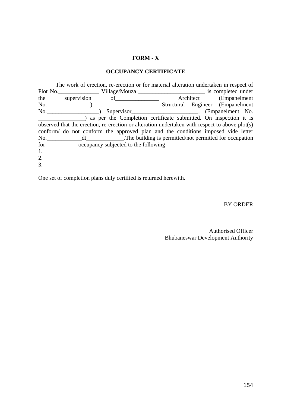# **FORM - X**

### **OCCUPANCY CERTIFICATE**

|    | The work of erection, re-erection or for material alteration undertaken in respect of          |                                                                                                                                                                                                                                |                                  |  |
|----|------------------------------------------------------------------------------------------------|--------------------------------------------------------------------------------------------------------------------------------------------------------------------------------------------------------------------------------|----------------------------------|--|
|    |                                                                                                |                                                                                                                                                                                                                                |                                  |  |
|    | the supervision of <u>the supervision</u>                                                      |                                                                                                                                                                                                                                | Architect (Empanelment)          |  |
|    |                                                                                                |                                                                                                                                                                                                                                | Structural Engineer (Empanelment |  |
|    |                                                                                                | Supervisor Supervisor Supervisor Supervisor Supervisor Supervisor Supervisor Supervisor Supervisor Supervisor Supervisor Supervisor Supervisor Supervisor Supervisor Supervisor Supervisor Supervisor Supervisor Supervisor Su |                                  |  |
|    | as per the Completion certificate submitted. On inspection it is                               |                                                                                                                                                                                                                                |                                  |  |
|    | observed that the erection, re-erection or alteration undertaken with respect to above plot(s) |                                                                                                                                                                                                                                |                                  |  |
|    | conform do not conform the approved plan and the conditions imposed vide letter                |                                                                                                                                                                                                                                |                                  |  |
|    |                                                                                                |                                                                                                                                                                                                                                |                                  |  |
|    | for <u>commonly</u> occupancy subjected to the following                                       |                                                                                                                                                                                                                                |                                  |  |
| 1. |                                                                                                |                                                                                                                                                                                                                                |                                  |  |
| 2. |                                                                                                |                                                                                                                                                                                                                                |                                  |  |
| 3. |                                                                                                |                                                                                                                                                                                                                                |                                  |  |

One set of completion plans duly certified is returned herewith.

BY ORDER

Authorised Officer Bhubaneswar Development Authority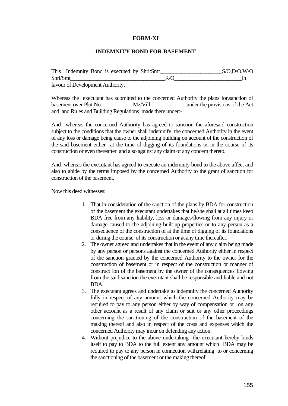### **FORM-XI**

#### **INDEMNITY BOND FOR BASEMENT**

| This Indemnity Bond is executed by Shri/Smt |     | S/O, D/O, W/O |
|---------------------------------------------|-----|---------------|
| Shri/Smt                                    | R/0 |               |
| favour of Development Authority.            |     |               |

Whereas the executant has submitted to the concerned Authority the plans for,sanction of basement over Plot No. Mz/Vill under the provisions of the Act and and Rules and Building Regulations made there under:-

And whereas the concerned Authority has agreed to sanction the aforesaid construction subject to the conditions that the owner shall indemnify the concerned Authority in the event of any loss or damage being cause to the adjoining building on account of the construction of the said basement either at the time of digging of its foundations or in the course of its construction or even thereafter and also against any claim of any concern thereto.

And whereas the executant has agreed to execute an indemnity bond to the above affect and also to abide by the terms imposed by the concerned Authority to the grant of sanction for construction of the basement.

Now this deed witnesses:

- 1. That in consideration of the sanction of the plans by BDA for construction of the basement the executant undertakes that he/she shall at all times keep BDA free from any liability, loss or damages/flowing from any injury or damage caused to the adjoining built-up properties or to any person as a consequence of the construction of at the time of digging of its foundations or during the course of its construction or at any time thereafter.
- 2. The owner agreed and undertakes that in the event of any claim being made by any person or persons against the concerned Authority either in respect of the sanction granted by the concerned Authority to the owner for the construction of basement or in respect of the construction or manner of construct ion of the basement by the owner of the consequences flowing from the said sanction the executant shall be responsible and liable and not BDA.
- 3. The executant agrees and undertake to indemnify the concerned Authority fully in respect of any amount which the concerned Authority may be required to pay to any person either by way of compensation or on any other account as a result of any claim or suit or any other proceedings concerning the sanctioning of the construction of the basement of the making thereof and also in respect of the costs and expenses which the concerned Authority may incur on defending any action.
- 4. Without prejudice to the above undertaking the executant hereby binds itself to pay to BDA to the full extent any amount which BDA may be required to pay to any person in connection with,relating to or concerning the sanctioning of the basement or the making thereof.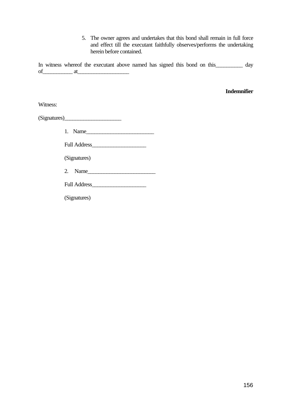5. The owner agrees and undertakes that this bond shall remain in full force and effect till the executant faithfully observes/performs the undertaking herein before contained.

In witness whereof the executant above named has signed this bond on this\_\_\_\_\_\_\_\_ day  $of$  at

#### **Indemnifier**

Witness:

(Signatures)\_\_\_\_\_\_\_\_\_\_\_\_\_\_\_\_\_\_\_\_\_

| 1. | – Name |  |  |
|----|--------|--|--|
|----|--------|--|--|

Full Address\_\_\_\_\_\_\_\_\_\_\_\_\_\_\_\_\_\_\_\_

(Signatures)

2. Name\_\_\_\_\_\_\_\_\_\_\_\_\_\_\_\_\_\_\_\_\_\_\_\_\_

Full Address\_\_\_\_\_\_\_\_\_\_\_\_\_\_\_\_\_\_\_\_

(Signatures)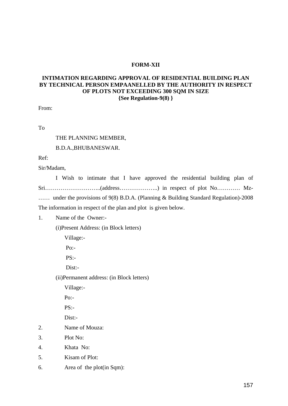#### **FORM-XII**

## **INTIMATION REGARDING APPROVAL OF RESIDENTIAL BUILDING PLAN BY TECHNICAL PERSON EMPAANELLED BY THE AUTHORITY IN RESPECT OF PLOTS NOT EXCEEDING 300 SQM IN SIZE {See Regulation-9(8) }**

From:

To

#### THE PLANNING MEMBER,

### B.D.A.,BHUBANESWAR.

Ref:

Sir/Madam,

 I Wish to intimate that I have approved the residential building plan of Sri………………………..(address………………..) in respect of plot No………… Mz- …… under the provisions of 9(8) B.D.A. (Planning & Building Standard Regulation)-2008 The information in respect of the plan and plot is given below.

1. Name of the Owner:-

(i)Present Address: (in Block letters)

Village:-

Po:-

PS:-

Dist:-

(ii)Permanent address: (in Block letters)

Village:-

Po:-

 $PS:$ 

Dist:-

- 2. Name of Mouza:
- 3. Plot No:
- 4. Khata No:
- 5. Kisam of Plot:
- 6. Area of the plot(in Sqm):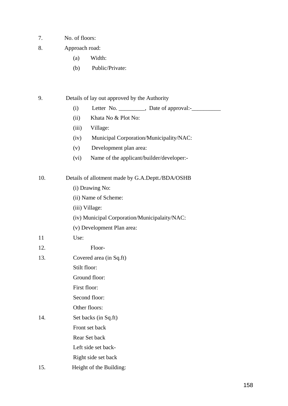- 7. No. of floors:
- 8. Approach road:
	- (a) Width:
	- (b) Public/Private:
- 9. Details of lay out approved by the Authority
	- $(i)$  Letter No.  $\qquad \qquad$  Date of approval:
	- (ii) Khata No & Plot No:
	- (iii) Village:
	- (iv) Municipal Corporation/Municipality/NAC:
	- (v) Development plan area:
	- (vi) Name of the applicant/builder/developer:-

10. Details of allotment made by G.A.Deptt./BDA/OSHB (i) Drawing No:

- (ii) Name of Scheme:
- (iii) Village:
- (iv) Municipal Corporation/Municipalaity/NAC:
- (v) Development Plan area:
- 11 Use:
- 12. Floor-
- 13. Covered area (in Sq.ft)

Stilt floor:

Ground floor:

First floor:

Second floor:

- Other floors:
- 14. Set backs (in Sq.ft) Front set back Rear Set back
	- Left side set back-
	- Right side set back
- 15. Height of the Building: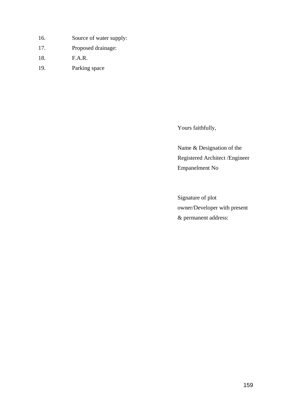- 16. Source of water supply:
- 17. Proposed drainage:
- 18. F.A.R.
- 19. Parking space

Yours faithfully,

Name & Designation of the Registered Architect /Engineer Empanelment No

Signature of plot owner/Developer with present & permanent address: